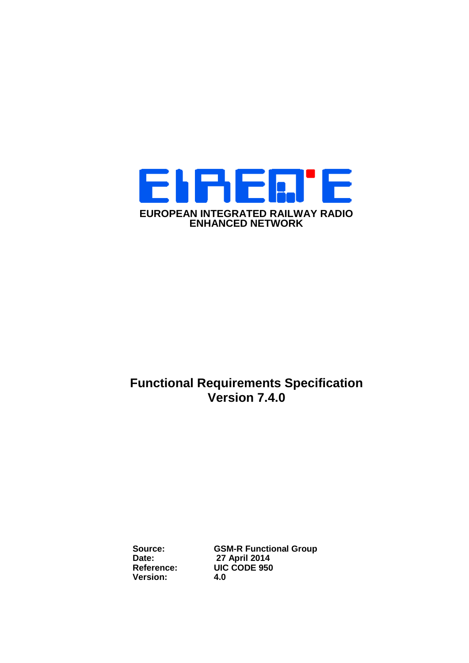

# **Functional Requirements Specification Version 7.4.0**

**Version: 4.0**

Source: **GSM-R Functional Group**<br>Date: 27 April 2014 **Date: 27 April 2014 Reference: UIC CODE 950**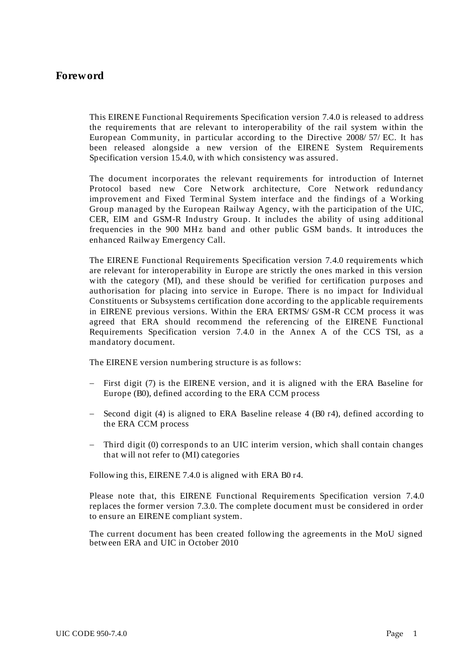## **Foreword**

This EIRENE Functional Requirements Specification version 7.4.0 is released to address the requirements that are relevant to interoperability of the rail system within the European Community, in particular according to the Directive 2008/ 57/ EC. It has been released alongside a new version of the EIRENE System Requirements Specification version 15.4.0, with which consistency was assured.

The document incorporates the relevant requirements for introduction of Internet Protocol based new Core Network architecture, Core Network redundancy improvement and Fixed Terminal System interface and the findings of a Working Group managed by the European Railway Agency, with the participation of the UIC, CER, EIM and GSM-R Industry Group. It includes the ability of using additional frequencies in the 900 MHz band and other public GSM bands. It introduces the enhanced Railway Emergency Call.

The EIRENE Functional Requirements Specification version 7.4.0 requirements which are relevant for interoperability in Europe are strictly the ones marked in this version with the category (MI), and these should be verified for certification purposes and authorisation for placing into service in Europe. There is no impact for Individual Constituents or Subsystems certification done according to the applicable requirements in EIRENE previous versions. Within the ERA ERTMS/ GSM-R CCM process it was agreed that ERA should recommend the referencing of the EIRENE Functional Requirements Specification version 7.4.0 in the Annex A of the CCS TSI, as a mandatory document.

The EIRENE version numbering structure is as follows:

- First digit (7) is the EIRENE version, and it is aligned with the ERA Baseline for Europe (B0), defined according to the ERA CCM process
- $-$  Second digit (4) is aligned to ERA Baseline release 4 (B0 r4), defined according to the ERA CCM process
- Third digit (0) corresponds to an UIC interim version, which shall contain changes that will not refer to (MI) categories

Following this, EIRENE 7.4.0 is aligned with ERA B0 r4.

Please note that, this EIRENE Functional Requirements Specification version 7.4.0 replaces the former version 7.3.0. The complete document must be considered in order to ensure an EIRENE compliant system.

The current document has been created following the agreements in the MoU signed between ERA and UIC in October 2010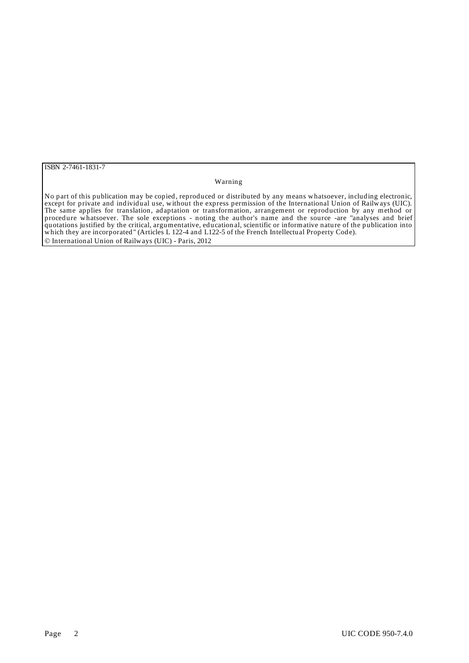ISBN 2-7461-1831-7

#### Warning

No part of this publication may be copied, reproduced or distributed by any means whatsoever, including electronic, except for private and individual use, without the express permission of the International Union of Railways (UIC). The same applies for translation, adaptation or transformation, arrangement or reproduction by any method or procedure whatsoever. The sole exceptions - noting the author's name and the source -are "analyses and brief quotations justified by the critical, argumentative, education al, scientific or informative nature of the publication into which they are incorporated" (Articles L 122-4 and L122-5 of the French Intellectual Property Code). International Union of Railways (UIC) - Paris, 2012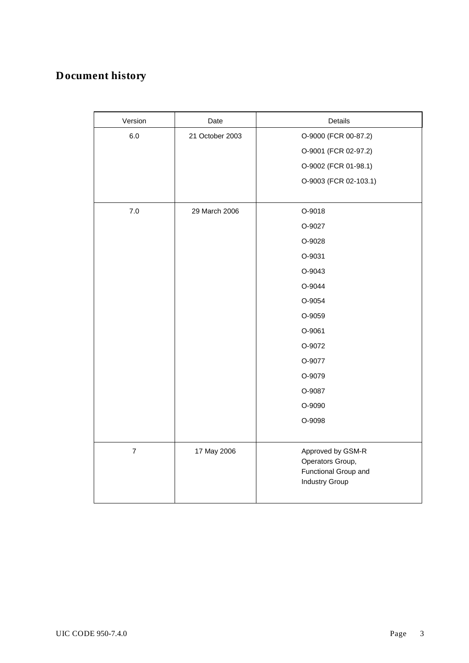# **Document history**

| Version        | Date            | Details                                                                                |
|----------------|-----------------|----------------------------------------------------------------------------------------|
| 6.0            | 21 October 2003 | O-9000 (FCR 00-87.2)                                                                   |
|                |                 | O-9001 (FCR 02-97.2)                                                                   |
|                |                 | O-9002 (FCR 01-98.1)                                                                   |
|                |                 | O-9003 (FCR 02-103.1)                                                                  |
|                |                 |                                                                                        |
| $7.0\,$        | 29 March 2006   | O-9018                                                                                 |
|                |                 | O-9027                                                                                 |
|                |                 | O-9028                                                                                 |
|                |                 | O-9031                                                                                 |
|                |                 | O-9043                                                                                 |
|                |                 | O-9044                                                                                 |
|                |                 | O-9054                                                                                 |
|                |                 | O-9059                                                                                 |
|                |                 | O-9061                                                                                 |
|                |                 | O-9072                                                                                 |
|                |                 | O-9077                                                                                 |
|                |                 | O-9079                                                                                 |
|                |                 | O-9087                                                                                 |
|                |                 | O-9090                                                                                 |
|                |                 | O-9098                                                                                 |
|                |                 |                                                                                        |
| $\overline{7}$ | 17 May 2006     | Approved by GSM-R<br>Operators Group,<br>Functional Group and<br><b>Industry Group</b> |
|                |                 |                                                                                        |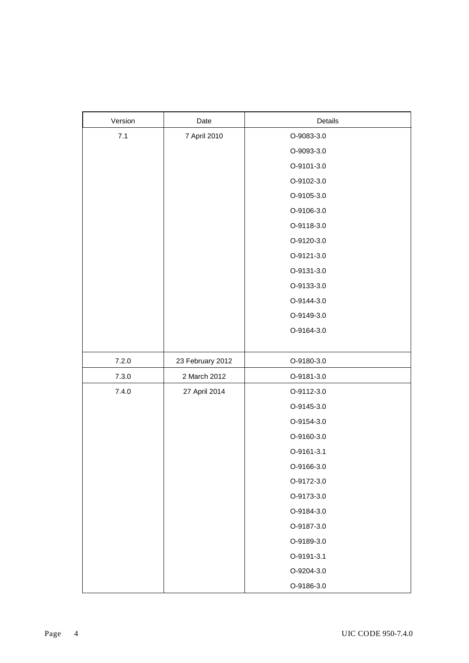| Version | Date             | Details    |
|---------|------------------|------------|
| 7.1     | 7 April 2010     | O-9083-3.0 |
|         |                  | O-9093-3.0 |
|         |                  | O-9101-3.0 |
|         |                  | O-9102-3.0 |
|         |                  | O-9105-3.0 |
|         |                  | O-9106-3.0 |
|         |                  | O-9118-3.0 |
|         |                  | O-9120-3.0 |
|         |                  | O-9121-3.0 |
|         |                  | O-9131-3.0 |
|         |                  | O-9133-3.0 |
|         |                  | O-9144-3.0 |
|         |                  | O-9149-3.0 |
|         |                  | O-9164-3.0 |
|         |                  |            |
| 7.2.0   | 23 February 2012 | O-9180-3.0 |
| 7.3.0   | 2 March 2012     | O-9181-3.0 |
| 7.4.0   | 27 April 2014    | O-9112-3.0 |
|         |                  | O-9145-3.0 |
|         |                  | O-9154-3.0 |
|         |                  | O-9160-3.0 |
|         |                  | O-9161-3.1 |
|         |                  | O-9166-3.0 |
|         |                  | O-9172-3.0 |
|         |                  | O-9173-3.0 |
|         |                  | O-9184-3.0 |
|         |                  | O-9187-3.0 |
|         |                  | O-9189-3.0 |
|         |                  | O-9191-3.1 |
|         |                  | O-9204-3.0 |
|         |                  | O-9186-3.0 |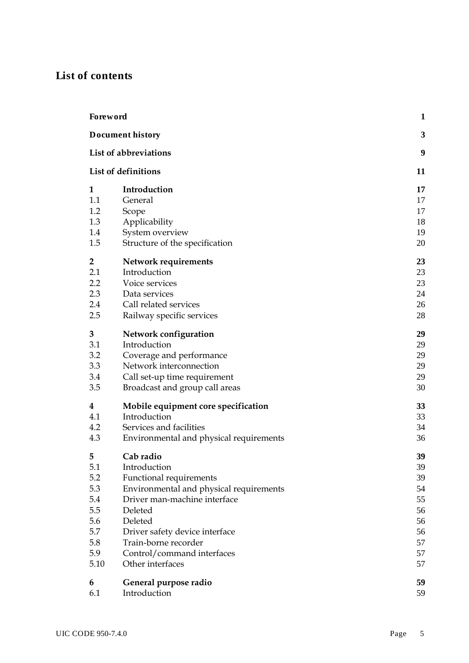## **List of contents**

| <b>Foreword</b>         |                                         | $\mathbf{1}$ |
|-------------------------|-----------------------------------------|--------------|
| <b>Document history</b> |                                         | 3            |
|                         | List of abbreviations                   | 9            |
|                         | <b>List of definitions</b>              | 11           |
| 1                       | Introduction                            | 17           |
| 1.1                     | General                                 | 17           |
| 1.2                     | Scope                                   | 17           |
| 1.3                     | Applicability                           | 18           |
| 1.4                     | System overview                         | 19           |
| 1.5                     | Structure of the specification          | 20           |
| $\overline{2}$          | <b>Network requirements</b>             | 23           |
| 2.1                     | Introduction                            | 23           |
| 2.2                     | Voice services                          | 23           |
| 2.3                     | Data services                           | 24           |
| 2.4                     | Call related services                   | 26           |
| 2.5                     | Railway specific services               | 28           |
| 3                       | Network configuration                   | 29           |
| 3.1                     | Introduction                            | 29           |
| 3.2                     | Coverage and performance                | 29           |
| 3.3                     | Network interconnection                 | 29           |
| 3.4                     | Call set-up time requirement            | 29           |
| 3.5                     | Broadcast and group call areas          | 30           |
| $\boldsymbol{4}$        | Mobile equipment core specification     | 33           |
| 4.1                     | Introduction                            | 33           |
| 4.2                     | Services and facilities                 | 34           |
| 4.3                     | Environmental and physical requirements | 36           |
| 5                       | Cab radio                               | 39           |
| 5.1                     | Introduction                            | 39           |
| 5.2                     | Functional requirements                 | 39           |
| 5.3                     | Environmental and physical requirements | 54           |
| 5.4                     | Driver man-machine interface            | 55           |
| 5.5                     | Deleted                                 | 56           |
| 5.6                     | Deleted                                 | 56           |
| 5.7                     | Driver safety device interface          | 56           |
| 5.8                     | Train-borne recorder                    | 57           |
| 5.9                     | Control/command interfaces              | 57           |
| 5.10                    | Other interfaces                        | 57           |
| 6                       | General purpose radio                   | 59           |
| 6.1                     | Introduction                            | 59           |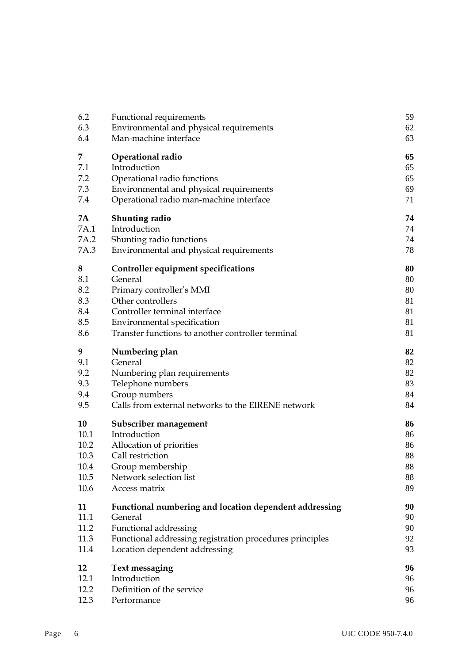| 6.2<br>6.3 | Functional requirements                                          | 59<br>62 |
|------------|------------------------------------------------------------------|----------|
| 6.4        | Environmental and physical requirements<br>Man-machine interface | 63       |
| 7          | Operational radio                                                | 65       |
| 7.1        | Introduction                                                     | 65       |
| 7.2        | Operational radio functions                                      | 65       |
| 7.3        | Environmental and physical requirements                          | 69       |
| 7.4        | Operational radio man-machine interface                          | 71       |
| <b>7A</b>  | <b>Shunting radio</b>                                            | 74       |
| 7A.1       | Introduction                                                     | 74       |
| 7A.2       | Shunting radio functions                                         | 74       |
| 7A.3       | Environmental and physical requirements                          | 78       |
| 8          | <b>Controller equipment specifications</b>                       | 80       |
| 8.1        | General                                                          | 80       |
| 8.2        | Primary controller's MMI                                         | 80       |
| 8.3        | Other controllers<br>Controller terminal interface               | 81       |
| 8.4<br>8.5 | Environmental specification                                      | 81<br>81 |
| 8.6        | Transfer functions to another controller terminal                | 81       |
| 9          | Numbering plan                                                   | 82       |
| 9.1        | General                                                          | 82       |
| 9.2        | Numbering plan requirements                                      | 82       |
| 9.3        | Telephone numbers                                                | 83       |
| 9.4        | Group numbers                                                    | 84       |
| 9.5        | Calls from external networks to the EIRENE network               | 84       |
| 10         | Subscriber management                                            | 86       |
| 10.1       | Introduction                                                     | 86       |
| 10.2       | Allocation of priorities                                         | 86       |
| 10.3       | Call restriction                                                 | 88       |
| 10.4       | Group membership                                                 | 88       |
| 10.5       | Network selection list                                           | 88       |
| 10.6       | Access matrix                                                    | 89       |
| 11         | Functional numbering and location dependent addressing           | 90       |
| 11.1       | General                                                          | 90       |
| 11.2       | Functional addressing                                            | 90       |
| 11.3       | Functional addressing registration procedures principles         | 92       |
| 11.4       | Location dependent addressing                                    | 93       |
| 12         | <b>Text messaging</b>                                            | 96       |
| 12.1       | Introduction                                                     | 96       |
| 12.2       | Definition of the service                                        | 96       |
| 12.3       | Performance                                                      | 96       |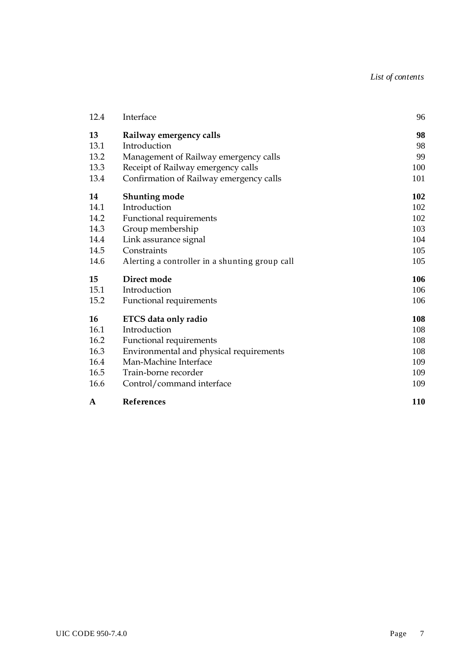## *List of contents*

| 12.4 | Interface                                      | 96  |
|------|------------------------------------------------|-----|
| 13   | Railway emergency calls                        | 98  |
| 13.1 | Introduction                                   | 98  |
| 13.2 | Management of Railway emergency calls          | 99  |
| 13.3 | Receipt of Railway emergency calls             | 100 |
| 13.4 | Confirmation of Railway emergency calls        | 101 |
| 14   | <b>Shunting mode</b>                           | 102 |
| 14.1 | Introduction                                   | 102 |
| 14.2 | Functional requirements                        | 102 |
| 14.3 | Group membership                               | 103 |
| 14.4 | Link assurance signal                          | 104 |
| 14.5 | Constraints                                    | 105 |
| 14.6 | Alerting a controller in a shunting group call | 105 |
| 15   | Direct mode                                    | 106 |
| 15.1 | Introduction                                   | 106 |
| 15.2 | Functional requirements                        | 106 |
| 16   | ETCS data only radio                           | 108 |
| 16.1 | Introduction                                   | 108 |
| 16.2 | Functional requirements                        | 108 |
| 16.3 | Environmental and physical requirements        | 108 |
| 16.4 | Man-Machine Interface                          | 109 |
| 16.5 | Train-borne recorder                           | 109 |
| 16.6 | Control/command interface                      | 109 |
| A    | References                                     | 110 |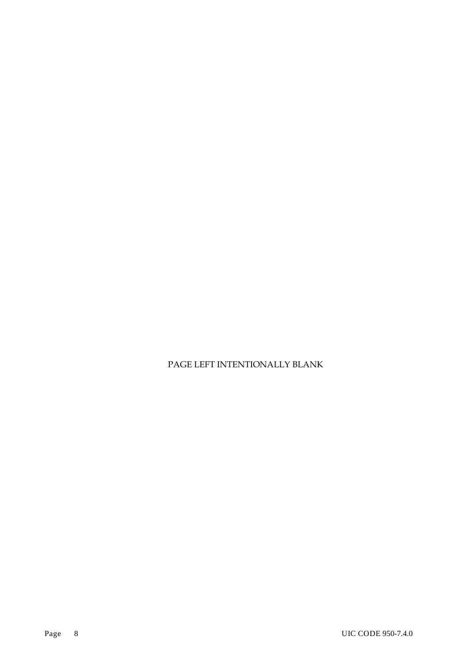PAGE LEFT INTENTIONALLY BLANK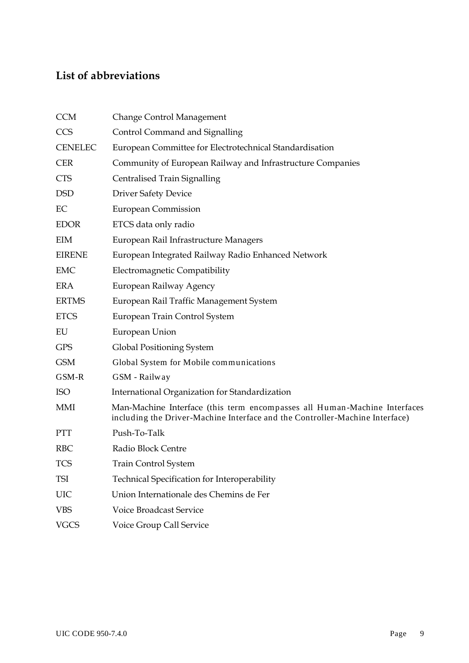# **List of abbreviations**

| <b>CCM</b>     | Change Control Management                                                                                                                                 |
|----------------|-----------------------------------------------------------------------------------------------------------------------------------------------------------|
| CCS            | Control Command and Signalling                                                                                                                            |
| <b>CENELEC</b> | European Committee for Electrotechnical Standardisation                                                                                                   |
| <b>CER</b>     | Community of European Railway and Infrastructure Companies                                                                                                |
| <b>CTS</b>     | Centralised Train Signalling                                                                                                                              |
| <b>DSD</b>     | <b>Driver Safety Device</b>                                                                                                                               |
| EC             | <b>European Commission</b>                                                                                                                                |
| <b>EDOR</b>    | ETCS data only radio                                                                                                                                      |
| <b>EIM</b>     | European Rail Infrastructure Managers                                                                                                                     |
| <b>EIRENE</b>  | European Integrated Railway Radio Enhanced Network                                                                                                        |
| <b>EMC</b>     | Electromagnetic Compatibility                                                                                                                             |
| <b>ERA</b>     | European Railway Agency                                                                                                                                   |
| <b>ERTMS</b>   | European Rail Traffic Management System                                                                                                                   |
| <b>ETCS</b>    | European Train Control System                                                                                                                             |
| EU             | European Union                                                                                                                                            |
| <b>GPS</b>     | Global Positioning System                                                                                                                                 |
| <b>GSM</b>     | Global System for Mobile communications                                                                                                                   |
| GSM-R          | GSM - Railway                                                                                                                                             |
| <b>ISO</b>     | International Organization for Standardization                                                                                                            |
| MMI            | Man-Machine Interface (this term encompasses all Human-Machine Interfaces<br>including the Driver-Machine Interface and the Controller-Machine Interface) |
| <b>PTT</b>     | Push-To-Talk                                                                                                                                              |
| <b>RBC</b>     | Radio Block Centre                                                                                                                                        |
| <b>TCS</b>     | <b>Train Control System</b>                                                                                                                               |
| <b>TSI</b>     | Technical Specification for Interoperability                                                                                                              |
| <b>UIC</b>     | Union Internationale des Chemins de Fer                                                                                                                   |
| <b>VBS</b>     | Voice Broadcast Service                                                                                                                                   |
| <b>VGCS</b>    | Voice Group Call Service                                                                                                                                  |
|                |                                                                                                                                                           |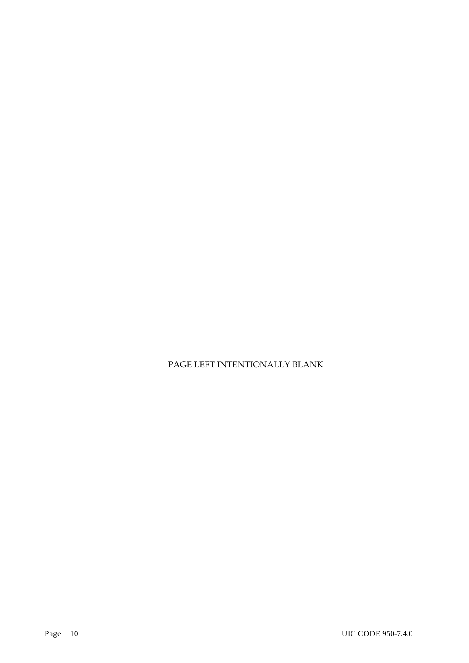PAGE LEFT INTENTIONALLY BLANK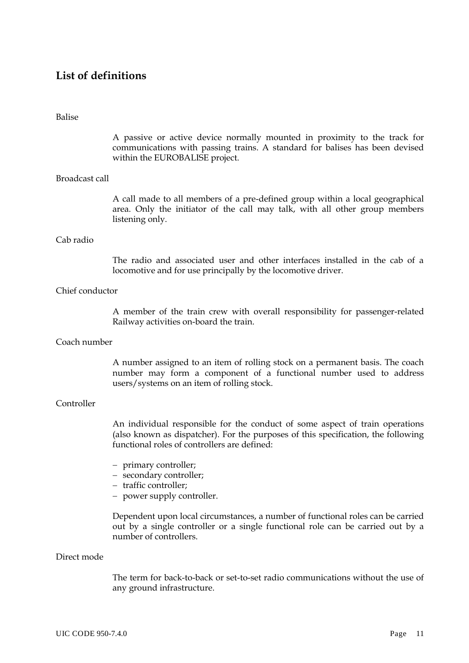## **List of definitions**

#### Balise

A passive or active device normally mounted in proximity to the track for communications with passing trains. A standard for balises has been devised within the EUROBALISE project.

## Broadcast call

A call made to all members of a pre-defined group within a local geographical area. Only the initiator of the call may talk, with all other group members listening only.

## Cab radio

The radio and associated user and other interfaces installed in the cab of a locomotive and for use principally by the locomotive driver.

#### Chief conductor

A member of the train crew with overall responsibility for passenger-related Railway activities on-board the train.

## Coach number

A number assigned to an item of rolling stock on a permanent basis. The coach number may form a component of a functional number used to address users/systems on an item of rolling stock.

## Controller

An individual responsible for the conduct of some aspect of train operations (also known as dispatcher). For the purposes of this specification, the following functional roles of controllers are defined:

- primary controller;
- secondary controller;
- traffic controller;
- power supply controller.

Dependent upon local circumstances, a number of functional roles can be carried out by a single controller or a single functional role can be carried out by a number of controllers.

#### Direct mode

The term for back-to-back or set-to-set radio communications without the use of any ground infrastructure.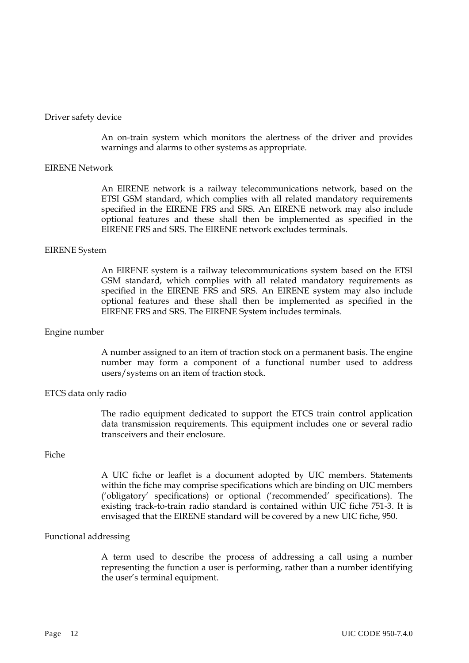#### Driver safety device

An on-train system which monitors the alertness of the driver and provides warnings and alarms to other systems as appropriate.

#### EIRENE Network

An EIRENE network is a railway telecommunications network, based on the ETSI GSM standard, which complies with all related mandatory requirements specified in the EIRENE FRS and SRS. An EIRENE network may also include optional features and these shall then be implemented as specified in the EIRENE FRS and SRS. The EIRENE network excludes terminals.

#### EIRENE System

An EIRENE system is a railway telecommunications system based on the ETSI GSM standard, which complies with all related mandatory requirements as specified in the EIRENE FRS and SRS. An EIRENE system may also include optional features and these shall then be implemented as specified in the EIRENE FRS and SRS. The EIRENE System includes terminals.

#### Engine number

A number assigned to an item of traction stock on a permanent basis. The engine number may form a component of a functional number used to address users/systems on an item of traction stock.

## ETCS data only radio

The radio equipment dedicated to support the ETCS train control application data transmission requirements. This equipment includes one or several radio transceivers and their enclosure.

#### Fiche

A UIC fiche or leaflet is a document adopted by UIC members. Statements within the fiche may comprise specifications which are binding on UIC members ('obligatory' specifications) or optional ('recommended' specifications). The existing track-to-train radio standard is contained within UIC fiche 751-3. It is envisaged that the EIRENE standard will be covered by a new UIC fiche, 950.

#### Functional addressing

A term used to describe the process of addressing a call using a number representing the function a user is performing, rather than a number identifying the user's terminal equipment.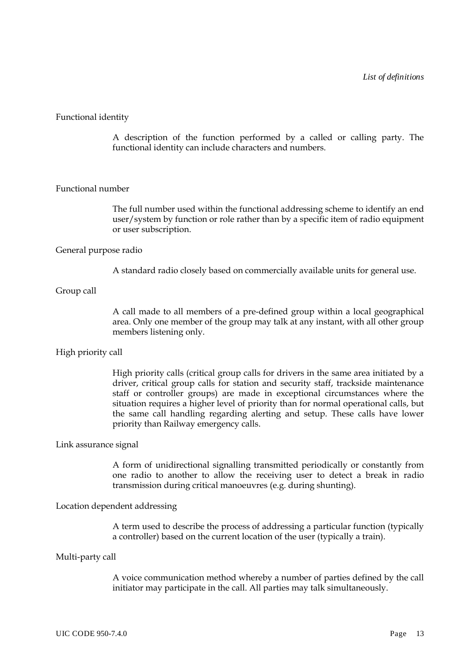#### Functional identity

A description of the function performed by a called or calling party. The functional identity can include characters and numbers.

## Functional number

The full number used within the functional addressing scheme to identify an end user/system by function or role rather than by a specific item of radio equipment or user subscription.

#### General purpose radio

A standard radio closely based on commercially available units for general use.

#### Group call

A call made to all members of a pre-defined group within a local geographical area. Only one member of the group may talk at any instant, with all other group members listening only.

## High priority call

High priority calls (critical group calls for drivers in the same area initiated by a driver, critical group calls for station and security staff, trackside maintenance staff or controller groups) are made in exceptional circumstances where the situation requires a higher level of priority than for normal operational calls, but the same call handling regarding alerting and setup. These calls have lower priority than Railway emergency calls.

#### Link assurance signal

A form of unidirectional signalling transmitted periodically or constantly from one radio to another to allow the receiving user to detect a break in radio transmission during critical manoeuvres (e.g. during shunting).

#### Location dependent addressing

A term used to describe the process of addressing a particular function (typically a controller) based on the current location of the user (typically a train).

#### Multi-party call

A voice communication method whereby a number of parties defined by the call initiator may participate in the call. All parties may talk simultaneously.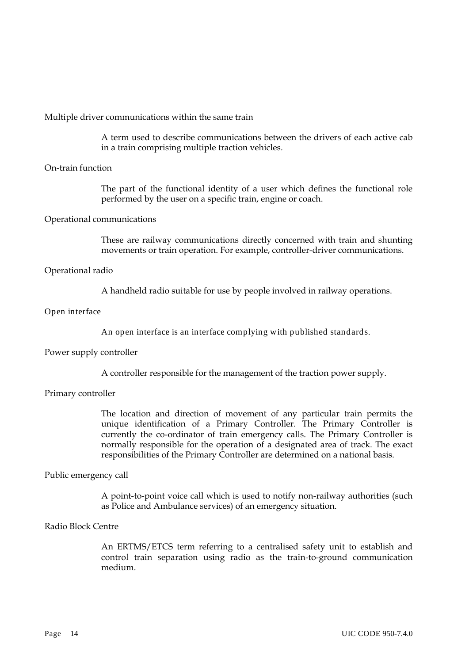Multiple driver communications within the same train

A term used to describe communications between the drivers of each active cab in a train comprising multiple traction vehicles.

#### On-train function

The part of the functional identity of a user which defines the functional role performed by the user on a specific train, engine or coach.

## Operational communications

These are railway communications directly concerned with train and shunting movements or train operation. For example, controller-driver communications.

#### Operational radio

A handheld radio suitable for use by people involved in railway operations.

#### Open interface

An open interface is an interface complying with published standards.

#### Power supply controller

A controller responsible for the management of the traction power supply.

#### Primary controller

The location and direction of movement of any particular train permits the unique identification of a Primary Controller. The Primary Controller is currently the co-ordinator of train emergency calls. The Primary Controller is normally responsible for the operation of a designated area of track. The exact responsibilities of the Primary Controller are determined on a national basis.

#### Public emergency call

A point-to-point voice call which is used to notify non-railway authorities (such as Police and Ambulance services) of an emergency situation.

## Radio Block Centre

An ERTMS/ETCS term referring to a centralised safety unit to establish and control train separation using radio as the train-to-ground communication medium.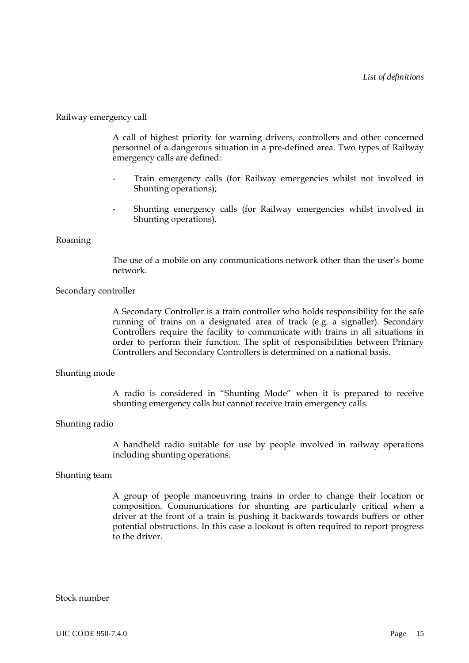#### Railway emergency call

A call of highest priority for warning drivers, controllers and other concerned personnel of a dangerous situation in a pre-defined area. Two types of Railway emergency calls are defined:

- Train emergency calls (for Railway emergencies whilst not involved in Shunting operations);
- Shunting emergency calls (for Railway emergencies whilst involved in Shunting operations).

#### Roaming

The use of a mobile on any communications network other than the user's home network.

#### Secondary controller

A Secondary Controller is a train controller who holds responsibility for the safe running of trains on a designated area of track (e.g. a signaller). Secondary Controllers require the facility to communicate with trains in all situations in order to perform their function. The split of responsibilities between Primary Controllers and Secondary Controllers is determined on a national basis.

## Shunting mode

A radio is considered in "Shunting Mode" when it is prepared to receive shunting emergency calls but cannot receive train emergency calls.

#### Shunting radio

A handheld radio suitable for use by people involved in railway operations including shunting operations.

#### Shunting team

A group of people manoeuvring trains in order to change their location or composition. Communications for shunting are particularly critical when a driver at the front of a train is pushing it backwards towards buffers or other potential obstructions. In this case a lookout is often required to report progress to the driver.

#### Stock number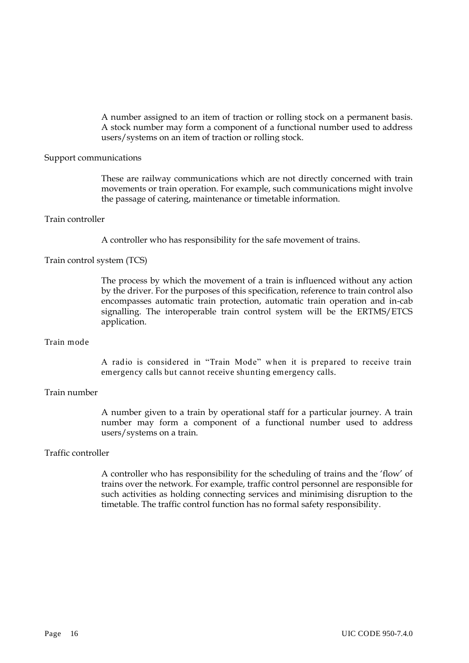A number assigned to an item of traction or rolling stock on a permanent basis. A stock number may form a component of a functional number used to address users/systems on an item of traction or rolling stock.

#### Support communications

These are railway communications which are not directly concerned with train movements or train operation. For example, such communications might involve the passage of catering, maintenance or timetable information.

#### Train controller

A controller who has responsibility for the safe movement of trains.

## Train control system (TCS)

The process by which the movement of a train is influenced without any action by the driver. For the purposes of this specification, reference to train control also encompasses automatic train protection, automatic train operation and in-cab signalling. The interoperable train control system will be the ERTMS/ETCS application.

#### Train mode

A radio is considered in "Train Mode" when it is prepared to receive train emergency calls but cannot receive shunting emergency calls.

## Train number

A number given to a train by operational staff for a particular journey. A train number may form a component of a functional number used to address users/systems on a train.

## Traffic controller

A controller who has responsibility for the scheduling of trains and the 'flow' of trains over the network. For example, traffic control personnel are responsible for such activities as holding connecting services and minimising disruption to the timetable. The traffic control function has no formal safety responsibility.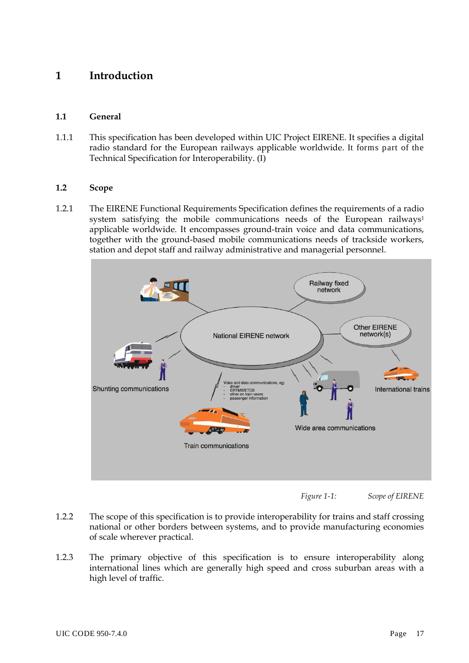## **1 Introduction**

## **1.1 General**

1.1.1 This specification has been developed within UIC Project EIRENE. It specifies a digital radio standard for the European railways applicable worldwide. It forms part of the Technical Specification for Interoperability. (I)

## **1.2 Scope**

1.2.1 The EIRENE Functional Requirements Specification defines the requirements of a radio system satisfying the mobile communications needs of the European railways<sup>1</sup> applicable worldwide. It encompasses ground-train voice and data communications, together with the ground-based mobile communications needs of trackside workers, station and depot staff and railway administrative and managerial personnel.



*Figure 1-1: Scope of EIRENE*

- 1.2.2 The scope of this specification is to provide interoperability for trains and staff crossing national or other borders between systems, and to provide manufacturing economies of scale wherever practical.
- 1.2.3 The primary objective of this specification is to ensure interoperability along international lines which are generally high speed and cross suburban areas with a high level of traffic.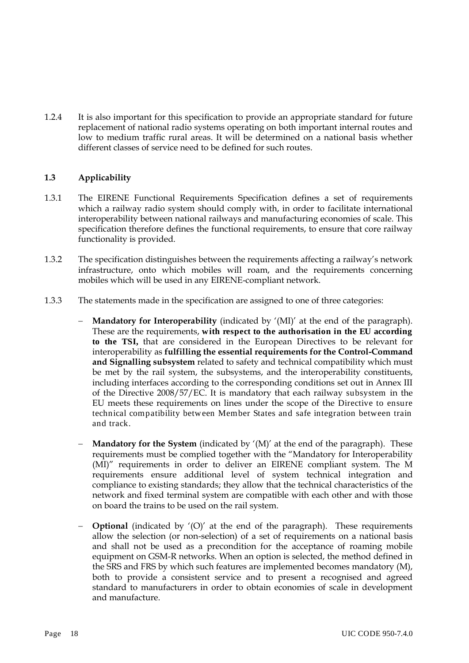1.2.4 It is also important for this specification to provide an appropriate standard for future replacement of national radio systems operating on both important internal routes and low to medium traffic rural areas. It will be determined on a national basis whether different classes of service need to be defined for such routes.

## **1.3 Applicability**

- 1.3.1 The EIRENE Functional Requirements Specification defines a set of requirements which a railway radio system should comply with, in order to facilitate international interoperability between national railways and manufacturing economies of scale. This specification therefore defines the functional requirements, to ensure that core railway functionality is provided.
- 1.3.2 The specification distinguishes between the requirements affecting a railway's network infrastructure, onto which mobiles will roam, and the requirements concerning mobiles which will be used in any EIRENE-compliant network.
- 1.3.3 The statements made in the specification are assigned to one of three categories:
	- **Mandatory for Interoperability** (indicated by '(MI)' at the end of the paragraph). These are the requirements, **with respect to the authorisation in the EU according to the TSI,** that are considered in the European Directives to be relevant for interoperability as **fulfilling the essential requirements for the Control-Command and Signalling subsystem** related to safety and technical compatibility which must be met by the rail system, the subsystems, and the interoperability constituents, including interfaces according to the corresponding conditions set out in Annex III of the Directive 2008/57/EC. It is mandatory that each railway subsystem in the EU meets these requirements on lines under the scope of the Directive to ensure technical compatibility between Member States and safe integration between train and track.
	- **Mandatory for the System** (indicated by '(M)' at the end of the paragraph). These requirements must be complied together with the "Mandatory for Interoperability (MI)" requirements in order to deliver an EIRENE compliant system. The M requirements ensure additional level of system technical integration and compliance to existing standards; they allow that the technical characteristics of the network and fixed terminal system are compatible with each other and with those on board the trains to be used on the rail system.
	- **Optional** (indicated by '(O)' at the end of the paragraph). These requirements allow the selection (or non-selection) of a set of requirements on a national basis and shall not be used as a precondition for the acceptance of roaming mobile equipment on GSM-R networks. When an option is selected, the method defined in the SRS and FRS by which such features are implemented becomes mandatory (M), both to provide a consistent service and to present a recognised and agreed standard to manufacturers in order to obtain economies of scale in development and manufacture.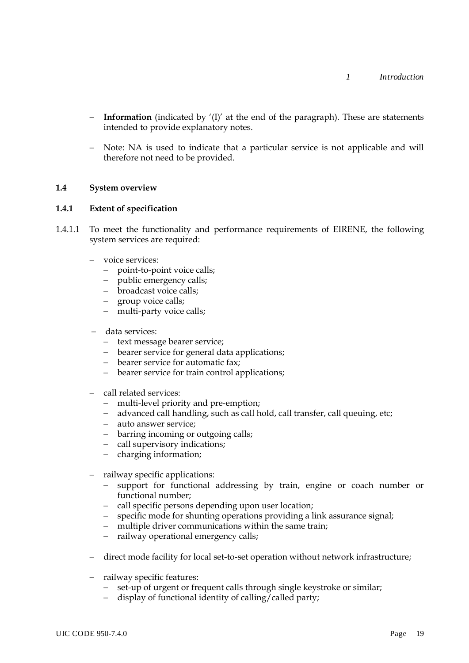- **Information** (indicated by '(I)' at the end of the paragraph). These are statements intended to provide explanatory notes.
- Note: NA is used to indicate that a particular service is not applicable and will therefore not need to be provided.

## **1.4 System overview**

## **1.4.1 Extent of specification**

- 1.4.1.1 To meet the functionality and performance requirements of EIRENE, the following system services are required:
	- voice services:
		- point-to-point voice calls;
		- public emergency calls;
		- **broadcast** voice calls;
		- group voice calls;
		- multi-party voice calls;
	- data services:
		- text message bearer service;
		- bearer service for general data applications;
		- bearer service for automatic fax;
		- bearer service for train control applications;
	- call related services:
		- multi-level priority and pre-emption;
		- advanced call handling, such as call hold, call transfer, call queuing, etc;
		- auto answer service;
		- barring incoming or outgoing calls;
		- call supervisory indications;
		- charging information;
	- railway specific applications:
		- support for functional addressing by train, engine or coach number or functional number;
		- call specific persons depending upon user location;
		- specific mode for shunting operations providing a link assurance signal;
		- multiple driver communications within the same train;
		- railway operational emergency calls;
	- direct mode facility for local set-to-set operation without network infrastructure;
	- railway specific features:
		- set-up of urgent or frequent calls through single keystroke or similar;
		- display of functional identity of calling/called party;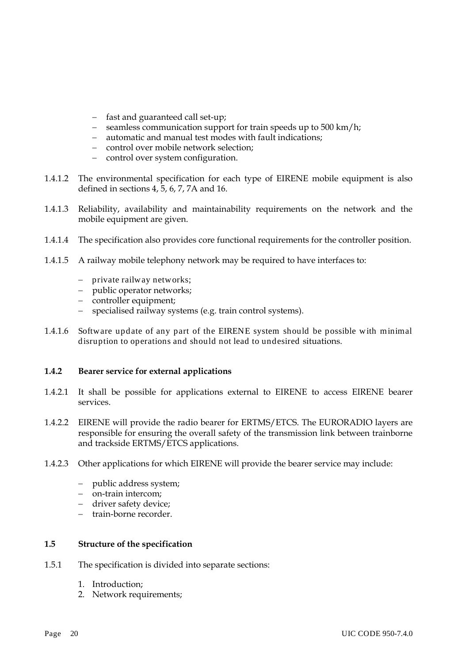- fast and guaranteed call set-up;
- seamless communication support for train speeds up to 500 km/h;
- automatic and manual test modes with fault indications;
- control over mobile network selection;
- control over system configuration.
- 1.4.1.2 The environmental specification for each type of EIRENE mobile equipment is also defined in sections 4, 5, 6, 7, 7A and 16.
- 1.4.1.3 Reliability, availability and maintainability requirements on the network and the mobile equipment are given.
- 1.4.1.4 The specification also provides core functional requirements for the controller position.
- 1.4.1.5 A railway mobile telephony network may be required to have interfaces to:
	- private railway networks;
	- public operator networks;
	- controller equipment;
	- specialised railway systems (e.g. train control systems).
- 1.4.1.6 Software update of any part of the EIRENE system should be possible with minimal disruption to operations and should not lead to undesired situations.

## **1.4.2 Bearer service for external applications**

- 1.4.2.1 It shall be possible for applications external to EIRENE to access EIRENE bearer services.
- 1.4.2.2 EIRENE will provide the radio bearer for ERTMS/ETCS. The EURORADIO layers are responsible for ensuring the overall safety of the transmission link between trainborne and trackside ERTMS/ETCS applications.
- 1.4.2.3 Other applications for which EIRENE will provide the bearer service may include:
	- public address system;
	- on-train intercom;
	- driver safety device;
	- train-borne recorder.

## **1.5 Structure of the specification**

- 1.5.1 The specification is divided into separate sections:
	- 1. Introduction;
	- 2. Network requirements;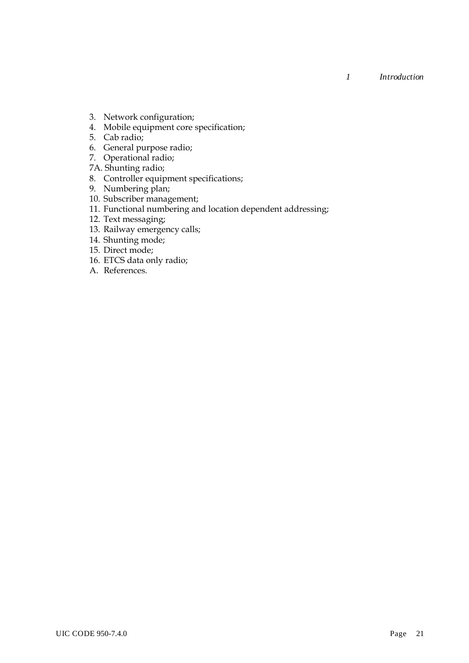*1 Introduction*

- 3. Network configuration;
- 4. Mobile equipment core specification;
- 5. Cab radio;
- 6. General purpose radio;
- 7. Operational radio;
- 7A. Shunting radio;
- 8. Controller equipment specifications;
- 9. Numbering plan;
- 10. Subscriber management;
- 11. Functional numbering and location dependent addressing;
- 12. Text messaging;
- 13. Railway emergency calls;
- 14. Shunting mode;
- 15. Direct mode;
- 16. ETCS data only radio;
- A. References.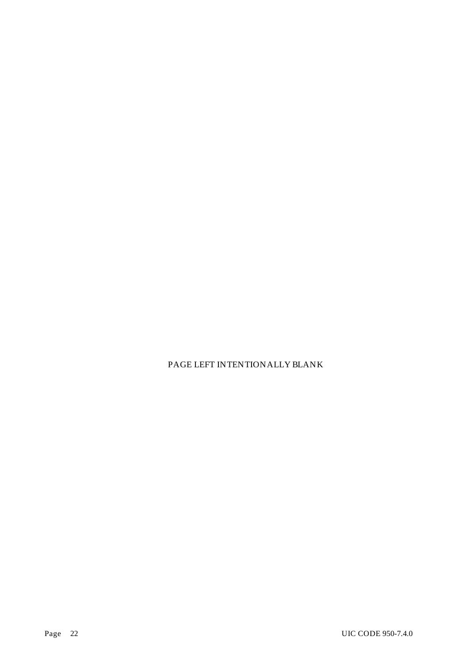PAGE LEFT INTENTIONALLY BLANK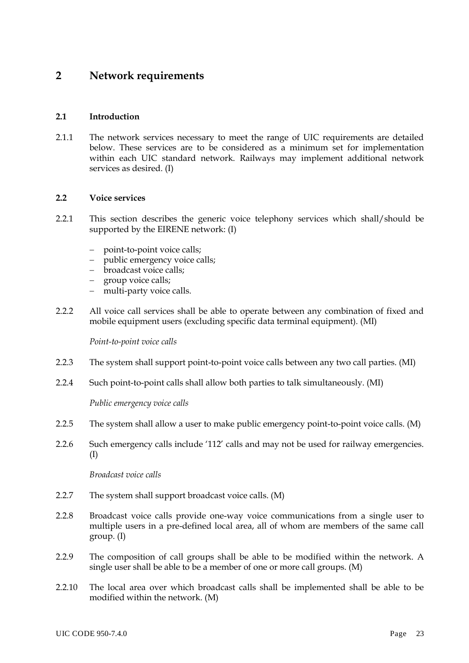## **2 Network requirements**

## **2.1 Introduction**

2.1.1 The network services necessary to meet the range of UIC requirements are detailed below. These services are to be considered as a minimum set for implementation within each UIC standard network. Railways may implement additional network services as desired. (I)

## **2.2 Voice services**

- 2.2.1 This section describes the generic voice telephony services which shall/should be supported by the EIRENE network: (I)
	- point-to-point voice calls;
	- public emergency voice calls;
	- broadcast voice calls:
	- group voice calls;
	- multi-party voice calls.
- 2.2.2 All voice call services shall be able to operate between any combination of fixed and mobile equipment users (excluding specific data terminal equipment). (MI)

*Point-to-point voice calls*

- 2.2.3 The system shall support point-to-point voice calls between any two call parties. (MI)
- 2.2.4 Such point-to-point calls shall allow both parties to talk simultaneously. (MI)

*Public emergency voice calls*

- 2.2.5 The system shall allow a user to make public emergency point-to-point voice calls. (M)
- 2.2.6 Such emergency calls include '112' calls and may not be used for railway emergencies. (I)

*Broadcast voice calls*

- 2.2.7 The system shall support broadcast voice calls. (M)
- 2.2.8 Broadcast voice calls provide one-way voice communications from a single user to multiple users in a pre-defined local area, all of whom are members of the same call group. (I)
- 2.2.9 The composition of call groups shall be able to be modified within the network. A single user shall be able to be a member of one or more call groups. (M)
- 2.2.10 The local area over which broadcast calls shall be implemented shall be able to be modified within the network. (M)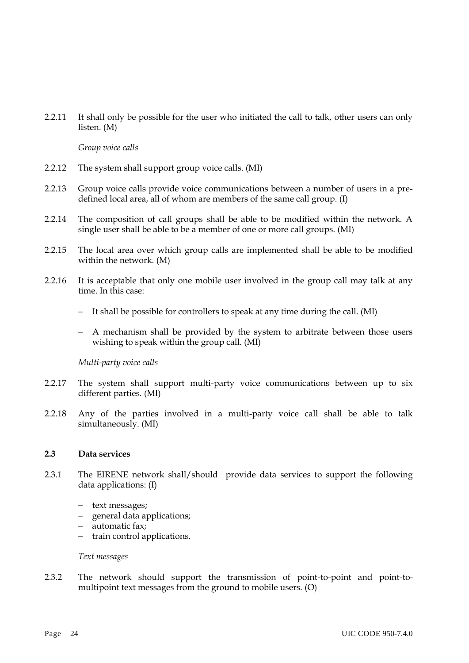2.2.11 It shall only be possible for the user who initiated the call to talk, other users can only listen. (M)

*Group voice calls*

- 2.2.12 The system shall support group voice calls. (MI)
- 2.2.13 Group voice calls provide voice communications between a number of users in a predefined local area, all of whom are members of the same call group. (I)
- 2.2.14 The composition of call groups shall be able to be modified within the network. A single user shall be able to be a member of one or more call groups. (MI)
- 2.2.15 The local area over which group calls are implemented shall be able to be modified within the network. (M)
- 2.2.16 It is acceptable that only one mobile user involved in the group call may talk at any time. In this case:
	- It shall be possible for controllers to speak at any time during the call. (MI)
	- A mechanism shall be provided by the system to arbitrate between those users wishing to speak within the group call. (MI)

*Multi-party voice calls*

- 2.2.17 The system shall support multi-party voice communications between up to six different parties. (MI)
- 2.2.18 Any of the parties involved in a multi-party voice call shall be able to talk simultaneously. (MI)

## **2.3 Data services**

- 2.3.1 The EIRENE network shall/should provide data services to support the following data applications: (I)
	- text messages;
	- general data applications;
	- automatic fax;
	- train control applications.

#### *Text messages*

2.3.2 The network should support the transmission of point-to-point and point-tomultipoint text messages from the ground to mobile users. (O)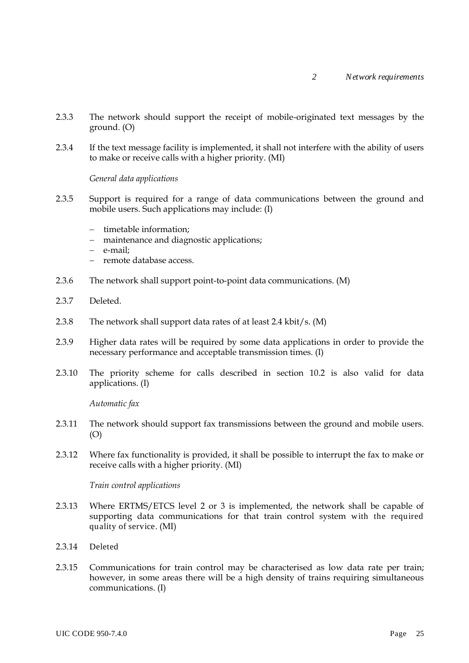- 2.3.3 The network should support the receipt of mobile-originated text messages by the ground. (O)
- 2.3.4 If the text message facility is implemented, it shall not interfere with the ability of users to make or receive calls with a higher priority. (MI)

*General data applications*

- 2.3.5 Support is required for a range of data communications between the ground and mobile users. Such applications may include: (I)
	- timetable information:
	- maintenance and diagnostic applications;
	- e-mail;
	- remote database access.
- 2.3.6 The network shall support point-to-point data communications. (M)
- 2.3.7 Deleted.
- 2.3.8 The network shall support data rates of at least 2.4 kbit/s. (M)
- 2.3.9 Higher data rates will be required by some data applications in order to provide the necessary performance and acceptable transmission times. (I)
- 2.3.10 The priority scheme for calls described in section 10.2 is also valid for data applications. (I)

*Automatic fax*

- 2.3.11 The network should support fax transmissions between the ground and mobile users. (O)
- 2.3.12 Where fax functionality is provided, it shall be possible to interrupt the fax to make or receive calls with a higher priority. (MI)

*Train control applications*

- 2.3.13 Where ERTMS/ETCS level 2 or 3 is implemented, the network shall be capable of supporting data communications for that train control system with the required quality of service. (MI)
- 2.3.14 Deleted
- 2.3.15 Communications for train control may be characterised as low data rate per train; however, in some areas there will be a high density of trains requiring simultaneous communications. (I)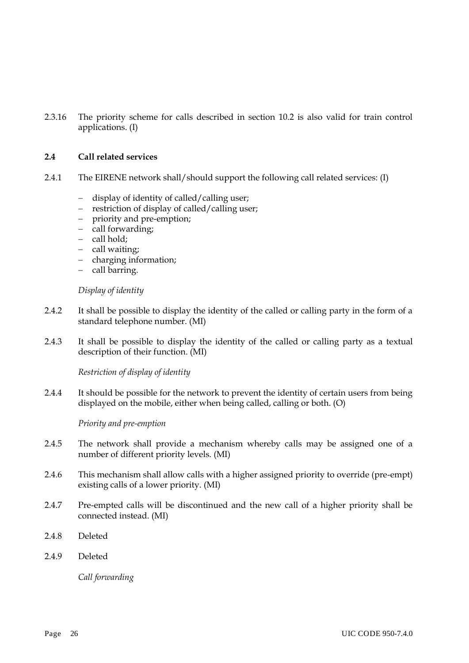2.3.16 The priority scheme for calls described in section 10.2 is also valid for train control applications. (I)

## **2.4 Call related services**

- 2.4.1 The EIRENE network shall/should support the following call related services: (I)
	- display of identity of called/calling user;
	- restriction of display of called/calling user;
	- priority and pre-emption;
	- call forwarding;
	- call hold;
	- call waiting;
	- charging information;
	- call barring.

## *Display of identity*

- 2.4.2 It shall be possible to display the identity of the called or calling party in the form of a standard telephone number. (MI)
- 2.4.3 It shall be possible to display the identity of the called or calling party as a textual description of their function. (MI)

*Restriction of display of identity*

2.4.4 It should be possible for the network to prevent the identity of certain users from being displayed on the mobile, either when being called, calling or both. (O)

## *Priority and pre-emption*

- 2.4.5 The network shall provide a mechanism whereby calls may be assigned one of a number of different priority levels. (MI)
- 2.4.6 This mechanism shall allow calls with a higher assigned priority to override (pre-empt) existing calls of a lower priority. (MI)
- 2.4.7 Pre-empted calls will be discontinued and the new call of a higher priority shall be connected instead. (MI)
- 2.4.8 Deleted
- 2.4.9 Deleted

*Call forwarding*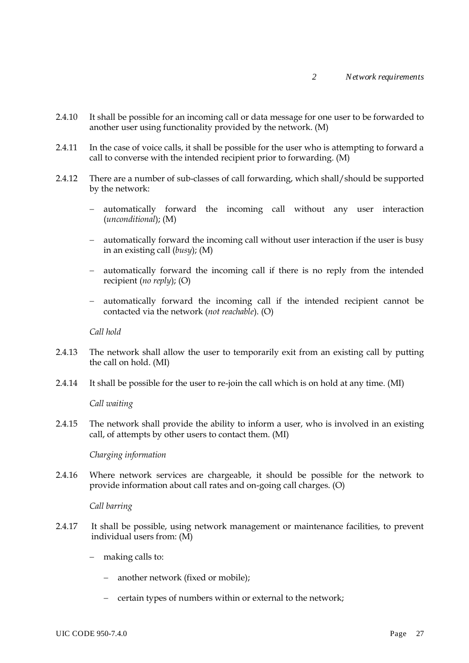- 2.4.10 It shall be possible for an incoming call or data message for one user to be forwarded to another user using functionality provided by the network. (M)
- 2.4.11 In the case of voice calls, it shall be possible for the user who is attempting to forward a call to converse with the intended recipient prior to forwarding. (M)
- 2.4.12 There are a number of sub-classes of call forwarding, which shall/should be supported by the network:
	- automatically forward the incoming call without any user interaction (*unconditional*); (M)
	- automatically forward the incoming call without user interaction if the user is busy in an existing call (*busy*); (M)
	- automatically forward the incoming call if there is no reply from the intended recipient (*no reply*); (O)
	- automatically forward the incoming call if the intended recipient cannot be contacted via the network (*not reachable*). (O)

*Call hold*

- 2.4.13 The network shall allow the user to temporarily exit from an existing call by putting the call on hold. (MI)
- 2.4.14 It shall be possible for the user to re-join the call which is on hold at any time. (MI)

*Call waiting*

2.4.15 The network shall provide the ability to inform a user, who is involved in an existing call, of attempts by other users to contact them. (MI)

*Charging information*

2.4.16 Where network services are chargeable, it should be possible for the network to provide information about call rates and on-going call charges. (O)

*Call barring*

- 2.4.17 It shall be possible, using network management or maintenance facilities, to prevent individual users from: (M)
	- making calls to:
		- another network (fixed or mobile);
		- certain types of numbers within or external to the network;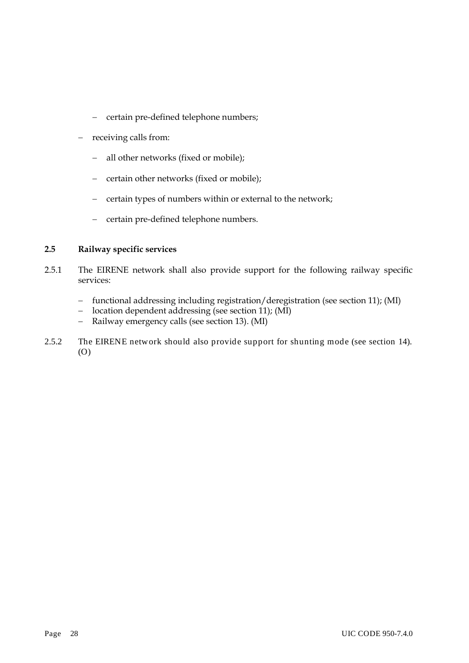- certain pre-defined telephone numbers;
- receiving calls from:
	- all other networks (fixed or mobile);
	- certain other networks (fixed or mobile);
	- certain types of numbers within or external to the network;
	- certain pre-defined telephone numbers.

## **2.5 Railway specific services**

- 2.5.1 The EIRENE network shall also provide support for the following railway specific services:
	- functional addressing including registration/deregistration (see section 11); (MI)
	- location dependent addressing (see section 11); (MI)
	- Railway emergency calls (see section 13). (MI)
- 2.5.2 The EIRENE network should also provide support for shunting mode (see section 14). (O)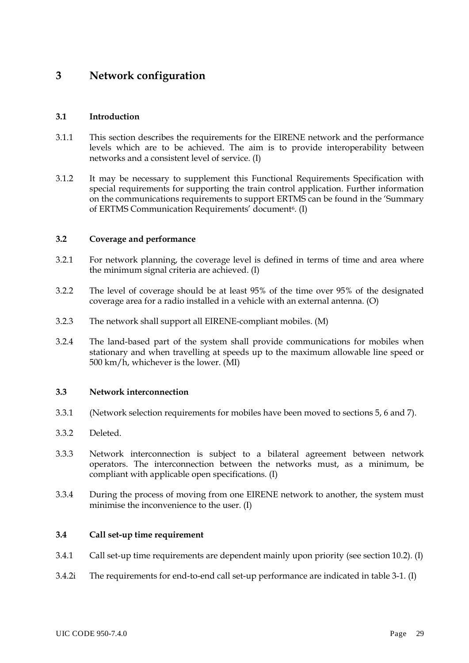## **3 Network configuration**

## **3.1 Introduction**

- 3.1.1 This section describes the requirements for the EIRENE network and the performance levels which are to be achieved. The aim is to provide interoperability between networks and a consistent level of service. (I)
- 3.1.2 It may be necessary to supplement this Functional Requirements Specification with special requirements for supporting the train control application. Further information on the communications requirements to support ERTMS can be found in the 'Summary of ERTMS Communication Requirements' document<sup>6</sup>. (I)

## **3.2 Coverage and performance**

- 3.2.1 For network planning, the coverage level is defined in terms of time and area where the minimum signal criteria are achieved. (I)
- 3.2.2 The level of coverage should be at least 95% of the time over 95% of the designated coverage area for a radio installed in a vehicle with an external antenna. (O)
- 3.2.3 The network shall support all EIRENE-compliant mobiles. (M)
- 3.2.4 The land-based part of the system shall provide communications for mobiles when stationary and when travelling at speeds up to the maximum allowable line speed or 500 km/h, whichever is the lower. (MI)

## **3.3 Network interconnection**

- 3.3.1 (Network selection requirements for mobiles have been moved to sections 5, 6 and 7).
- 3.3.2 Deleted.
- 3.3.3 Network interconnection is subject to a bilateral agreement between network operators. The interconnection between the networks must, as a minimum, be compliant with applicable open specifications. (I)
- 3.3.4 During the process of moving from one EIRENE network to another, the system must minimise the inconvenience to the user. (I)

## **3.4 Call set-up time requirement**

- 3.4.1 Call set-up time requirements are dependent mainly upon priority (see section 10.2). (I)
- 3.4.2i The requirements for end-to-end call set-up performance are indicated in table 3-1. (I)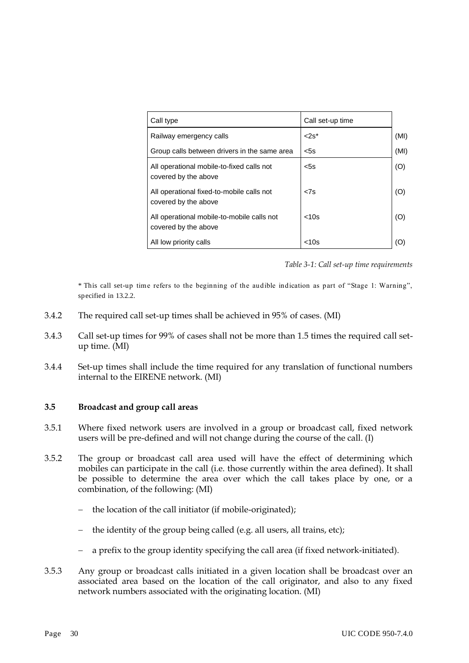| Call type                                                          | Call set-up time   |      |
|--------------------------------------------------------------------|--------------------|------|
| Railway emergency calls                                            | $<2s$ <sup>*</sup> | (MI) |
| Group calls between drivers in the same area                       | $<$ 5s             | (MI) |
| All operational mobile-to-fixed calls not<br>covered by the above  | $<$ 5s             | (O)  |
| All operational fixed-to-mobile calls not<br>covered by the above  | <7s                | (O)  |
| All operational mobile-to-mobile calls not<br>covered by the above | $<$ 10s            | (O)  |
| All low priority calls                                             | <10s               | (O)  |

*Table 3-1: Call set-up time requirements*

\* This call set-up time refers to the beginning of the audible indication as part of "Stage 1: Warning", specified in 13.2.2.

- 3.4.2 The required call set-up times shall be achieved in 95% of cases. (MI)
- 3.4.3 Call set-up times for 99% of cases shall not be more than 1.5 times the required call setup time. (MI)
- 3.4.4 Set-up times shall include the time required for any translation of functional numbers internal to the EIRENE network. (MI)

## **3.5 Broadcast and group call areas**

- 3.5.1 Where fixed network users are involved in a group or broadcast call, fixed network users will be pre-defined and will not change during the course of the call. (I)
- 3.5.2 The group or broadcast call area used will have the effect of determining which mobiles can participate in the call (i.e. those currently within the area defined). It shall be possible to determine the area over which the call takes place by one, or a combination, of the following: (MI)
	- the location of the call initiator (if mobile-originated);
	- the identity of the group being called (e.g. all users, all trains, etc);
	- a prefix to the group identity specifying the call area (if fixed network-initiated).
- 3.5.3 Any group or broadcast calls initiated in a given location shall be broadcast over an associated area based on the location of the call originator, and also to any fixed network numbers associated with the originating location. (MI)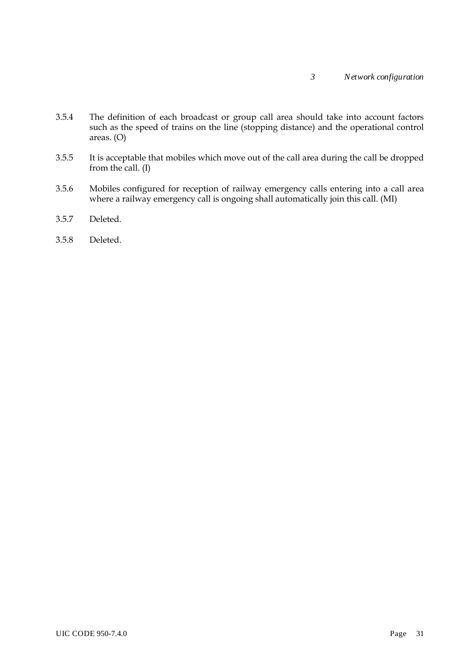- 3.5.4 The definition of each broadcast or group call area should take into account factors such as the speed of trains on the line (stopping distance) and the operational control areas. (O)
- 3.5.5 It is acceptable that mobiles which move out of the call area during the call be dropped from the call. (I)
- 3.5.6 Mobiles configured for reception of railway emergency calls entering into a call area where a railway emergency call is ongoing shall automatically join this call. (MI)
- 3.5.7 Deleted.
- 3.5.8 Deleted.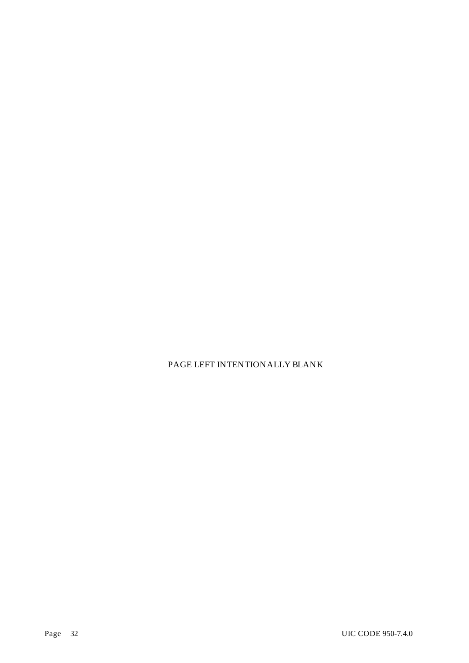PAGE LEFT INTENTIONALLY BLANK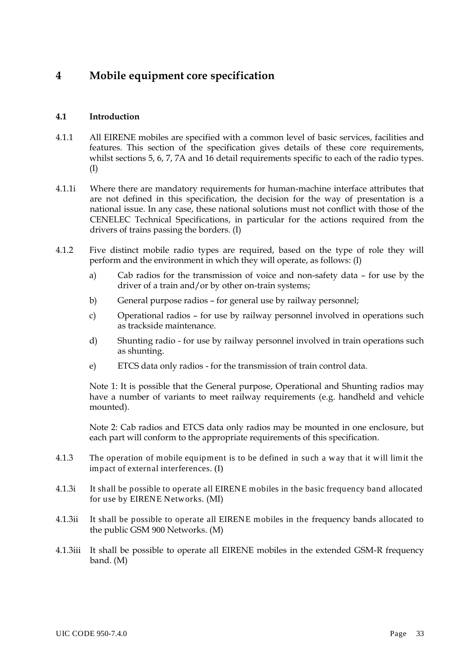## **4 Mobile equipment core specification**

## **4.1 Introduction**

- 4.1.1 All EIRENE mobiles are specified with a common level of basic services, facilities and features. This section of the specification gives details of these core requirements, whilst sections 5, 6, 7, 7A and 16 detail requirements specific to each of the radio types. (I)
- 4.1.1i Where there are mandatory requirements for human-machine interface attributes that are not defined in this specification, the decision for the way of presentation is a national issue. In any case, these national solutions must not conflict with those of the CENELEC Technical Specifications, in particular for the actions required from the drivers of trains passing the borders. (I)
- 4.1.2 Five distinct mobile radio types are required, based on the type of role they will perform and the environment in which they will operate, as follows: (I)
	- a) Cab radios for the transmission of voice and non-safety data for use by the driver of a train and/or by other on-train systems;
	- b) General purpose radios for general use by railway personnel;
	- c) Operational radios for use by railway personnel involved in operations such as trackside maintenance.
	- d) Shunting radio for use by railway personnel involved in train operations such as shunting.
	- e) ETCS data only radios for the transmission of train control data.

Note 1: It is possible that the General purpose, Operational and Shunting radios may have a number of variants to meet railway requirements (e.g. handheld and vehicle mounted).

Note 2: Cab radios and ETCS data only radios may be mounted in one enclosure, but each part will conform to the appropriate requirements of this specification.

- 4.1.3 The operation of mobile equipment is to be defined in such a way that it will limit the impact of external interferences. (I)
- 4.1.3i It shall be possible to operate all EIRENE mobiles in the basic frequency band allocated for use by EIRENE Networks. (MI)
- 4.1.3ii It shall be possible to operate all EIRENE mobiles in the frequency bands allocated to the public GSM 900 Networks. (M)
- 4.1.3iii It shall be possible to operate all EIRENE mobiles in the extended GSM-R frequency band. (M)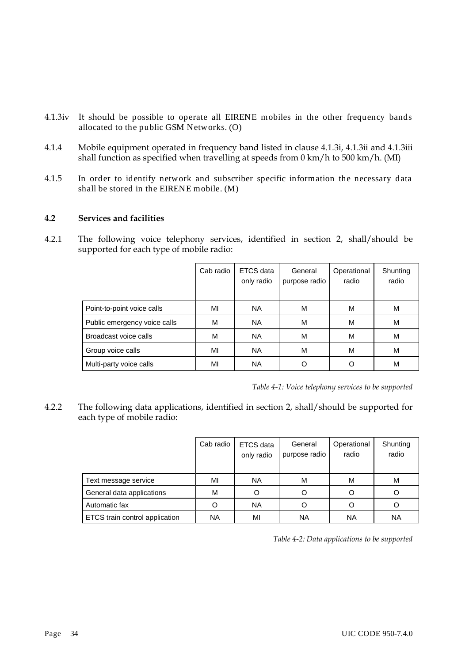- 4.1.3iv It should be possible to operate all EIRENE mobiles in the other frequency bands allocated to the public GSM Networks. (O)
- 4.1.4 Mobile equipment operated in frequency band listed in clause 4.1.3i, 4.1.3ii and 4.1.3iii shall function as specified when travelling at speeds from 0 km/h to 500 km/h. (MI)
- 4.1.5 In order to identify network and subscriber specific information the necessary data shall be stored in the EIRENE mobile. (M)

## **4.2 Services and facilities**

4.2.1 The following voice telephony services, identified in section 2, shall/should be supported for each type of mobile radio:

|                              | Cab radio | ETCS data<br>only radio | General<br>purpose radio | Operational<br>radio | Shunting<br>radio |
|------------------------------|-----------|-------------------------|--------------------------|----------------------|-------------------|
| Point-to-point voice calls   | MI        | <b>NA</b>               | М                        | м                    | M                 |
| Public emergency voice calls | M         | <b>NA</b>               | M                        | м                    | M                 |
| Broadcast voice calls        | M         | <b>NA</b>               | M                        | M                    | M                 |
| Group voice calls            | MI        | <b>NA</b>               | M                        | M                    | M                 |
| Multi-party voice calls      | MI        | <b>NA</b>               |                          | ∩                    | M                 |

*Table 4-1: Voice telephony services to be supported*

4.2.2 The following data applications, identified in section 2, shall/should be supported for each type of mobile radio:

|                                | Cab radio | ETCS data<br>only radio | General<br>purpose radio | Operational<br>radio | Shunting<br>radio |
|--------------------------------|-----------|-------------------------|--------------------------|----------------------|-------------------|
| Text message service           | MI        | ΝA                      | M                        | M                    | М                 |
| General data applications      | M         | O                       |                          |                      |                   |
| Automatic fax                  | Ω         | <b>NA</b>               |                          |                      |                   |
| ETCS train control application | <b>NA</b> | MI                      | <b>NA</b>                | ΝA                   | ΝA                |

*Table 4-2: Data applications to be supported*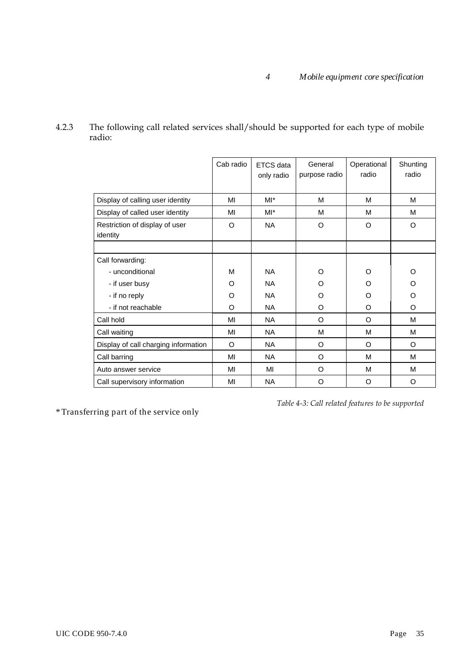|                                            | Cab radio | ETCS data<br>only radio | General<br>purpose radio | Operational<br>radio | Shunting<br>radio |
|--------------------------------------------|-----------|-------------------------|--------------------------|----------------------|-------------------|
| Display of calling user identity           | MI        | $M*$                    | M                        | м                    | M                 |
| Display of called user identity            | MI        | $M*$                    | M                        | M                    | M                 |
| Restriction of display of user<br>identity | O         | <b>NA</b>               | O                        | O                    | O                 |
|                                            |           |                         |                          |                      |                   |
| Call forwarding:                           |           |                         |                          |                      |                   |
| - unconditional                            | M         | <b>NA</b>               | O                        | O                    | O                 |
| - if user busy                             | $\Omega$  | <b>NA</b>               | O                        | ∩                    | O                 |
| - if no reply                              | O         | <b>NA</b>               | $\Omega$                 | O                    | O                 |
| - if not reachable                         | O         | <b>NA</b>               | O                        | O                    | O                 |
| Call hold                                  | MI        | <b>NA</b>               | O                        | O                    | M                 |
| Call waiting                               | MI        | <b>NA</b>               | M                        | м                    | M                 |
| Display of call charging information       | O         | <b>NA</b>               | O                        | O                    | O                 |
| Call barring                               | MI        | <b>NA</b>               | O                        | м                    | M                 |
| Auto answer service                        | MI        | MI                      | O                        | м                    | М                 |
| Call supervisory information               | MI        | <b>NA</b>               | O                        | O                    | O                 |

4.2.3 The following call related services shall/should be supported for each type of mobile radio:

\* Transferring part of the service only

*Table 4-3: Call related features to be supported*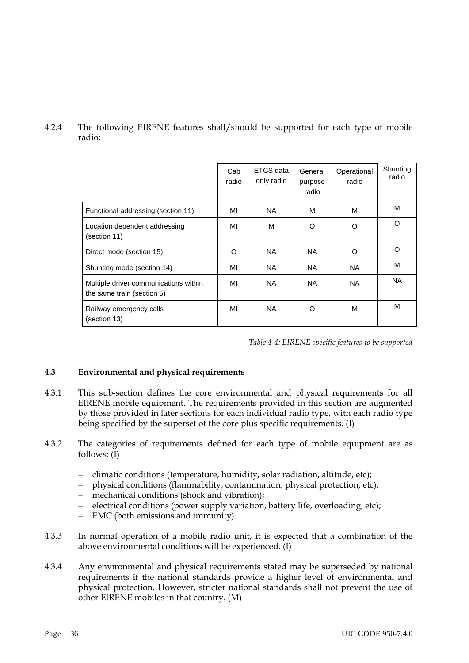4.2.4 The following EIRENE features shall/should be supported for each type of mobile radio:

|                                                                     | Cab<br>radio | ETCS data<br>only radio | General<br>purpose<br>radio | Operational<br>radio | Shunting<br>radio |
|---------------------------------------------------------------------|--------------|-------------------------|-----------------------------|----------------------|-------------------|
| Functional addressing (section 11)                                  | MI           | NA.                     | м                           | М                    | м                 |
| Location dependent addressing<br>(section 11)                       | MI           | м                       | $\Omega$                    | $\Omega$             | O                 |
| Direct mode (section 15)                                            | O            | <b>NA</b>               | NA.                         | O                    | O                 |
| Shunting mode (section 14)                                          | MI           | NA.                     | NA.                         | NA.                  | м                 |
| Multiple driver communications within<br>the same train (section 5) | MI           | NA.                     | NA.                         | NA.                  | <b>NA</b>         |
| Railway emergency calls<br>(section 13)                             | MI           | <b>NA</b>               | ∩                           | м                    | м                 |

*Table 4-4: EIRENE specific features to be supported*

# **4.3 Environmental and physical requirements**

- 4.3.1 This sub-section defines the core environmental and physical requirements for all EIRENE mobile equipment. The requirements provided in this section are augmented by those provided in later sections for each individual radio type, with each radio type being specified by the superset of the core plus specific requirements. (I)
- 4.3.2 The categories of requirements defined for each type of mobile equipment are as follows: (I)
	- climatic conditions (temperature, humidity, solar radiation, altitude, etc);
	- physical conditions (flammability, contamination, physical protection, etc);
	- mechanical conditions (shock and vibration);
	- electrical conditions (power supply variation, battery life, overloading, etc);
	- EMC (both emissions and immunity).
- 4.3.3 In normal operation of a mobile radio unit, it is expected that a combination of the above environmental conditions will be experienced. (I)
- 4.3.4 Any environmental and physical requirements stated may be superseded by national requirements if the national standards provide a higher level of environmental and physical protection. However, stricter national standards shall not prevent the use of other EIRENE mobiles in that country. (M)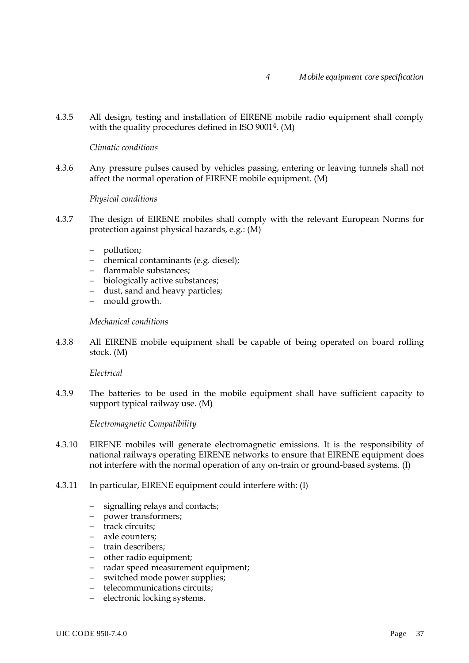4.3.5 All design, testing and installation of EIRENE mobile radio equipment shall comply with the quality procedures defined in ISO 9001<sup>4</sup>. (M)

*Climatic conditions*

4.3.6 Any pressure pulses caused by vehicles passing, entering or leaving tunnels shall not affect the normal operation of EIRENE mobile equipment. (M)

*Physical conditions*

- 4.3.7 The design of EIRENE mobiles shall comply with the relevant European Norms for protection against physical hazards, e.g.: (M)
	- pollution;
	- chemical contaminants (e.g. diesel);
	- flammable substances:
	- biologically active substances;
	- dust, sand and heavy particles;
	- mould growth.

#### *Mechanical conditions*

4.3.8 All EIRENE mobile equipment shall be capable of being operated on board rolling stock. (M)

*Electrical*

4.3.9 The batteries to be used in the mobile equipment shall have sufficient capacity to support typical railway use. (M)

*Electromagnetic Compatibility*

- 4.3.10 EIRENE mobiles will generate electromagnetic emissions. It is the responsibility of national railways operating EIRENE networks to ensure that EIRENE equipment does not interfere with the normal operation of any on-train or ground-based systems. (I)
- 4.3.11 In particular, EIRENE equipment could interfere with: (I)
	- signalling relays and contacts;
	- power transformers;
	- track circuits;
	- axle counters:
	- train describers;
	- other radio equipment;
	- radar speed measurement equipment;
	- switched mode power supplies;
	- telecommunications circuits;
	- electronic locking systems.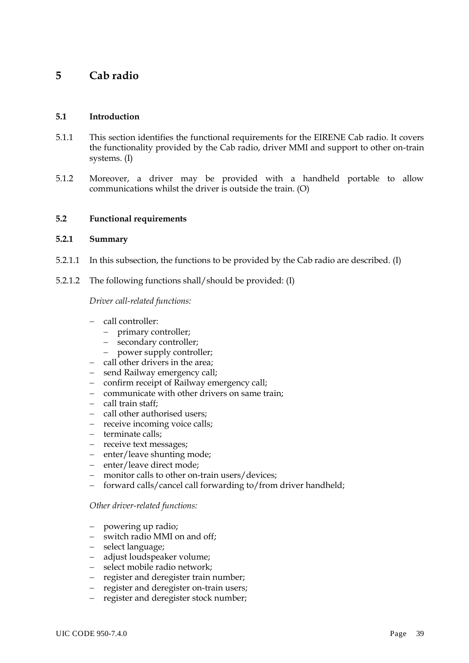# **5 Cab radio**

## **5.1 Introduction**

- 5.1.1 This section identifies the functional requirements for the EIRENE Cab radio. It covers the functionality provided by the Cab radio, driver MMI and support to other on-train systems. (I)
- 5.1.2 Moreover, a driver may be provided with a handheld portable to allow communications whilst the driver is outside the train. (O)

#### **5.2 Functional requirements**

#### **5.2.1 Summary**

- 5.2.1.1 In this subsection, the functions to be provided by the Cab radio are described. (I)
- 5.2.1.2 The following functions shall/should be provided: (I)

#### *Driver call-related functions:*

- call controller:
	- primary controller;
	- secondary controller;
	- power supply controller;
- call other drivers in the area;
- send Railway emergency call;
- confirm receipt of Railway emergency call;
- communicate with other drivers on same train;
- call train staff:
- call other authorised users;
- receive incoming voice calls;
- terminate calls;
- receive text messages;
- enter/leave shunting mode;
- enter/leave direct mode;
- monitor calls to other on-train users/devices;
- forward calls/cancel call forwarding to/from driver handheld;

#### *Other driver-related functions:*

- powering up radio;
- switch radio MMI on and off;
- select language;
- adjust loudspeaker volume;
- select mobile radio network;
- register and deregister train number;
- register and deregister on-train users;
- register and deregister stock number;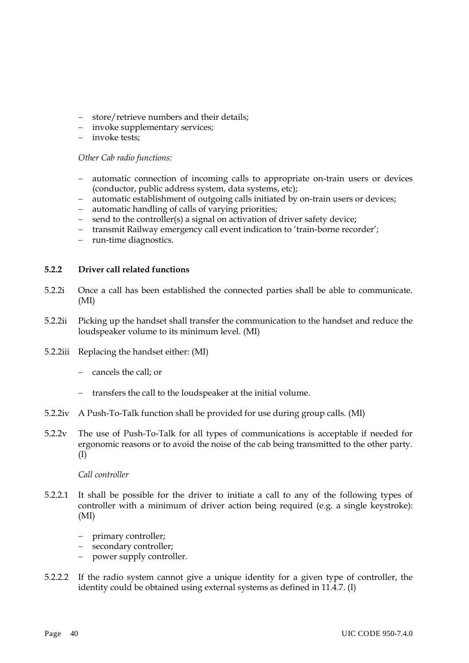- store/retrieve numbers and their details;
- invoke supplementary services;
- invoke tests;

*Other Cab radio functions:*

- automatic connection of incoming calls to appropriate on-train users or devices (conductor, public address system, data systems, etc);
- automatic establishment of outgoing calls initiated by on-train users or devices;
- automatic handling of calls of varying priorities;
- send to the controller(s) a signal on activation of driver safety device;
- transmit Railway emergency call event indication to 'train-borne recorder';
- run-time diagnostics.

## **5.2.2 Driver call related functions**

- 5.2.2i Once a call has been established the connected parties shall be able to communicate. (MI)
- 5.2.2ii Picking up the handset shall transfer the communication to the handset and reduce the loudspeaker volume to its minimum level. (MI)
- 5.2.2iii Replacing the handset either: (MI)
	- cancels the call; or
	- transfers the call to the loudspeaker at the initial volume.
- 5.2.2iv A Push-To-Talk function shall be provided for use during group calls. (MI)
- 5.2.2v The use of Push-To-Talk for all types of communications is acceptable if needed for ergonomic reasons or to avoid the noise of the cab being transmitted to the other party. (I)

*Call controller*

- 5.2.2.1 It shall be possible for the driver to initiate a call to any of the following types of controller with a minimum of driver action being required (e.g. a single keystroke): (MI)
	- primary controller;
	- secondary controller;
	- power supply controller.
- 5.2.2.2 If the radio system cannot give a unique identity for a given type of controller, the identity could be obtained using external systems as defined in 11.4.7. (I)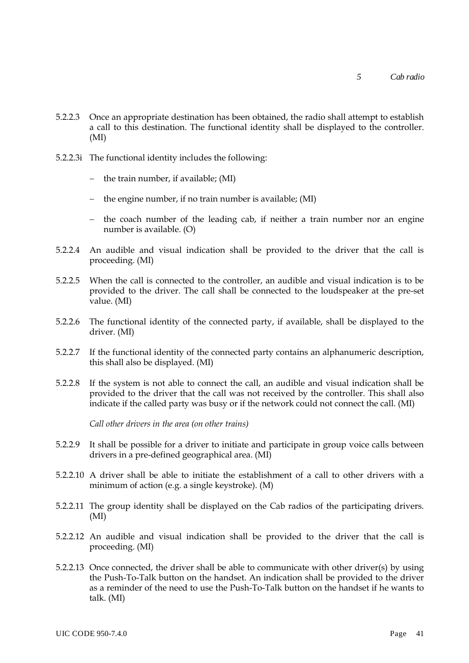- 5.2.2.3 Once an appropriate destination has been obtained, the radio shall attempt to establish a call to this destination. The functional identity shall be displayed to the controller. (MI)
- 5.2.2.3i The functional identity includes the following:
	- the train number, if available;  $(MI)$
	- the engine number, if no train number is available;  $(MI)$
	- the coach number of the leading cab, if neither a train number nor an engine number is available. (O)
- 5.2.2.4 An audible and visual indication shall be provided to the driver that the call is proceeding. (MI)
- 5.2.2.5 When the call is connected to the controller, an audible and visual indication is to be provided to the driver. The call shall be connected to the loudspeaker at the pre-set value. (MI)
- 5.2.2.6 The functional identity of the connected party, if available, shall be displayed to the driver. (MI)
- 5.2.2.7 If the functional identity of the connected party contains an alphanumeric description, this shall also be displayed. (MI)
- 5.2.2.8 If the system is not able to connect the call, an audible and visual indication shall be provided to the driver that the call was not received by the controller. This shall also indicate if the called party was busy or if the network could not connect the call. (MI)

*Call other drivers in the area (on other trains)*

- 5.2.2.9 It shall be possible for a driver to initiate and participate in group voice calls between drivers in a pre-defined geographical area. (MI)
- 5.2.2.10 A driver shall be able to initiate the establishment of a call to other drivers with a minimum of action (e.g. a single keystroke). (M)
- 5.2.2.11 The group identity shall be displayed on the Cab radios of the participating drivers. (MI)
- 5.2.2.12 An audible and visual indication shall be provided to the driver that the call is proceeding. (MI)
- 5.2.2.13 Once connected, the driver shall be able to communicate with other driver(s) by using the Push-To-Talk button on the handset. An indication shall be provided to the driver as a reminder of the need to use the Push-To-Talk button on the handset if he wants to talk. (MI)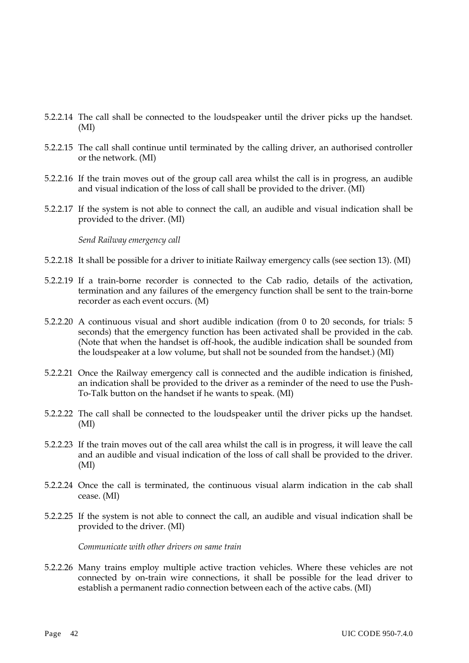- 5.2.2.14 The call shall be connected to the loudspeaker until the driver picks up the handset. (MI)
- 5.2.2.15 The call shall continue until terminated by the calling driver, an authorised controller or the network. (MI)
- 5.2.2.16 If the train moves out of the group call area whilst the call is in progress, an audible and visual indication of the loss of call shall be provided to the driver. (MI)
- 5.2.2.17 If the system is not able to connect the call, an audible and visual indication shall be provided to the driver. (MI)

*Send Railway emergency call* 

- 5.2.2.18 It shall be possible for a driver to initiate Railway emergency calls (see section 13). (MI)
- 5.2.2.19 If a train-borne recorder is connected to the Cab radio, details of the activation, termination and any failures of the emergency function shall be sent to the train-borne recorder as each event occurs. (M)
- 5.2.2.20 A continuous visual and short audible indication (from 0 to 20 seconds, for trials: 5 seconds) that the emergency function has been activated shall be provided in the cab. (Note that when the handset is off-hook, the audible indication shall be sounded from the loudspeaker at a low volume, but shall not be sounded from the handset.) (MI)
- 5.2.2.21 Once the Railway emergency call is connected and the audible indication is finished, an indication shall be provided to the driver as a reminder of the need to use the Push-To-Talk button on the handset if he wants to speak. (MI)
- 5.2.2.22 The call shall be connected to the loudspeaker until the driver picks up the handset. (MI)
- 5.2.2.23 If the train moves out of the call area whilst the call is in progress, it will leave the call and an audible and visual indication of the loss of call shall be provided to the driver. (MI)
- 5.2.2.24 Once the call is terminated, the continuous visual alarm indication in the cab shall cease. (MI)
- 5.2.2.25 If the system is not able to connect the call, an audible and visual indication shall be provided to the driver. (MI)

*Communicate with other drivers on same train*

5.2.2.26 Many trains employ multiple active traction vehicles. Where these vehicles are not connected by on-train wire connections, it shall be possible for the lead driver to establish a permanent radio connection between each of the active cabs. (MI)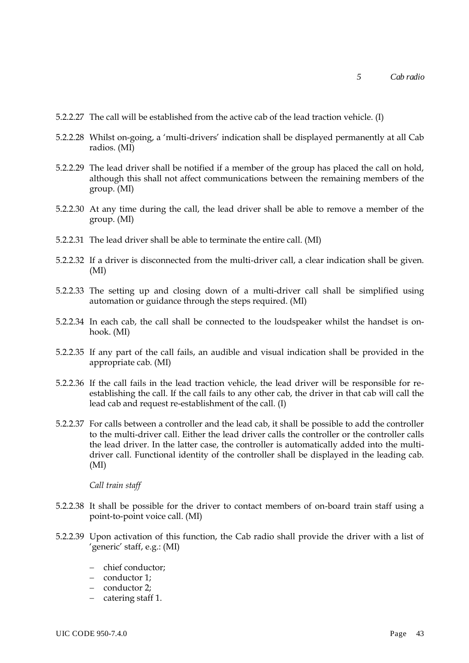- 5.2.2.27 The call will be established from the active cab of the lead traction vehicle. (I)
- 5.2.2.28 Whilst on-going, a 'multi-drivers' indication shall be displayed permanently at all Cab radios. (MI)
- 5.2.2.29 The lead driver shall be notified if a member of the group has placed the call on hold, although this shall not affect communications between the remaining members of the group. (MI)
- 5.2.2.30 At any time during the call, the lead driver shall be able to remove a member of the group. (MI)
- 5.2.2.31 The lead driver shall be able to terminate the entire call. (MI)
- 5.2.2.32 If a driver is disconnected from the multi-driver call, a clear indication shall be given. (MI)
- 5.2.2.33 The setting up and closing down of a multi-driver call shall be simplified using automation or guidance through the steps required. (MI)
- 5.2.2.34 In each cab, the call shall be connected to the loudspeaker whilst the handset is onhook. (MI)
- 5.2.2.35 If any part of the call fails, an audible and visual indication shall be provided in the appropriate cab. (MI)
- 5.2.2.36 If the call fails in the lead traction vehicle, the lead driver will be responsible for reestablishing the call. If the call fails to any other cab, the driver in that cab will call the lead cab and request re-establishment of the call. (I)
- 5.2.2.37 For calls between a controller and the lead cab, it shall be possible to add the controller to the multi-driver call. Either the lead driver calls the controller or the controller calls the lead driver. In the latter case, the controller is automatically added into the multidriver call. Functional identity of the controller shall be displayed in the leading cab. (MI)

*Call train staff*

- 5.2.2.38 It shall be possible for the driver to contact members of on-board train staff using a point-to-point voice call. (MI)
- 5.2.2.39 Upon activation of this function, the Cab radio shall provide the driver with a list of 'generic' staff, e.g.: (MI)
	- chief conductor:
	- conductor 1;
	- conductor 2;
	- catering staff 1.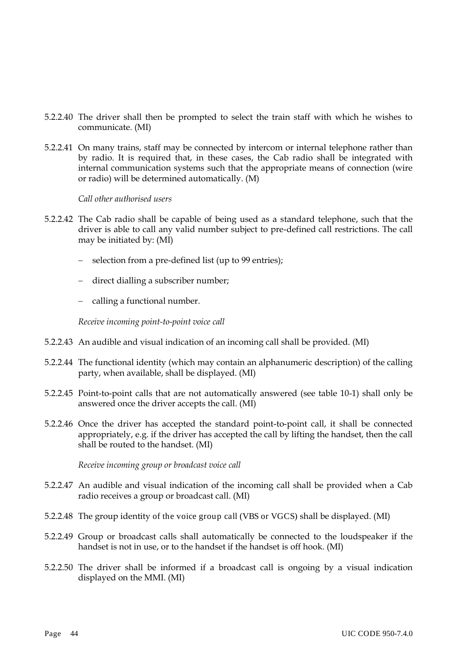- 5.2.2.40 The driver shall then be prompted to select the train staff with which he wishes to communicate. (MI)
- 5.2.2.41 On many trains, staff may be connected by intercom or internal telephone rather than by radio. It is required that, in these cases, the Cab radio shall be integrated with internal communication systems such that the appropriate means of connection (wire or radio) will be determined automatically. (M)

*Call other authorised users*

- 5.2.2.42 The Cab radio shall be capable of being used as a standard telephone, such that the driver is able to call any valid number subject to pre-defined call restrictions. The call may be initiated by: (MI)
	- selection from a pre-defined list (up to 99 entries);
	- direct dialling a subscriber number;
	- calling a functional number.

*Receive incoming point-to-point voice call*

- 5.2.2.43 An audible and visual indication of an incoming call shall be provided. (MI)
- 5.2.2.44 The functional identity (which may contain an alphanumeric description) of the calling party, when available, shall be displayed. (MI)
- 5.2.2.45 Point-to-point calls that are not automatically answered (see table 10-1) shall only be answered once the driver accepts the call. (MI)
- 5.2.2.46 Once the driver has accepted the standard point-to-point call, it shall be connected appropriately, e.g. if the driver has accepted the call by lifting the handset, then the call shall be routed to the handset. (MI)

*Receive incoming group or broadcast voice call*

- 5.2.2.47 An audible and visual indication of the incoming call shall be provided when a Cab radio receives a group or broadcast call. (MI)
- 5.2.2.48 The group identity of the voice group call (VBS or VGCS) shall be displayed. (MI)
- 5.2.2.49 Group or broadcast calls shall automatically be connected to the loudspeaker if the handset is not in use, or to the handset if the handset is off hook. (MI)
- 5.2.2.50 The driver shall be informed if a broadcast call is ongoing by a visual indication displayed on the MMI. (MI)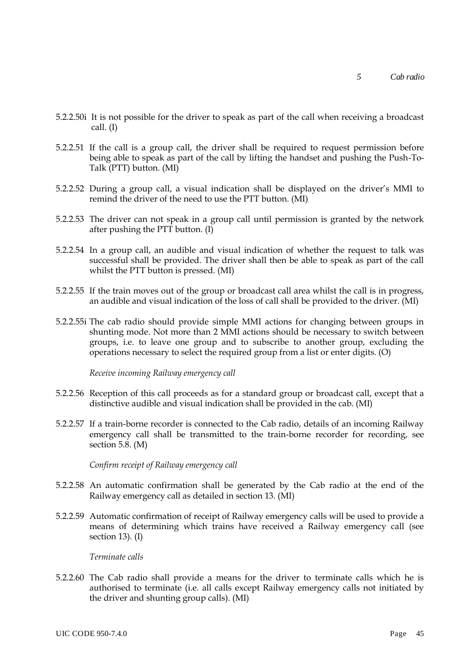- 5.2.2.50i It is not possible for the driver to speak as part of the call when receiving a broadcast call. (I)
- 5.2.2.51 If the call is a group call, the driver shall be required to request permission before being able to speak as part of the call by lifting the handset and pushing the Push-To-Talk (PTT) button. (MI)
- 5.2.2.52 During a group call, a visual indication shall be displayed on the driver's MMI to remind the driver of the need to use the PTT button. (MI)
- 5.2.2.53 The driver can not speak in a group call until permission is granted by the network after pushing the PTT button. (I)
- 5.2.2.54 In a group call, an audible and visual indication of whether the request to talk was successful shall be provided. The driver shall then be able to speak as part of the call whilst the PTT button is pressed. (MI)
- 5.2.2.55 If the train moves out of the group or broadcast call area whilst the call is in progress, an audible and visual indication of the loss of call shall be provided to the driver. (MI)
- 5.2.2.55i The cab radio should provide simple MMI actions for changing between groups in shunting mode. Not more than 2 MMI actions should be necessary to switch between groups, i.e. to leave one group and to subscribe to another group, excluding the operations necessary to select the required group from a list or enter digits. (O)

*Receive incoming Railway emergency call*

- 5.2.2.56 Reception of this call proceeds as for a standard group or broadcast call, except that a distinctive audible and visual indication shall be provided in the cab. (MI)
- 5.2.2.57 If a train-borne recorder is connected to the Cab radio, details of an incoming Railway emergency call shall be transmitted to the train-borne recorder for recording, see section 5.8. (M)

*Confirm receipt of Railway emergency call*

- 5.2.2.58 An automatic confirmation shall be generated by the Cab radio at the end of the Railway emergency call as detailed in section 13. (MI)
- 5.2.2.59 Automatic confirmation of receipt of Railway emergency calls will be used to provide a means of determining which trains have received a Railway emergency call (see section 13). (I)

*Terminate calls*

5.2.2.60 The Cab radio shall provide a means for the driver to terminate calls which he is authorised to terminate (i.e. all calls except Railway emergency calls not initiated by the driver and shunting group calls). (MI)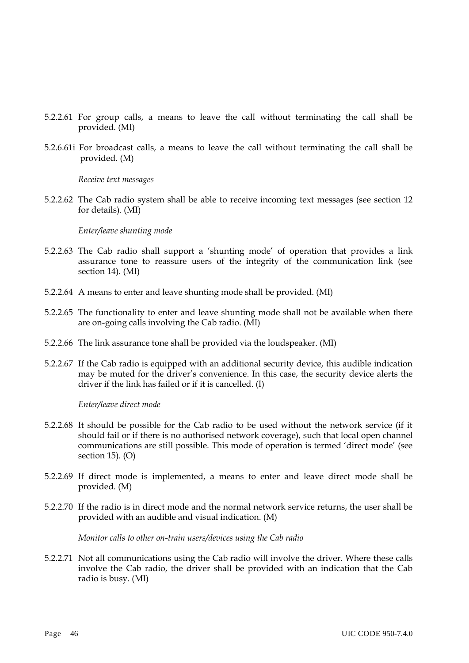- 5.2.2.61 For group calls, a means to leave the call without terminating the call shall be provided. (MI)
- 5.2.6.61i For broadcast calls, a means to leave the call without terminating the call shall be provided. (M)

*Receive text messages*

5.2.2.62 The Cab radio system shall be able to receive incoming text messages (see section 12 for details). (MI)

*Enter/leave shunting mode*

- 5.2.2.63 The Cab radio shall support a 'shunting mode' of operation that provides a link assurance tone to reassure users of the integrity of the communication link (see section 14). (MI)
- 5.2.2.64 A means to enter and leave shunting mode shall be provided. (MI)
- 5.2.2.65 The functionality to enter and leave shunting mode shall not be available when there are on-going calls involving the Cab radio. (MI)
- 5.2.2.66 The link assurance tone shall be provided via the loudspeaker. (MI)
- 5.2.2.67 If the Cab radio is equipped with an additional security device, this audible indication may be muted for the driver's convenience. In this case, the security device alerts the driver if the link has failed or if it is cancelled. (I)

*Enter/leave direct mode*

- 5.2.2.68 It should be possible for the Cab radio to be used without the network service (if it should fail or if there is no authorised network coverage), such that local open channel communications are still possible. This mode of operation is termed 'direct mode' (see section 15). (O)
- 5.2.2.69 If direct mode is implemented, a means to enter and leave direct mode shall be provided. (M)
- 5.2.2.70 If the radio is in direct mode and the normal network service returns, the user shall be provided with an audible and visual indication. (M)

*Monitor calls to other on-train users/devices using the Cab radio*

5.2.2.71 Not all communications using the Cab radio will involve the driver. Where these calls involve the Cab radio, the driver shall be provided with an indication that the Cab radio is busy. (MI)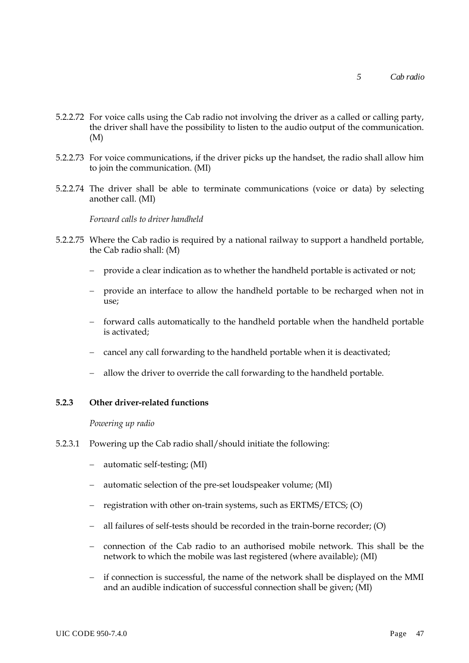- 5.2.2.72 For voice calls using the Cab radio not involving the driver as a called or calling party, the driver shall have the possibility to listen to the audio output of the communication. (M)
- 5.2.2.73 For voice communications, if the driver picks up the handset, the radio shall allow him to join the communication. (MI)
- 5.2.2.74 The driver shall be able to terminate communications (voice or data) by selecting another call. (MI)

*Forward calls to driver handheld*

- 5.2.2.75 Where the Cab radio is required by a national railway to support a handheld portable, the Cab radio shall: (M)
	- provide a clear indication as to whether the handheld portable is activated or not;
	- provide an interface to allow the handheld portable to be recharged when not in use;
	- forward calls automatically to the handheld portable when the handheld portable is activated;
	- cancel any call forwarding to the handheld portable when it is deactivated;
	- allow the driver to override the call forwarding to the handheld portable.

#### **5.2.3 Other driver-related functions**

#### *Powering up radio*

- 5.2.3.1 Powering up the Cab radio shall/should initiate the following:
	- automatic self-testing; (MI)
	- automatic selection of the pre-set loudspeaker volume; (MI)
	- registration with other on-train systems, such as ERTMS/ETCS; (O)
	- all failures of self-tests should be recorded in the train-borne recorder; (O)
	- connection of the Cab radio to an authorised mobile network. This shall be the network to which the mobile was last registered (where available); (MI)
	- if connection is successful, the name of the network shall be displayed on the MMI and an audible indication of successful connection shall be given; (MI)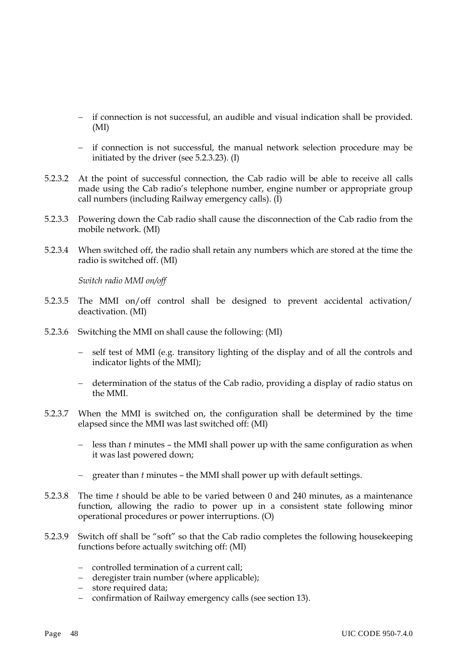- if connection is not successful, an audible and visual indication shall be provided. (MI)
- if connection is not successful, the manual network selection procedure may be initiated by the driver (see 5.2.3.23). (I)
- 5.2.3.2 At the point of successful connection, the Cab radio will be able to receive all calls made using the Cab radio's telephone number, engine number or appropriate group call numbers (including Railway emergency calls). (I)
- 5.2.3.3 Powering down the Cab radio shall cause the disconnection of the Cab radio from the mobile network. (MI)
- 5.2.3.4 When switched off, the radio shall retain any numbers which are stored at the time the radio is switched off. (MI)

*Switch radio MMI on/off*

- 5.2.3.5 The MMI on/off control shall be designed to prevent accidental activation/ deactivation. (MI)
- 5.2.3.6 Switching the MMI on shall cause the following: (MI)
	- self test of MMI (e.g. transitory lighting of the display and of all the controls and indicator lights of the MMI);
	- determination of the status of the Cab radio, providing a display of radio status on the MMI.
- 5.2.3.7 When the MMI is switched on, the configuration shall be determined by the time elapsed since the MMI was last switched off: (MI)
	- less than *t* minutes the MMI shall power up with the same configuration as when it was last powered down;
	- greater than *t* minutes the MMI shall power up with default settings.
- 5.2.3.8 The time *t* should be able to be varied between 0 and 240 minutes, as a maintenance function, allowing the radio to power up in a consistent state following minor operational procedures or power interruptions. (O)
- 5.2.3.9 Switch off shall be "soft" so that the Cab radio completes the following housekeeping functions before actually switching off: (MI)
	- controlled termination of a current call;
	- deregister train number (where applicable);
	- store required data;
	- confirmation of Railway emergency calls (see section 13).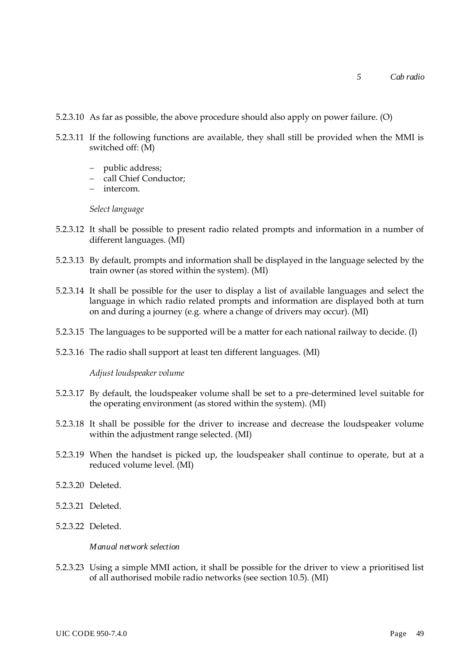- 5.2.3.10 As far as possible, the above procedure should also apply on power failure. (O)
- 5.2.3.11 If the following functions are available, they shall still be provided when the MMI is switched off: (M)
	- public address;
	- call Chief Conductor:
	- intercom.

*Select language*

- 5.2.3.12 It shall be possible to present radio related prompts and information in a number of different languages. (MI)
- 5.2.3.13 By default, prompts and information shall be displayed in the language selected by the train owner (as stored within the system). (MI)
- 5.2.3.14 It shall be possible for the user to display a list of available languages and select the language in which radio related prompts and information are displayed both at turn on and during a journey (e.g. where a change of drivers may occur). (MI)
- 5.2.3.15 The languages to be supported will be a matter for each national railway to decide. (I)
- 5.2.3.16 The radio shall support at least ten different languages. (MI)

*Adjust loudspeaker volume*

- 5.2.3.17 By default, the loudspeaker volume shall be set to a pre-determined level suitable for the operating environment (as stored within the system). (MI)
- 5.2.3.18 It shall be possible for the driver to increase and decrease the loudspeaker volume within the adjustment range selected. (MI)
- 5.2.3.19 When the handset is picked up, the loudspeaker shall continue to operate, but at a reduced volume level. (MI)
- 5.2.3.20 Deleted.
- 5.2.3.21 Deleted.
- 5.2.3.22 Deleted.

*Manual network selection*

5.2.3.23 Using a simple MMI action, it shall be possible for the driver to view a prioritised list of all authorised mobile radio networks (see section 10.5). (MI)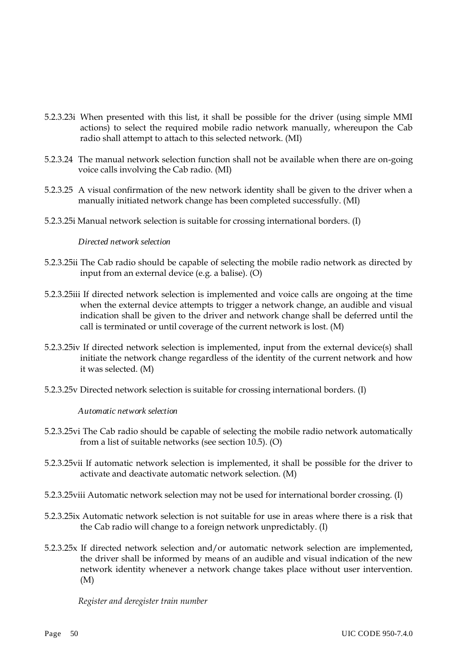- 5.2.3.23i When presented with this list, it shall be possible for the driver (using simple MMI actions) to select the required mobile radio network manually, whereupon the Cab radio shall attempt to attach to this selected network. (MI)
- 5.2.3.24 The manual network selection function shall not be available when there are on-going voice calls involving the Cab radio. (MI)
- 5.2.3.25 A visual confirmation of the new network identity shall be given to the driver when a manually initiated network change has been completed successfully. (MI)
- 5.2.3.25i Manual network selection is suitable for crossing international borders. (I)

## *Directed network selection*

- 5.2.3.25ii The Cab radio should be capable of selecting the mobile radio network as directed by input from an external device (e.g. a balise). (O)
- 5.2.3.25iii If directed network selection is implemented and voice calls are ongoing at the time when the external device attempts to trigger a network change, an audible and visual indication shall be given to the driver and network change shall be deferred until the call is terminated or until coverage of the current network is lost. (M)
- 5.2.3.25iv If directed network selection is implemented, input from the external device(s) shall initiate the network change regardless of the identity of the current network and how it was selected. (M)
- 5.2.3.25v Directed network selection is suitable for crossing international borders. (I)

*Automatic network selection*

- 5.2.3.25vi The Cab radio should be capable of selecting the mobile radio network automatically from a list of suitable networks (see section 10.5). (O)
- 5.2.3.25vii If automatic network selection is implemented, it shall be possible for the driver to activate and deactivate automatic network selection. (M)
- 5.2.3.25viii Automatic network selection may not be used for international border crossing. (I)
- 5.2.3.25ix Automatic network selection is not suitable for use in areas where there is a risk that the Cab radio will change to a foreign network unpredictably. (I)
- 5.2.3.25x If directed network selection and/or automatic network selection are implemented, the driver shall be informed by means of an audible and visual indication of the new network identity whenever a network change takes place without user intervention. (M)

*Register and deregister train number*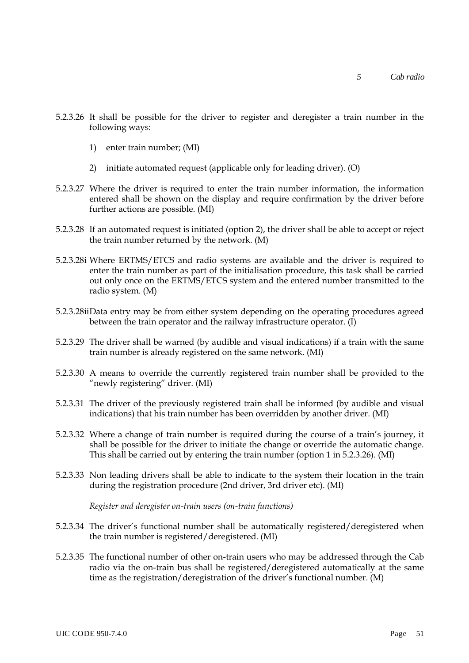- 5.2.3.26 It shall be possible for the driver to register and deregister a train number in the following ways:
	- 1) enter train number; (MI)
	- 2) initiate automated request (applicable only for leading driver). (O)
- 5.2.3.27 Where the driver is required to enter the train number information, the information entered shall be shown on the display and require confirmation by the driver before further actions are possible. (MI)
- 5.2.3.28 If an automated request is initiated (option 2), the driver shall be able to accept or reject the train number returned by the network. (M)
- 5.2.3.28i Where ERTMS/ETCS and radio systems are available and the driver is required to enter the train number as part of the initialisation procedure, this task shall be carried out only once on the ERTMS/ETCS system and the entered number transmitted to the radio system. (M)
- 5.2.3.28iiData entry may be from either system depending on the operating procedures agreed between the train operator and the railway infrastructure operator. (I)
- 5.2.3.29 The driver shall be warned (by audible and visual indications) if a train with the same train number is already registered on the same network. (MI)
- 5.2.3.30 A means to override the currently registered train number shall be provided to the "newly registering" driver. (MI)
- 5.2.3.31 The driver of the previously registered train shall be informed (by audible and visual indications) that his train number has been overridden by another driver. (MI)
- 5.2.3.32 Where a change of train number is required during the course of a train's journey, it shall be possible for the driver to initiate the change or override the automatic change. This shall be carried out by entering the train number (option 1 in 5.2.3.26). (MI)
- 5.2.3.33 Non leading drivers shall be able to indicate to the system their location in the train during the registration procedure (2nd driver, 3rd driver etc). (MI)

*Register and deregister on-train users (on-train functions)*

- 5.2.3.34 The driver's functional number shall be automatically registered/deregistered when the train number is registered/deregistered. (MI)
- 5.2.3.35 The functional number of other on-train users who may be addressed through the Cab radio via the on-train bus shall be registered/deregistered automatically at the same time as the registration/deregistration of the driver's functional number. (M)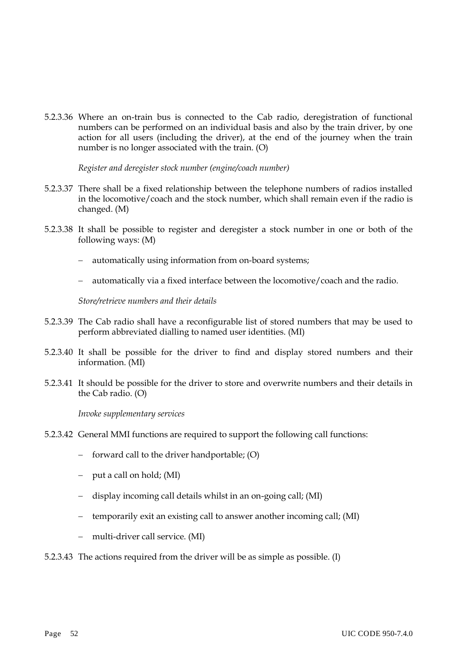5.2.3.36 Where an on-train bus is connected to the Cab radio, deregistration of functional numbers can be performed on an individual basis and also by the train driver, by one action for all users (including the driver), at the end of the journey when the train number is no longer associated with the train. (O)

*Register and deregister stock number (engine/coach number)*

- 5.2.3.37 There shall be a fixed relationship between the telephone numbers of radios installed in the locomotive/coach and the stock number, which shall remain even if the radio is changed. (M)
- 5.2.3.38 It shall be possible to register and deregister a stock number in one or both of the following ways: (M)
	- automatically using information from on-board systems;
	- automatically via a fixed interface between the locomotive/coach and the radio.

*Store/retrieve numbers and their details*

- 5.2.3.39 The Cab radio shall have a reconfigurable list of stored numbers that may be used to perform abbreviated dialling to named user identities. (MI)
- 5.2.3.40 It shall be possible for the driver to find and display stored numbers and their information. (MI)
- 5.2.3.41 It should be possible for the driver to store and overwrite numbers and their details in the Cab radio. (O)

*Invoke supplementary services*

- 5.2.3.42 General MMI functions are required to support the following call functions:
	- $-$  forward call to the driver handportable; (O)
	- $-$  put a call on hold; (MI)
	- display incoming call details whilst in an on-going call; (MI)
	- temporarily exit an existing call to answer another incoming call; (MI)
	- multi-driver call service. (MI)
- 5.2.3.43 The actions required from the driver will be as simple as possible. (I)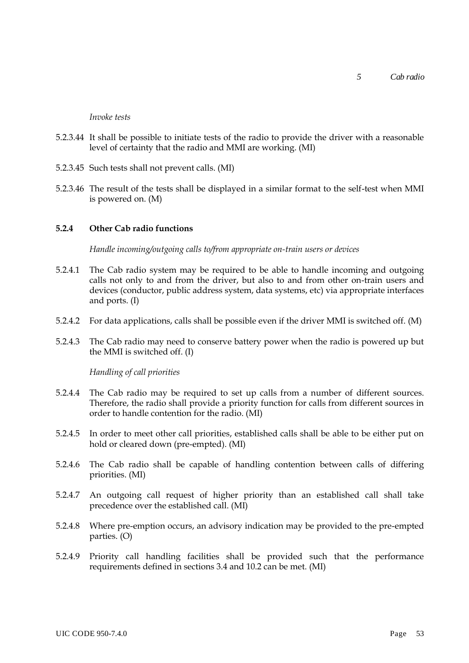*Invoke tests*

- 5.2.3.44 It shall be possible to initiate tests of the radio to provide the driver with a reasonable level of certainty that the radio and MMI are working. (MI)
- 5.2.3.45 Such tests shall not prevent calls. (MI)
- 5.2.3.46 The result of the tests shall be displayed in a similar format to the self-test when MMI is powered on. (M)

## **5.2.4 Other Cab radio functions**

*Handle incoming/outgoing calls to/from appropriate on-train users or devices*

- 5.2.4.1 The Cab radio system may be required to be able to handle incoming and outgoing calls not only to and from the driver, but also to and from other on-train users and devices (conductor, public address system, data systems, etc) via appropriate interfaces and ports. (I)
- 5.2.4.2 For data applications, calls shall be possible even if the driver MMI is switched off. (M)
- 5.2.4.3 The Cab radio may need to conserve battery power when the radio is powered up but the MMI is switched off. (I)

*Handling of call priorities*

- 5.2.4.4 The Cab radio may be required to set up calls from a number of different sources. Therefore, the radio shall provide a priority function for calls from different sources in order to handle contention for the radio. (MI)
- 5.2.4.5 In order to meet other call priorities, established calls shall be able to be either put on hold or cleared down (pre-empted). (MI)
- 5.2.4.6 The Cab radio shall be capable of handling contention between calls of differing priorities. (MI)
- 5.2.4.7 An outgoing call request of higher priority than an established call shall take precedence over the established call. (MI)
- 5.2.4.8 Where pre-emption occurs, an advisory indication may be provided to the pre-empted parties. (O)
- 5.2.4.9 Priority call handling facilities shall be provided such that the performance requirements defined in sections 3.4 and 10.2 can be met. (MI)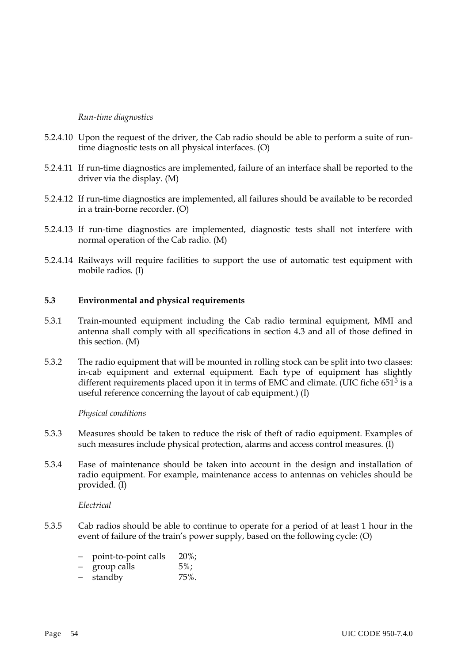#### *Run-time diagnostics*

- 5.2.4.10 Upon the request of the driver, the Cab radio should be able to perform a suite of runtime diagnostic tests on all physical interfaces. (O)
- 5.2.4.11 If run-time diagnostics are implemented, failure of an interface shall be reported to the driver via the display. (M)
- 5.2.4.12 If run-time diagnostics are implemented, all failures should be available to be recorded in a train-borne recorder. (O)
- 5.2.4.13 If run-time diagnostics are implemented, diagnostic tests shall not interfere with normal operation of the Cab radio. (M)
- 5.2.4.14 Railways will require facilities to support the use of automatic test equipment with mobile radios. (I)

## **5.3 Environmental and physical requirements**

- 5.3.1 Train-mounted equipment including the Cab radio terminal equipment, MMI and antenna shall comply with all specifications in section 4.3 and all of those defined in this section. (M)
- 5.3.2 The radio equipment that will be mounted in rolling stock can be split into two classes: in-cab equipment and external equipment. Each type of equipment has slightly different requirements placed upon it in terms of EMC and climate. (UIC fiche 651<sup>5</sup> is a useful reference concerning the layout of cab equipment.) (I)

#### *Physical conditions*

- 5.3.3 Measures should be taken to reduce the risk of theft of radio equipment. Examples of such measures include physical protection, alarms and access control measures. (I)
- 5.3.4 Ease of maintenance should be taken into account in the design and installation of radio equipment. For example, maintenance access to antennas on vehicles should be provided. (I)

#### *Electrical*

- 5.3.5 Cab radios should be able to continue to operate for a period of at least 1 hour in the event of failure of the train's power supply, based on the following cycle: (O)
	- point-to-point calls 20%;
	- group calls 5%;
	- standby 75%.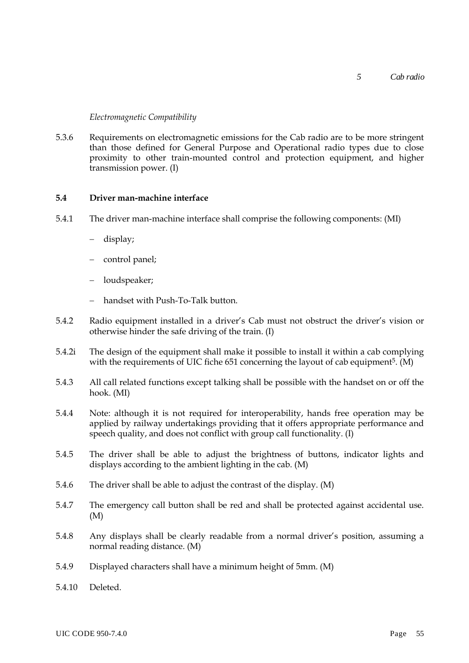#### *Electromagnetic Compatibility*

5.3.6 Requirements on electromagnetic emissions for the Cab radio are to be more stringent than those defined for General Purpose and Operational radio types due to close proximity to other train-mounted control and protection equipment, and higher transmission power. (I)

#### **5.4 Driver man-machine interface**

- 5.4.1 The driver man-machine interface shall comprise the following components: (MI)
	- display;
	- control panel;
	- loudspeaker;
	- handset with Push-To-Talk button.
- 5.4.2 Radio equipment installed in a driver's Cab must not obstruct the driver's vision or otherwise hinder the safe driving of the train. (I)
- 5.4.2i The design of the equipment shall make it possible to install it within a cab complying with the requirements of UIC fiche 651 concerning the layout of cab equipment<sup>5</sup>. (M)
- 5.4.3 All call related functions except talking shall be possible with the handset on or off the hook. (MI)
- 5.4.4 Note: although it is not required for interoperability, hands free operation may be applied by railway undertakings providing that it offers appropriate performance and speech quality, and does not conflict with group call functionality. (I)
- 5.4.5 The driver shall be able to adjust the brightness of buttons, indicator lights and displays according to the ambient lighting in the cab. (M)
- 5.4.6 The driver shall be able to adjust the contrast of the display. (M)
- 5.4.7 The emergency call button shall be red and shall be protected against accidental use. (M)
- 5.4.8 Any displays shall be clearly readable from a normal driver's position, assuming a normal reading distance. (M)
- 5.4.9 Displayed characters shall have a minimum height of 5mm. (M)
- 5.4.10 Deleted.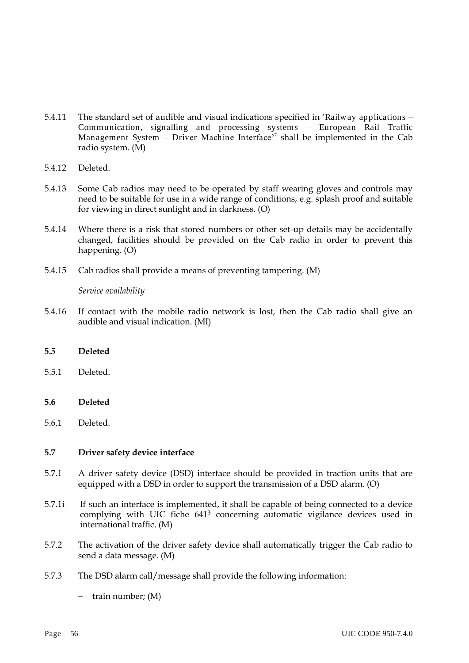- 5.4.11 The standard set of audible and visual indications specified in 'Railway applications Communication, signalling and processing systems – European Rail Traffic Management System – Driver Machine Interface'<sup>7</sup> shall be implemented in the Cab radio system. (M)
- 5.4.12 Deleted.
- 5.4.13 Some Cab radios may need to be operated by staff wearing gloves and controls may need to be suitable for use in a wide range of conditions, e.g. splash proof and suitable for viewing in direct sunlight and in darkness. (O)
- 5.4.14 Where there is a risk that stored numbers or other set-up details may be accidentally changed, facilities should be provided on the Cab radio in order to prevent this happening. (O)
- 5.4.15 Cab radios shall provide a means of preventing tampering. (M)

## *Service availability*

- 5.4.16 If contact with the mobile radio network is lost, then the Cab radio shall give an audible and visual indication. (MI)
- **5.5 Deleted**
- 5.5.1 Deleted.
- **5.6 Deleted**
- 5.6.1 Deleted.

#### **5.7 Driver safety device interface**

- 5.7.1 A driver safety device (DSD) interface should be provided in traction units that are equipped with a DSD in order to support the transmission of a DSD alarm. (O)
- 5.7.1i If such an interface is implemented, it shall be capable of being connected to a device complying with UIC fiche 641<sup>3</sup> concerning automatic vigilance devices used in international traffic. (M)
- 5.7.2 The activation of the driver safety device shall automatically trigger the Cab radio to send a data message. (M)
- 5.7.3 The DSD alarm call/message shall provide the following information:
	- train number; (M)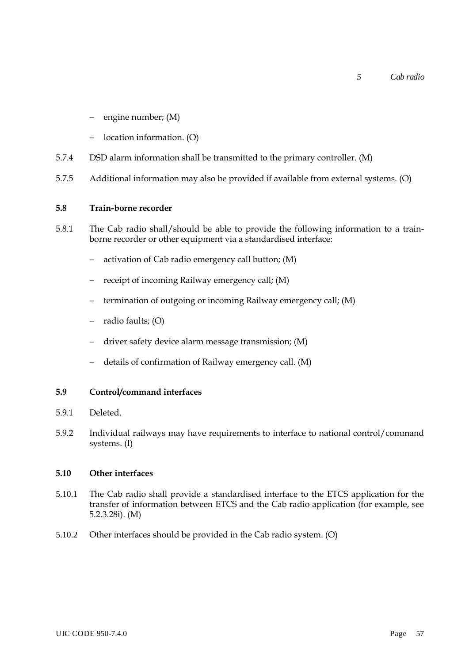#### *5 Cab radio*

- engine number; (M)
- location information. (O)
- 5.7.4 DSD alarm information shall be transmitted to the primary controller. (M)
- 5.7.5 Additional information may also be provided if available from external systems. (O)

#### **5.8 Train-borne recorder**

- 5.8.1 The Cab radio shall/should be able to provide the following information to a trainborne recorder or other equipment via a standardised interface:
	- activation of Cab radio emergency call button; (M)
	- receipt of incoming Railway emergency call; (M)
	- termination of outgoing or incoming Railway emergency call; (M)
	- $-$  radio faults; (O)
	- driver safety device alarm message transmission; (M)
	- details of confirmation of Railway emergency call. (M)

## **5.9 Control/command interfaces**

- 5.9.1 Deleted.
- 5.9.2 Individual railways may have requirements to interface to national control/command systems. (I)

#### **5.10 Other interfaces**

- 5.10.1 The Cab radio shall provide a standardised interface to the ETCS application for the transfer of information between ETCS and the Cab radio application (for example, see 5.2.3.28i). (M)
- 5.10.2 Other interfaces should be provided in the Cab radio system. (O)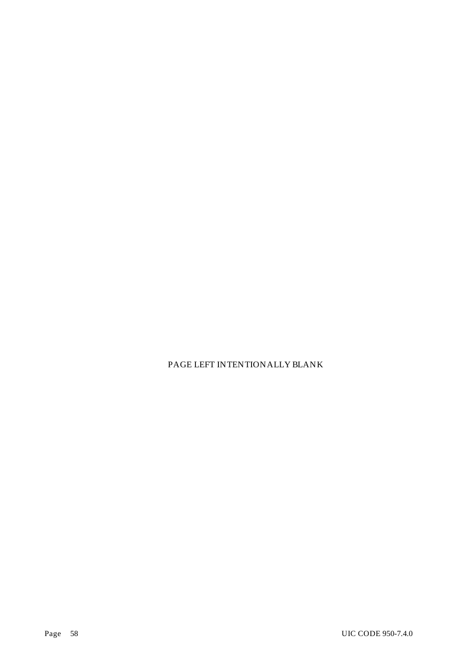PAGE LEFT INTENTIONALLY BLANK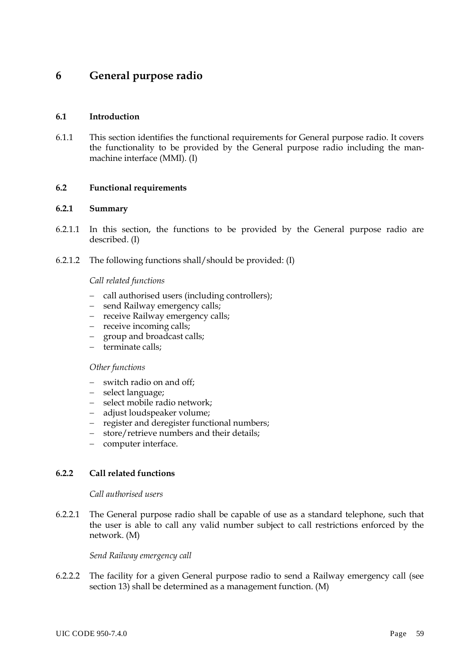# **6 General purpose radio**

## **6.1 Introduction**

6.1.1 This section identifies the functional requirements for General purpose radio. It covers the functionality to be provided by the General purpose radio including the manmachine interface (MMI). (I)

## **6.2 Functional requirements**

#### **6.2.1 Summary**

- 6.2.1.1 In this section, the functions to be provided by the General purpose radio are described. (I)
- 6.2.1.2 The following functions shall/should be provided: (I)

#### *Call related functions*

- call authorised users (including controllers);
- send Railway emergency calls;
- receive Railway emergency calls;
- receive incoming calls;
- group and broadcast calls;
- terminate calls;

#### *Other functions*

- switch radio on and off;
- select language;
- select mobile radio network;
- adjust loudspeaker volume;
- register and deregister functional numbers;
- store/retrieve numbers and their details;
- computer interface.

## **6.2.2 Call related functions**

#### *Call authorised users*

6.2.2.1 The General purpose radio shall be capable of use as a standard telephone, such that the user is able to call any valid number subject to call restrictions enforced by the network. (M)

#### *Send Railway emergency call*

6.2.2.2 The facility for a given General purpose radio to send a Railway emergency call (see section 13) shall be determined as a management function. (M)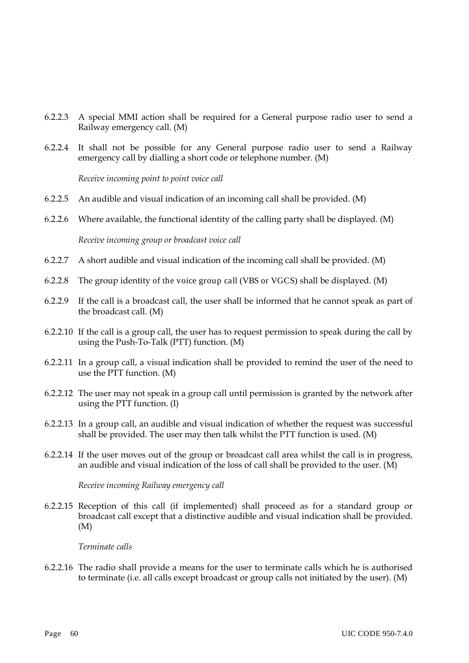- 6.2.2.3 A special MMI action shall be required for a General purpose radio user to send a Railway emergency call. (M)
- 6.2.2.4 It shall not be possible for any General purpose radio user to send a Railway emergency call by dialling a short code or telephone number. (M)

*Receive incoming point to point voice call*

- 6.2.2.5 An audible and visual indication of an incoming call shall be provided. (M)
- 6.2.2.6 Where available, the functional identity of the calling party shall be displayed. (M)

*Receive incoming group or broadcast voice call*

- 6.2.2.7 A short audible and visual indication of the incoming call shall be provided. (M)
- 6.2.2.8 The group identity of the voice group call (VBS or VGCS) shall be displayed. (M)
- 6.2.2.9 If the call is a broadcast call, the user shall be informed that he cannot speak as part of the broadcast call. (M)
- 6.2.2.10 If the call is a group call, the user has to request permission to speak during the call by using the Push-To-Talk (PTT) function. (M)
- 6.2.2.11 In a group call, a visual indication shall be provided to remind the user of the need to use the PTT function. (M)
- 6.2.2.12 The user may not speak in a group call until permission is granted by the network after using the PTT function. (I)
- 6.2.2.13 In a group call, an audible and visual indication of whether the request was successful shall be provided. The user may then talk whilst the PTT function is used. (M)
- 6.2.2.14 If the user moves out of the group or broadcast call area whilst the call is in progress, an audible and visual indication of the loss of call shall be provided to the user. (M)

*Receive incoming Railway emergency call*

6.2.2.15 Reception of this call (if implemented) shall proceed as for a standard group or broadcast call except that a distinctive audible and visual indication shall be provided. (M)

#### *Terminate calls*

6.2.2.16 The radio shall provide a means for the user to terminate calls which he is authorised to terminate (i.e. all calls except broadcast or group calls not initiated by the user). (M)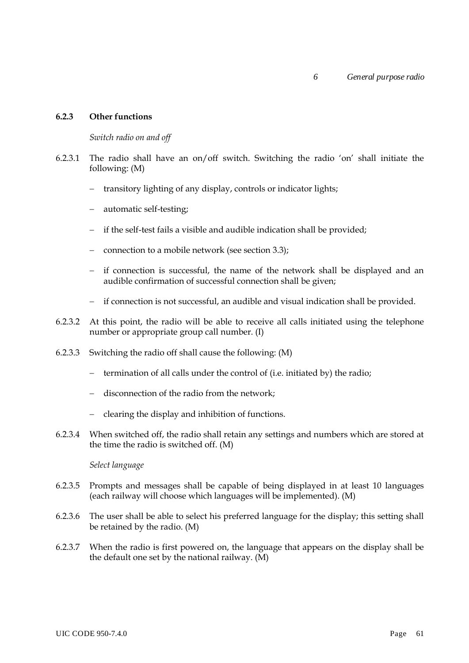#### **6.2.3 Other functions**

*Switch radio on and off*

- 6.2.3.1 The radio shall have an on/off switch. Switching the radio 'on' shall initiate the following: (M)
	- transitory lighting of any display, controls or indicator lights;
	- automatic self-testing;
	- if the self-test fails a visible and audible indication shall be provided;
	- connection to a mobile network (see section 3.3);
	- if connection is successful, the name of the network shall be displayed and an audible confirmation of successful connection shall be given;
	- if connection is not successful, an audible and visual indication shall be provided.
- 6.2.3.2 At this point, the radio will be able to receive all calls initiated using the telephone number or appropriate group call number. (I)
- 6.2.3.3 Switching the radio off shall cause the following: (M)
	- termination of all calls under the control of (i.e. initiated by) the radio;
	- disconnection of the radio from the network;
	- clearing the display and inhibition of functions.
- 6.2.3.4 When switched off, the radio shall retain any settings and numbers which are stored at the time the radio is switched off. (M)

#### *Select language*

- 6.2.3.5 Prompts and messages shall be capable of being displayed in at least 10 languages (each railway will choose which languages will be implemented). (M)
- 6.2.3.6 The user shall be able to select his preferred language for the display; this setting shall be retained by the radio. (M)
- 6.2.3.7 When the radio is first powered on, the language that appears on the display shall be the default one set by the national railway. (M)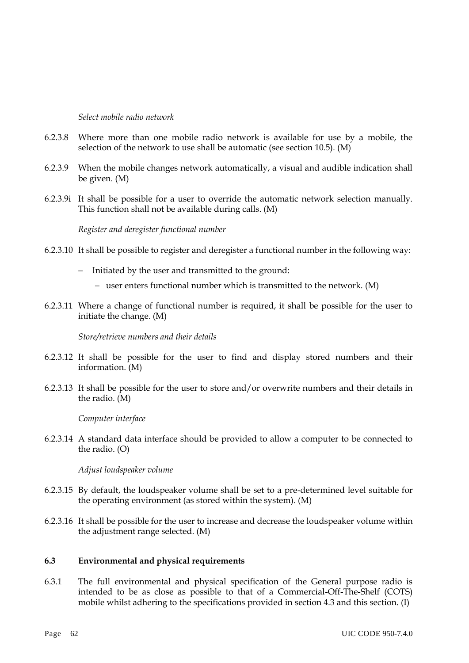#### *Select mobile radio network*

- 6.2.3.8 Where more than one mobile radio network is available for use by a mobile, the selection of the network to use shall be automatic (see section 10.5). (M)
- 6.2.3.9 When the mobile changes network automatically, a visual and audible indication shall be given. (M)
- 6.2.3.9i It shall be possible for a user to override the automatic network selection manually. This function shall not be available during calls. (M)

*Register and deregister functional number*

- 6.2.3.10 It shall be possible to register and deregister a functional number in the following way:
	- Initiated by the user and transmitted to the ground:
		- user enters functional number which is transmitted to the network. (M)
- 6.2.3.11 Where a change of functional number is required, it shall be possible for the user to initiate the change. (M)

*Store/retrieve numbers and their details*

- 6.2.3.12 It shall be possible for the user to find and display stored numbers and their information. (M)
- 6.2.3.13 It shall be possible for the user to store and/or overwrite numbers and their details in the radio. (M)

*Computer interface*

6.2.3.14 A standard data interface should be provided to allow a computer to be connected to the radio. (O)

*Adjust loudspeaker volume*

- 6.2.3.15 By default, the loudspeaker volume shall be set to a pre-determined level suitable for the operating environment (as stored within the system). (M)
- 6.2.3.16 It shall be possible for the user to increase and decrease the loudspeaker volume within the adjustment range selected. (M)

#### **6.3 Environmental and physical requirements**

6.3.1 The full environmental and physical specification of the General purpose radio is intended to be as close as possible to that of a Commercial-Off-The-Shelf (COTS) mobile whilst adhering to the specifications provided in section 4.3 and this section. (I)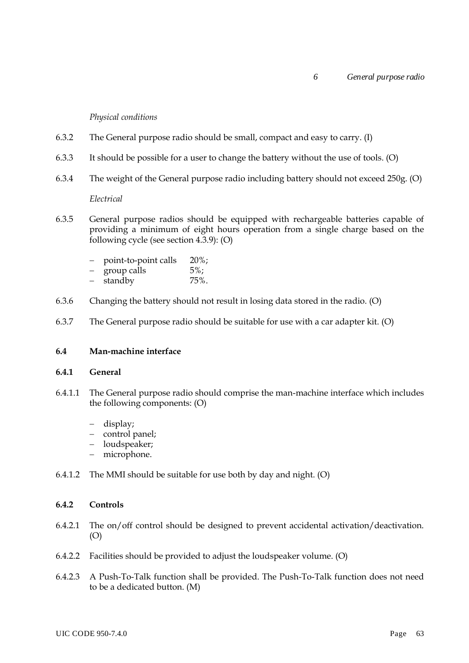#### *6 General purpose radio*

#### *Physical conditions*

- 6.3.2 The General purpose radio should be small, compact and easy to carry. (I)
- 6.3.3 It should be possible for a user to change the battery without the use of tools. (O)
- 6.3.4 The weight of the General purpose radio including battery should not exceed 250g. (O)

*Electrical*

- 6.3.5 General purpose radios should be equipped with rechargeable batteries capable of providing a minimum of eight hours operation from a single charge based on the following cycle (see section 4.3.9): (O)
	- point-to-point calls 20%; group calls 5%;
	- standby 75%.
- 6.3.6 Changing the battery should not result in losing data stored in the radio. (O)
- 6.3.7 The General purpose radio should be suitable for use with a car adapter kit. (O)

#### **6.4 Man-machine interface**

#### **6.4.1 General**

- 6.4.1.1 The General purpose radio should comprise the man-machine interface which includes the following components: (O)
	- display;
	- control panel;
	- loudspeaker;
	- microphone.
- 6.4.1.2 The MMI should be suitable for use both by day and night. (O)

## **6.4.2 Controls**

- 6.4.2.1 The on/off control should be designed to prevent accidental activation/deactivation. (O)
- 6.4.2.2 Facilities should be provided to adjust the loudspeaker volume. (O)
- 6.4.2.3 A Push-To-Talk function shall be provided. The Push-To-Talk function does not need to be a dedicated button. (M)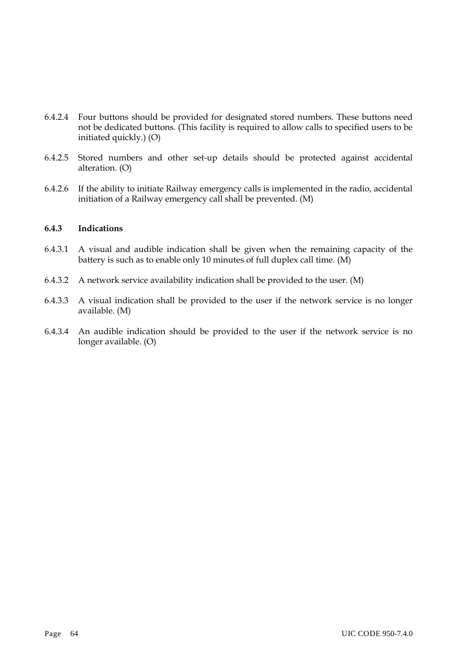- 6.4.2.4 Four buttons should be provided for designated stored numbers. These buttons need not be dedicated buttons. (This facility is required to allow calls to specified users to be initiated quickly.) (O)
- 6.4.2.5 Stored numbers and other set-up details should be protected against accidental alteration. (O)
- 6.4.2.6 If the ability to initiate Railway emergency calls is implemented in the radio, accidental initiation of a Railway emergency call shall be prevented. (M)

## **6.4.3 Indications**

- 6.4.3.1 A visual and audible indication shall be given when the remaining capacity of the battery is such as to enable only 10 minutes of full duplex call time. (M)
- 6.4.3.2 A network service availability indication shall be provided to the user. (M)
- 6.4.3.3 A visual indication shall be provided to the user if the network service is no longer available. (M)
- 6.4.3.4 An audible indication should be provided to the user if the network service is no longer available. (O)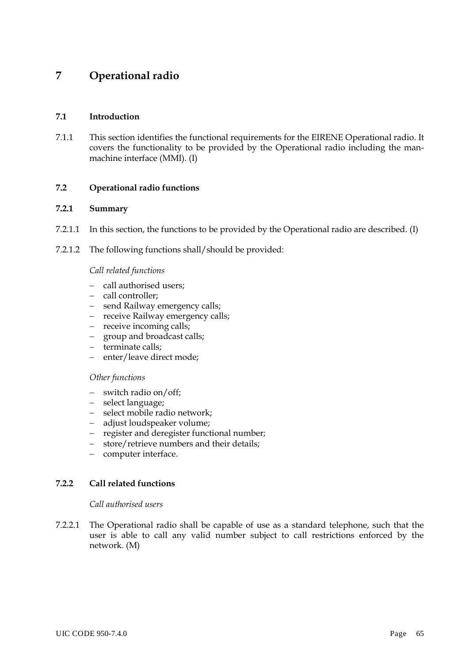# **7 Operational radio**

## **7.1 Introduction**

7.1.1 This section identifies the functional requirements for the EIRENE Operational radio. It covers the functionality to be provided by the Operational radio including the manmachine interface (MMI). (I)

## **7.2 Operational radio functions**

#### **7.2.1 Summary**

- 7.2.1.1 In this section, the functions to be provided by the Operational radio are described. (I)
- 7.2.1.2 The following functions shall/should be provided:

#### *Call related functions*

- call authorised users:
- call controller;
- send Railway emergency calls;
- receive Railway emergency calls;
- receive incoming calls;
- group and broadcast calls;
- terminate calls;
- enter/leave direct mode;

#### *Other functions*

- switch radio on/off;
- select language;
- select mobile radio network;
- adjust loudspeaker volume;
- register and deregister functional number;
- store/retrieve numbers and their details;
- computer interface.

## **7.2.2 Call related functions**

#### *Call authorised users*

7.2.2.1 The Operational radio shall be capable of use as a standard telephone, such that the user is able to call any valid number subject to call restrictions enforced by the network. (M)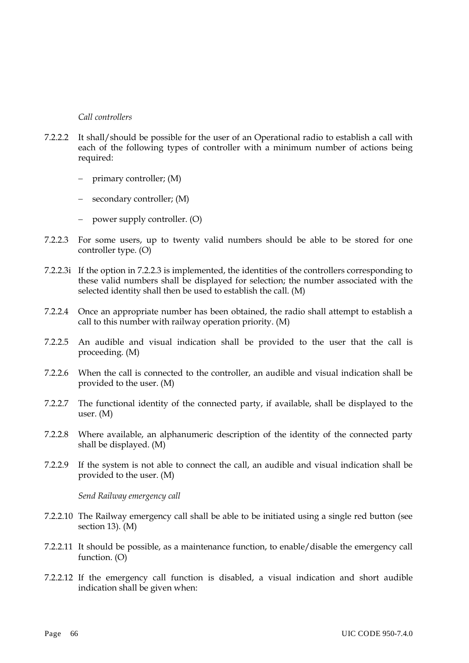#### *Call controllers*

- 7.2.2.2 It shall/should be possible for the user of an Operational radio to establish a call with each of the following types of controller with a minimum number of actions being required:
	- primary controller; (M)
	- secondary controller; (M)
	- power supply controller. (O)
- 7.2.2.3 For some users, up to twenty valid numbers should be able to be stored for one controller type. (O)
- 7.2.2.3i If the option in 7.2.2.3 is implemented, the identities of the controllers corresponding to these valid numbers shall be displayed for selection; the number associated with the selected identity shall then be used to establish the call. (M)
- 7.2.2.4 Once an appropriate number has been obtained, the radio shall attempt to establish a call to this number with railway operation priority. (M)
- 7.2.2.5 An audible and visual indication shall be provided to the user that the call is proceeding. (M)
- 7.2.2.6 When the call is connected to the controller, an audible and visual indication shall be provided to the user. (M)
- 7.2.2.7 The functional identity of the connected party, if available, shall be displayed to the user. (M)
- 7.2.2.8 Where available, an alphanumeric description of the identity of the connected party shall be displayed. (M)
- 7.2.2.9 If the system is not able to connect the call, an audible and visual indication shall be provided to the user. (M)

*Send Railway emergency call*

- 7.2.2.10 The Railway emergency call shall be able to be initiated using a single red button (see section 13). (M)
- 7.2.2.11 It should be possible, as a maintenance function, to enable/disable the emergency call function. (O)
- 7.2.2.12 If the emergency call function is disabled, a visual indication and short audible indication shall be given when: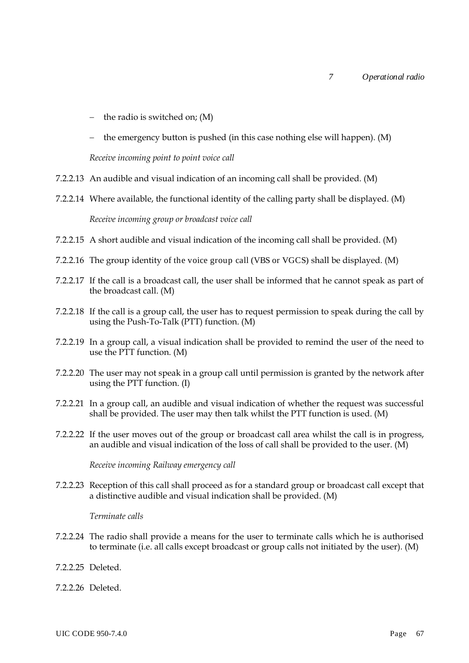#### *7 Operational radio*

- the radio is switched on;  $(M)$
- the emergency button is pushed (in this case nothing else will happen). (M)

*Receive incoming point to point voice call*

- 7.2.2.13 An audible and visual indication of an incoming call shall be provided. (M)
- 7.2.2.14 Where available, the functional identity of the calling party shall be displayed. (M) *Receive incoming group or broadcast voice call*
- 7.2.2.15 A short audible and visual indication of the incoming call shall be provided. (M)
- 7.2.2.16 The group identity of the voice group call (VBS or VGCS) shall be displayed. (M)
- 7.2.2.17 If the call is a broadcast call, the user shall be informed that he cannot speak as part of the broadcast call. (M)
- 7.2.2.18 If the call is a group call, the user has to request permission to speak during the call by using the Push-To-Talk (PTT) function. (M)
- 7.2.2.19 In a group call, a visual indication shall be provided to remind the user of the need to use the PTT function. (M)
- 7.2.2.20 The user may not speak in a group call until permission is granted by the network after using the PTT function. (I)
- 7.2.2.21 In a group call, an audible and visual indication of whether the request was successful shall be provided. The user may then talk whilst the PTT function is used. (M)
- 7.2.2.22 If the user moves out of the group or broadcast call area whilst the call is in progress, an audible and visual indication of the loss of call shall be provided to the user. (M)

*Receive incoming Railway emergency call*

7.2.2.23 Reception of this call shall proceed as for a standard group or broadcast call except that a distinctive audible and visual indication shall be provided. (M)

*Terminate calls*

- 7.2.2.24 The radio shall provide a means for the user to terminate calls which he is authorised to terminate (i.e. all calls except broadcast or group calls not initiated by the user). (M)
- 7.2.2.25 Deleted.

#### 7.2.2.26 Deleted.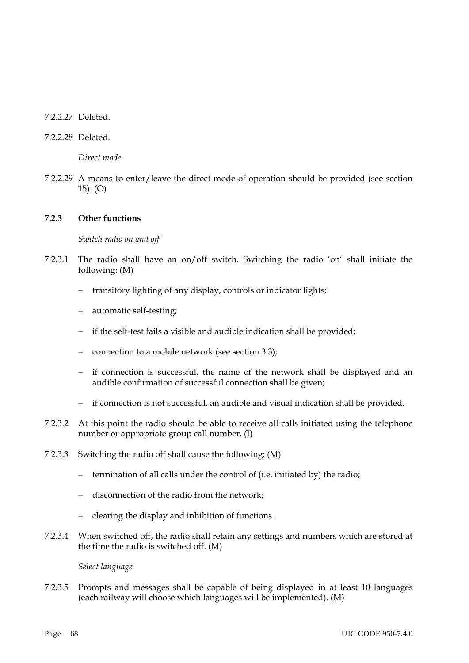7.2.2.27 Deleted.

7.2.2.28 Deleted.

*Direct mode*

7.2.2.29 A means to enter/leave the direct mode of operation should be provided (see section 15). (O)

#### **7.2.3 Other functions**

*Switch radio on and off*

- 7.2.3.1 The radio shall have an on/off switch. Switching the radio 'on' shall initiate the following: (M)
	- transitory lighting of any display, controls or indicator lights;
	- automatic self-testing;
	- if the self-test fails a visible and audible indication shall be provided;
	- connection to a mobile network (see section 3.3);
	- if connection is successful, the name of the network shall be displayed and an audible confirmation of successful connection shall be given;
	- if connection is not successful, an audible and visual indication shall be provided.
- 7.2.3.2 At this point the radio should be able to receive all calls initiated using the telephone number or appropriate group call number. (I)
- 7.2.3.3 Switching the radio off shall cause the following: (M)
	- termination of all calls under the control of (i.e. initiated by) the radio;
	- disconnection of the radio from the network;
	- clearing the display and inhibition of functions.
- 7.2.3.4 When switched off, the radio shall retain any settings and numbers which are stored at the time the radio is switched off. (M)

*Select language*

7.2.3.5 Prompts and messages shall be capable of being displayed in at least 10 languages (each railway will choose which languages will be implemented). (M)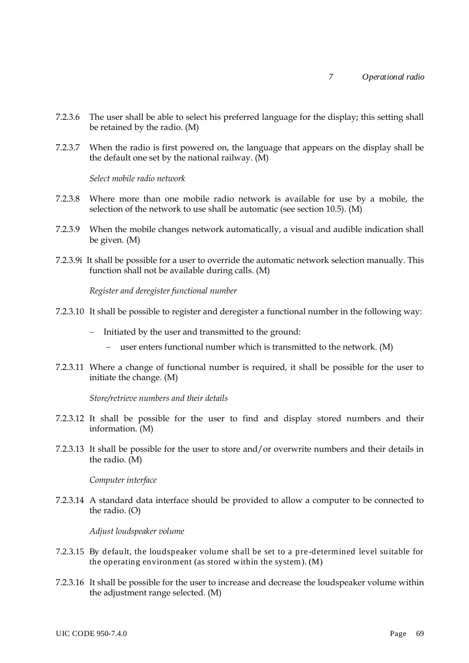- 7.2.3.6 The user shall be able to select his preferred language for the display; this setting shall be retained by the radio. (M)
- 7.2.3.7 When the radio is first powered on, the language that appears on the display shall be the default one set by the national railway. (M)

*Select mobile radio network*

- 7.2.3.8 Where more than one mobile radio network is available for use by a mobile, the selection of the network to use shall be automatic (see section 10.5). (M)
- 7.2.3.9 When the mobile changes network automatically, a visual and audible indication shall be given. (M)
- 7.2.3.9i It shall be possible for a user to override the automatic network selection manually. This function shall not be available during calls. (M)

*Register and deregister functional number*

- 7.2.3.10 It shall be possible to register and deregister a functional number in the following way:
	- Initiated by the user and transmitted to the ground:
		- user enters functional number which is transmitted to the network. (M)
- 7.2.3.11 Where a change of functional number is required, it shall be possible for the user to initiate the change. (M)

*Store/retrieve numbers and their details*

- 7.2.3.12 It shall be possible for the user to find and display stored numbers and their information. (M)
- 7.2.3.13 It shall be possible for the user to store and/or overwrite numbers and their details in the radio. (M)

*Computer interface*

7.2.3.14 A standard data interface should be provided to allow a computer to be connected to the radio. (O)

*Adjust loudspeaker volume*

- 7.2.3.15 By default, the loudspeaker volume shall be set to a pre-determined level suitable for the operating environment (as stored within the system). (M)
- 7.2.3.16 It shall be possible for the user to increase and decrease the loudspeaker volume within the adjustment range selected. (M)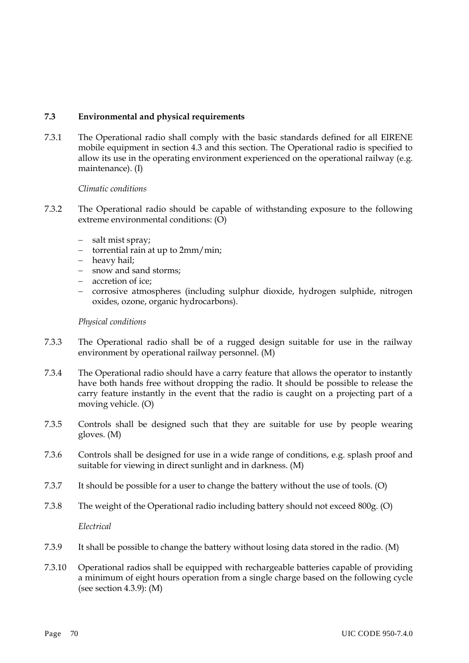# **7.3 Environmental and physical requirements**

7.3.1 The Operational radio shall comply with the basic standards defined for all EIRENE mobile equipment in section 4.3 and this section. The Operational radio is specified to allow its use in the operating environment experienced on the operational railway (e.g. maintenance). (I)

## *Climatic conditions*

- 7.3.2 The Operational radio should be capable of withstanding exposure to the following extreme environmental conditions: (O)
	- salt mist spray;
	- torrential rain at up to 2mm/min;
	- heavy hail;
	- snow and sand storms;
	- accretion of ice;
	- corrosive atmospheres (including sulphur dioxide, hydrogen sulphide, nitrogen oxides, ozone, organic hydrocarbons).

#### *Physical conditions*

- 7.3.3 The Operational radio shall be of a rugged design suitable for use in the railway environment by operational railway personnel. (M)
- 7.3.4 The Operational radio should have a carry feature that allows the operator to instantly have both hands free without dropping the radio. It should be possible to release the carry feature instantly in the event that the radio is caught on a projecting part of a moving vehicle. (O)
- 7.3.5 Controls shall be designed such that they are suitable for use by people wearing gloves. (M)
- 7.3.6 Controls shall be designed for use in a wide range of conditions, e.g. splash proof and suitable for viewing in direct sunlight and in darkness. (M)
- 7.3.7 It should be possible for a user to change the battery without the use of tools. (O)
- 7.3.8 The weight of the Operational radio including battery should not exceed 800g. (O)

*Electrical*

- 7.3.9 It shall be possible to change the battery without losing data stored in the radio. (M)
- 7.3.10 Operational radios shall be equipped with rechargeable batteries capable of providing a minimum of eight hours operation from a single charge based on the following cycle (see section 4.3.9): (M)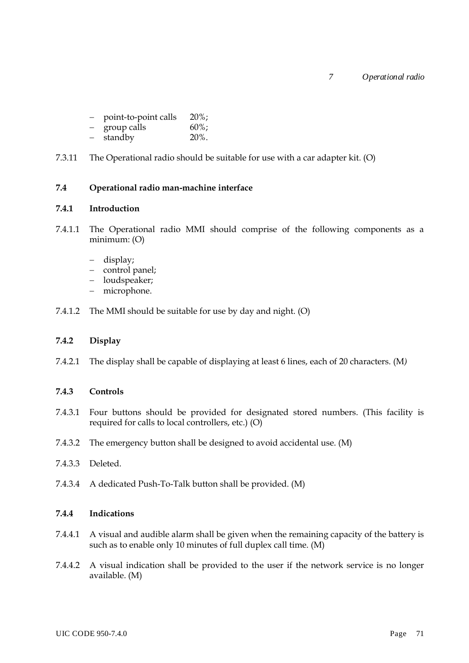*7 Operational radio*

- point-to-point calls 20%;<br>group calls 60%;
- $-$  group calls
- standby 20%.
- 7.3.11 The Operational radio should be suitable for use with a car adapter kit. (O)

## **7.4 Operational radio man-machine interface**

## **7.4.1 Introduction**

- 7.4.1.1 The Operational radio MMI should comprise of the following components as a minimum: (O)
	- display;
	- control panel;
	- loudspeaker;
	- microphone.
- 7.4.1.2 The MMI should be suitable for use by day and night. (O)

## **7.4.2 Display**

7.4.2.1 The display shall be capable of displaying at least 6 lines, each of 20 characters. (M*)*

## **7.4.3 Controls**

- 7.4.3.1 Four buttons should be provided for designated stored numbers. (This facility is required for calls to local controllers, etc.) (O)
- 7.4.3.2 The emergency button shall be designed to avoid accidental use. (M)
- 7.4.3.3 Deleted.
- 7.4.3.4 A dedicated Push-To-Talk button shall be provided. (M)

## **7.4.4 Indications**

- 7.4.4.1 A visual and audible alarm shall be given when the remaining capacity of the battery is such as to enable only 10 minutes of full duplex call time. (M)
- 7.4.4.2 A visual indication shall be provided to the user if the network service is no longer available. (M)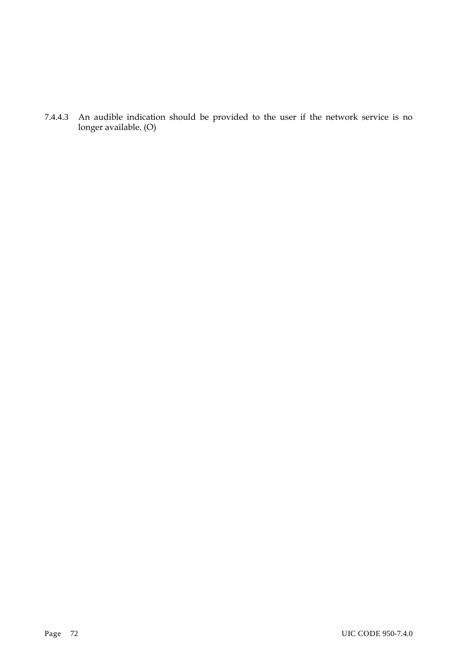7.4.4.3 An audible indication should be provided to the user if the network service is no longer available. (O)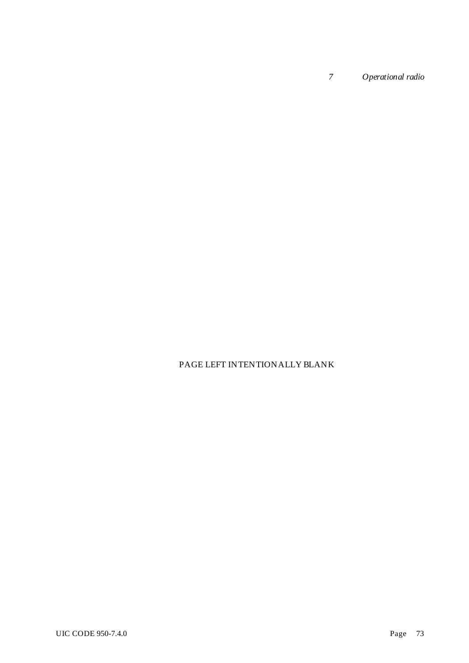*7 Operational radio*

## PAGE LEFT INTENTIONALLY BLANK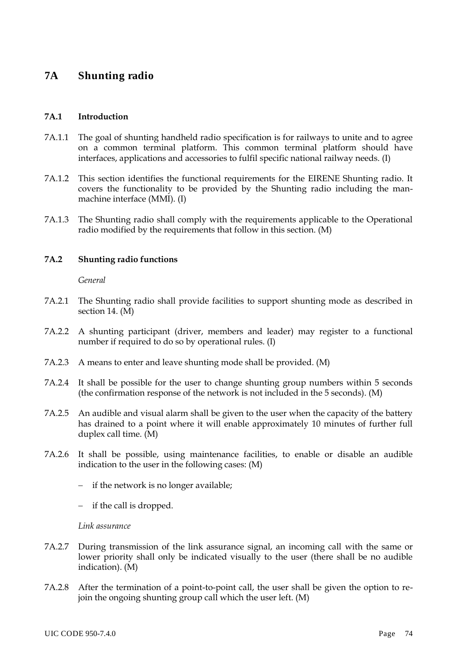# **7A Shunting radio**

## **7A.1 Introduction**

- 7A.1.1 The goal of shunting handheld radio specification is for railways to unite and to agree on a common terminal platform. This common terminal platform should have interfaces, applications and accessories to fulfil specific national railway needs. (I)
- 7A.1.2 This section identifies the functional requirements for the EIRENE Shunting radio. It covers the functionality to be provided by the Shunting radio including the manmachine interface (MMI). (I)
- 7A.1.3 The Shunting radio shall comply with the requirements applicable to the Operational radio modified by the requirements that follow in this section. (M)

### **7A.2 Shunting radio functions**

*General*

- 7A.2.1 The Shunting radio shall provide facilities to support shunting mode as described in section 14. (M)
- 7A.2.2 A shunting participant (driver, members and leader) may register to a functional number if required to do so by operational rules. (I)
- 7A.2.3 A means to enter and leave shunting mode shall be provided. (M)
- 7A.2.4 It shall be possible for the user to change shunting group numbers within 5 seconds (the confirmation response of the network is not included in the 5 seconds). (M)
- 7A.2.5 An audible and visual alarm shall be given to the user when the capacity of the battery has drained to a point where it will enable approximately 10 minutes of further full duplex call time. (M)
- 7A.2.6 It shall be possible, using maintenance facilities, to enable or disable an audible indication to the user in the following cases: (M)
	- if the network is no longer available;
	- if the call is dropped.

#### *Link assurance*

- 7A.2.7 During transmission of the link assurance signal, an incoming call with the same or lower priority shall only be indicated visually to the user (there shall be no audible indication). (M)
- 7A.2.8 After the termination of a point-to-point call, the user shall be given the option to rejoin the ongoing shunting group call which the user left. (M)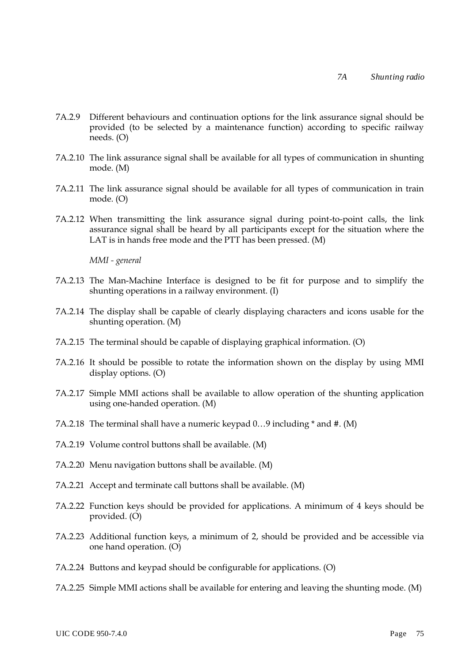- 7A.2.9 Different behaviours and continuation options for the link assurance signal should be provided (to be selected by a maintenance function) according to specific railway needs. (O)
- 7A.2.10 The link assurance signal shall be available for all types of communication in shunting mode. (M)
- 7A.2.11 The link assurance signal should be available for all types of communication in train mode. (O)
- 7A.2.12 When transmitting the link assurance signal during point-to-point calls, the link assurance signal shall be heard by all participants except for the situation where the LAT is in hands free mode and the PTT has been pressed. (M)

*MMI - general*

- 7A.2.13 The Man-Machine Interface is designed to be fit for purpose and to simplify the shunting operations in a railway environment. (I)
- 7A.2.14 The display shall be capable of clearly displaying characters and icons usable for the shunting operation. (M)
- 7A.2.15 The terminal should be capable of displaying graphical information. (O)
- 7A.2.16 It should be possible to rotate the information shown on the display by using MMI display options. (O)
- 7A.2.17 Simple MMI actions shall be available to allow operation of the shunting application using one-handed operation. (M)
- 7A.2.18 The terminal shall have a numeric keypad 0…9 including \* and #. (M)
- 7A.2.19 Volume control buttons shall be available. (M)
- 7A.2.20 Menu navigation buttons shall be available. (M)
- 7A.2.21 Accept and terminate call buttons shall be available. (M)
- 7A.2.22 Function keys should be provided for applications. A minimum of 4 keys should be provided. (O)
- 7A.2.23 Additional function keys, a minimum of 2, should be provided and be accessible via one hand operation. (O)
- 7A.2.24 Buttons and keypad should be configurable for applications. (O)
- 7A.2.25 Simple MMI actions shall be available for entering and leaving the shunting mode. (M)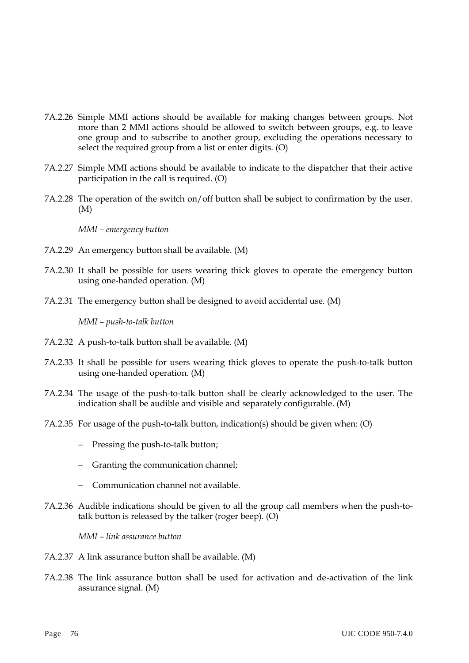- 7A.2.26 Simple MMI actions should be available for making changes between groups. Not more than 2 MMI actions should be allowed to switch between groups, e.g. to leave one group and to subscribe to another group, excluding the operations necessary to select the required group from a list or enter digits. (O)
- 7A.2.27 Simple MMI actions should be available to indicate to the dispatcher that their active participation in the call is required. (O)
- 7A.2.28 The operation of the switch on/off button shall be subject to confirmation by the user. (M)

*MMI – emergency button*

- 7A.2.29 An emergency button shall be available. (M)
- 7A.2.30 It shall be possible for users wearing thick gloves to operate the emergency button using one-handed operation. (M)
- 7A.2.31 The emergency button shall be designed to avoid accidental use. (M)

*MMI – push-to-talk button*

- 7A.2.32 A push-to-talk button shall be available. (M)
- 7A.2.33 It shall be possible for users wearing thick gloves to operate the push-to-talk button using one-handed operation. (M)
- 7A.2.34 The usage of the push-to-talk button shall be clearly acknowledged to the user. The indication shall be audible and visible and separately configurable. (M)
- 7A.2.35 For usage of the push-to-talk button, indication(s) should be given when: (O)
	- Pressing the push-to-talk button;
	- Granting the communication channel;
	- Communication channel not available.
- 7A.2.36 Audible indications should be given to all the group call members when the push-totalk button is released by the talker (roger beep). (O)

*MMI – link assurance button*

- 7A.2.37 A link assurance button shall be available. (M)
- 7A.2.38 The link assurance button shall be used for activation and de-activation of the link assurance signal. (M)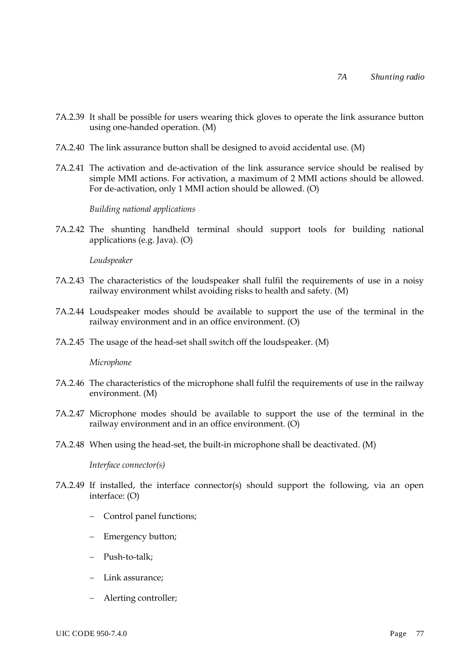- 7A.2.39 It shall be possible for users wearing thick gloves to operate the link assurance button using one-handed operation. (M)
- 7A.2.40 The link assurance button shall be designed to avoid accidental use. (M)
- 7A.2.41 The activation and de-activation of the link assurance service should be realised by simple MMI actions. For activation, a maximum of 2 MMI actions should be allowed. For de-activation, only 1 MMI action should be allowed. (O)

*Building national applications*

7A.2.42 The shunting handheld terminal should support tools for building national applications (e.g. Java). (O)

*Loudspeaker*

- 7A.2.43 The characteristics of the loudspeaker shall fulfil the requirements of use in a noisy railway environment whilst avoiding risks to health and safety. (M)
- 7A.2.44 Loudspeaker modes should be available to support the use of the terminal in the railway environment and in an office environment. (O)
- 7A.2.45 The usage of the head-set shall switch off the loudspeaker. (M)

*Microphone*

- 7A.2.46 The characteristics of the microphone shall fulfil the requirements of use in the railway environment. (M)
- 7A.2.47 Microphone modes should be available to support the use of the terminal in the railway environment and in an office environment. (O)
- 7A.2.48 When using the head-set, the built-in microphone shall be deactivated. (M)

*Interface connector(s)*

- 7A.2.49 If installed, the interface connector(s) should support the following, via an open interface: (O)
	- Control panel functions;
	- Emergency button;
	- Push-to-talk;
	- Link assurance;
	- Alerting controller;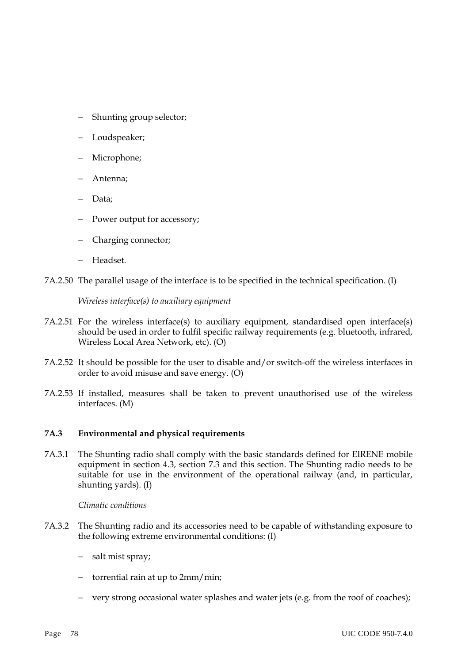- Shunting group selector;
- Loudspeaker;
- Microphone;
- Antenna;
- Data;
- Power output for accessory;
- Charging connector;
- Headset.
- 7A.2.50 The parallel usage of the interface is to be specified in the technical specification. (I)

*Wireless interface(s) to auxiliary equipment*

- 7A.2.51 For the wireless interface(s) to auxiliary equipment, standardised open interface(s) should be used in order to fulfil specific railway requirements (e.g. bluetooth, infrared, Wireless Local Area Network, etc). (O)
- 7A.2.52 It should be possible for the user to disable and/or switch-off the wireless interfaces in order to avoid misuse and save energy. (O)
- 7A.2.53 If installed, measures shall be taken to prevent unauthorised use of the wireless interfaces. (M)

## **7A.3 Environmental and physical requirements**

7A.3.1 The Shunting radio shall comply with the basic standards defined for EIRENE mobile equipment in section 4.3, section 7.3 and this section. The Shunting radio needs to be suitable for use in the environment of the operational railway (and, in particular, shunting yards). (I)

*Climatic conditions*

- 7A.3.2 The Shunting radio and its accessories need to be capable of withstanding exposure to the following extreme environmental conditions: (I)
	- salt mist spray;
	- torrential rain at up to 2mm/min;
	- very strong occasional water splashes and water jets (e.g. from the roof of coaches);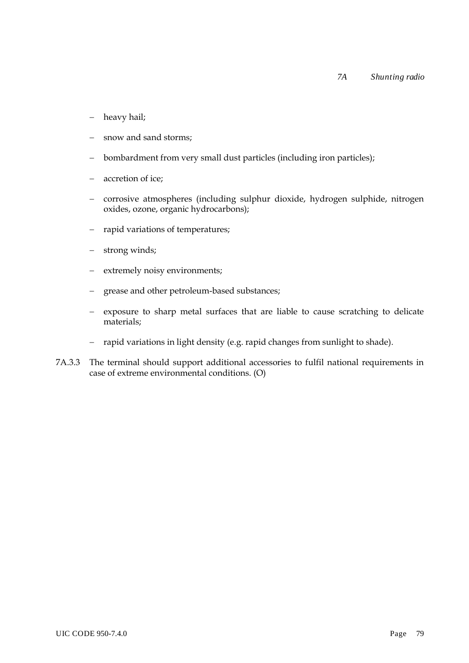### *7A Shunting radio*

- heavy hail;
- snow and sand storms;
- bombardment from very small dust particles (including iron particles);
- accretion of ice;
- corrosive atmospheres (including sulphur dioxide, hydrogen sulphide, nitrogen oxides, ozone, organic hydrocarbons);
- rapid variations of temperatures;
- strong winds;
- extremely noisy environments;
- grease and other petroleum-based substances;
- exposure to sharp metal surfaces that are liable to cause scratching to delicate materials;
- rapid variations in light density (e.g. rapid changes from sunlight to shade).
- 7A.3.3 The terminal should support additional accessories to fulfil national requirements in case of extreme environmental conditions. (O)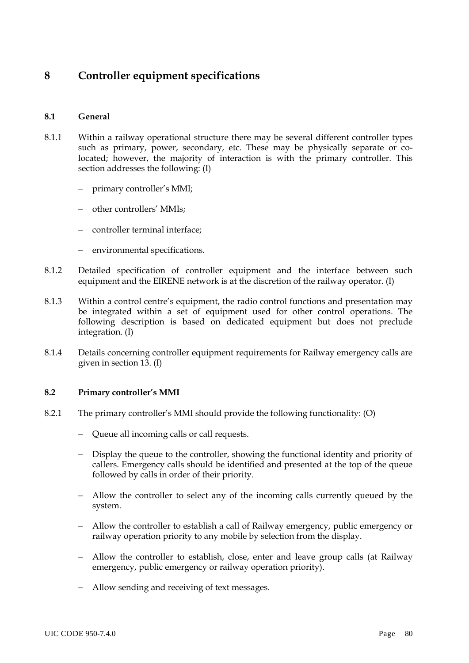# **8 Controller equipment specifications**

## **8.1 General**

- 8.1.1 Within a railway operational structure there may be several different controller types such as primary, power, secondary, etc. These may be physically separate or colocated; however, the majority of interaction is with the primary controller. This section addresses the following: (I)
	- primary controller's MMI;
	- other controllers' MMIs;
	- controller terminal interface;
	- environmental specifications.
- 8.1.2 Detailed specification of controller equipment and the interface between such equipment and the EIRENE network is at the discretion of the railway operator. (I)
- 8.1.3 Within a control centre's equipment, the radio control functions and presentation may be integrated within a set of equipment used for other control operations. The following description is based on dedicated equipment but does not preclude integration. (I)
- 8.1.4 Details concerning controller equipment requirements for Railway emergency calls are given in section 13. (I)

## **8.2 Primary controller's MMI**

- 8.2.1 The primary controller's MMI should provide the following functionality: (O)
	- Queue all incoming calls or call requests.
	- Display the queue to the controller, showing the functional identity and priority of callers. Emergency calls should be identified and presented at the top of the queue followed by calls in order of their priority.
	- Allow the controller to select any of the incoming calls currently queued by the system.
	- Allow the controller to establish a call of Railway emergency, public emergency or railway operation priority to any mobile by selection from the display.
	- Allow the controller to establish, close, enter and leave group calls (at Railway emergency, public emergency or railway operation priority).
	- Allow sending and receiving of text messages.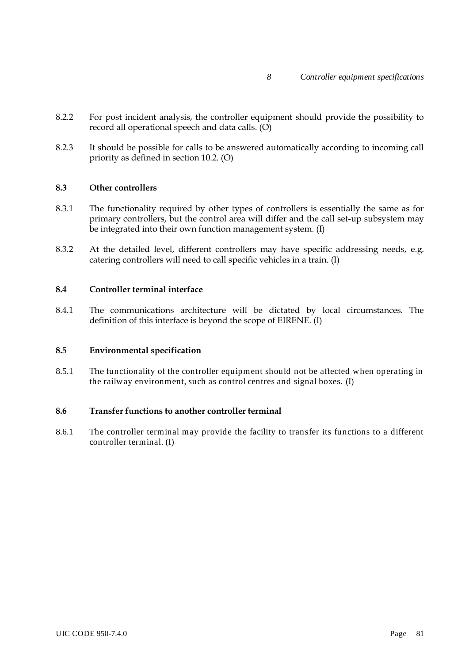- 8.2.2 For post incident analysis, the controller equipment should provide the possibility to record all operational speech and data calls. (O)
- 8.2.3 It should be possible for calls to be answered automatically according to incoming call priority as defined in section 10.2. (O)

### **8.3 Other controllers**

- 8.3.1 The functionality required by other types of controllers is essentially the same as for primary controllers, but the control area will differ and the call set-up subsystem may be integrated into their own function management system. (I)
- 8.3.2 At the detailed level, different controllers may have specific addressing needs, e.g. catering controllers will need to call specific vehicles in a train. (I)

#### **8.4 Controller terminal interface**

8.4.1 The communications architecture will be dictated by local circumstances. The definition of this interface is beyond the scope of EIRENE. (I)

#### **8.5 Environmental specification**

8.5.1 The functionality of the controller equipment should not be affected when operating in the railway environment, such as control centres and signal boxes. (I)

#### **8.6 Transfer functions to another controller terminal**

8.6.1 The controller terminal may provide the facility to transfer its functions to a different controller terminal. (I)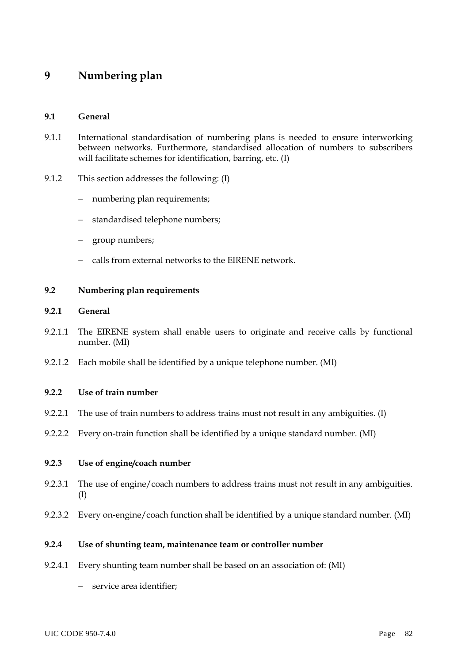# **9 Numbering plan**

## **9.1 General**

- 9.1.1 International standardisation of numbering plans is needed to ensure interworking between networks. Furthermore, standardised allocation of numbers to subscribers will facilitate schemes for identification, barring, etc. (I)
- 9.1.2 This section addresses the following: (I)
	- numbering plan requirements;
	- standardised telephone numbers;
	- group numbers;
	- calls from external networks to the EIRENE network.

## **9.2 Numbering plan requirements**

#### **9.2.1 General**

- 9.2.1.1 The EIRENE system shall enable users to originate and receive calls by functional number. (MI)
- 9.2.1.2 Each mobile shall be identified by a unique telephone number. (MI)

## **9.2.2 Use of train number**

- 9.2.2.1 The use of train numbers to address trains must not result in any ambiguities. (I)
- 9.2.2.2 Every on-train function shall be identified by a unique standard number. (MI)

### **9.2.3 Use of engine/coach number**

- 9.2.3.1 The use of engine/coach numbers to address trains must not result in any ambiguities. (I)
- 9.2.3.2 Every on-engine/coach function shall be identified by a unique standard number. (MI)

#### **9.2.4 Use of shunting team, maintenance team or controller number**

- 9.2.4.1 Every shunting team number shall be based on an association of: (MI)
	- service area identifier;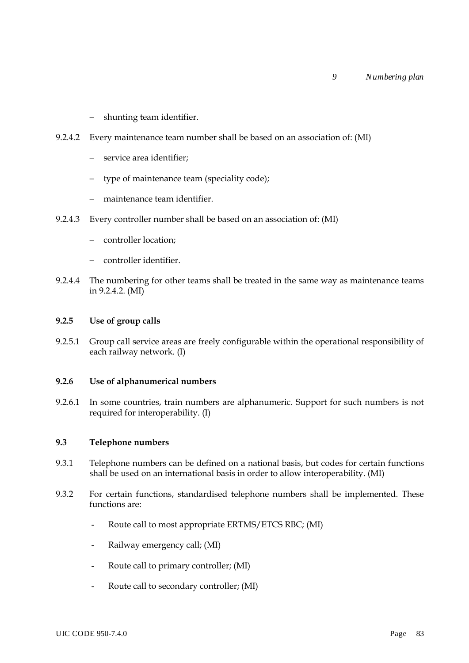### *9 Numbering plan*

- shunting team identifier.
- <span id="page-84-0"></span>9.2.4.2 Every maintenance team number shall be based on an association of: (MI)
	- service area identifier;
	- type of maintenance team (speciality code);
	- maintenance team identifier.
- 9.2.4.3 Every controller number shall be based on an association of: (MI)
	- controller location;
	- controller identifier.
- 9.2.4.4 The numbering for other teams shall be treated in the same way as maintenance teams in [9.2.4.2.](#page-84-0) (MI)

#### **9.2.5 Use of group calls**

9.2.5.1 Group call service areas are freely configurable within the operational responsibility of each railway network. (I)

#### **9.2.6 Use of alphanumerical numbers**

9.2.6.1 In some countries, train numbers are alphanumeric. Support for such numbers is not required for interoperability. (I)

#### **9.3 Telephone numbers**

- 9.3.1 Telephone numbers can be defined on a national basis, but codes for certain functions shall be used on an international basis in order to allow interoperability. (MI)
- 9.3.2 For certain functions, standardised telephone numbers shall be implemented. These functions are:
	- Route call to most appropriate ERTMS/ETCS RBC; (MI)
	- Railway emergency call; (MI)
	- Route call to primary controller; (MI)
	- Route call to secondary controller; (MI)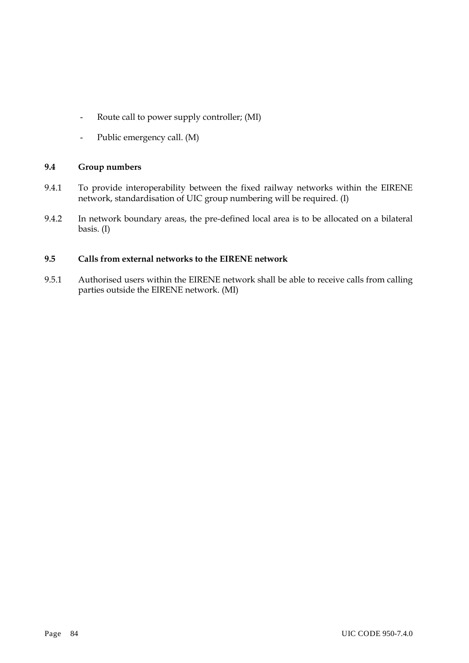- Route call to power supply controller; (MI)
- Public emergency call. (M)

## **9.4 Group numbers**

- 9.4.1 To provide interoperability between the fixed railway networks within the EIRENE network, standardisation of UIC group numbering will be required. (I)
- 9.4.2 In network boundary areas, the pre-defined local area is to be allocated on a bilateral basis. (I)

## **9.5 Calls from external networks to the EIRENE network**

9.5.1 Authorised users within the EIRENE network shall be able to receive calls from calling parties outside the EIRENE network. (MI)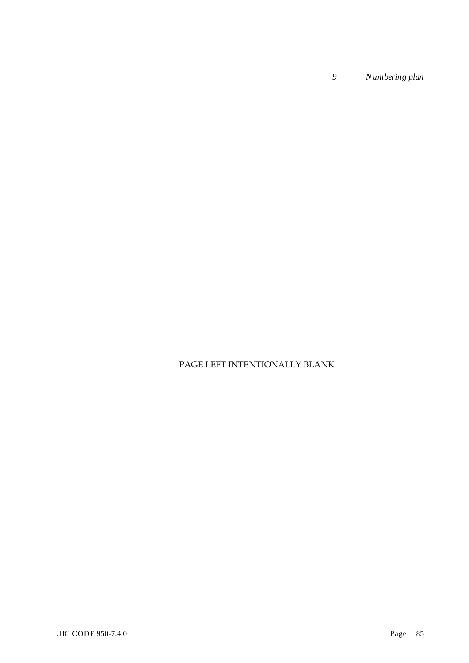*9 Numbering plan*

## PAGE LEFT INTENTIONALLY BLANK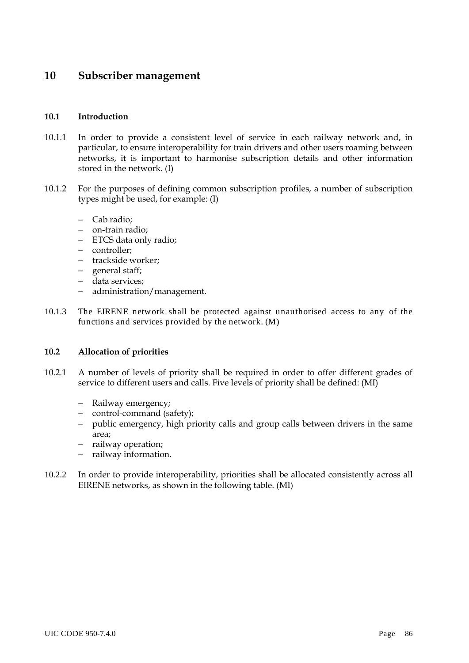## **10 Subscriber management**

## **10.1 Introduction**

- 10.1.1 In order to provide a consistent level of service in each railway network and, in particular, to ensure interoperability for train drivers and other users roaming between networks, it is important to harmonise subscription details and other information stored in the network. (I)
- 10.1.2 For the purposes of defining common subscription profiles, a number of subscription types might be used, for example: (I)
	- Cab radio;
	- on-train radio;
	- ETCS data only radio;
	- controller;
	- trackside worker;
	- general staff;
	- data services:
	- administration/management.
- 10.1.3 The EIRENE network shall be protected against unauthorised access to any of the functions and services provided by the network. (M)

## **10.2 Allocation of priorities**

- 10.2.1 A number of levels of priority shall be required in order to offer different grades of service to different users and calls. Five levels of priority shall be defined: (MI)
	- Railway emergency;
	- control-command (safety);
	- public emergency, high priority calls and group calls between drivers in the same area;
	- railway operation;
	- railway information.
- 10.2.2 In order to provide interoperability, priorities shall be allocated consistently across all EIRENE networks, as shown in the following table. (MI)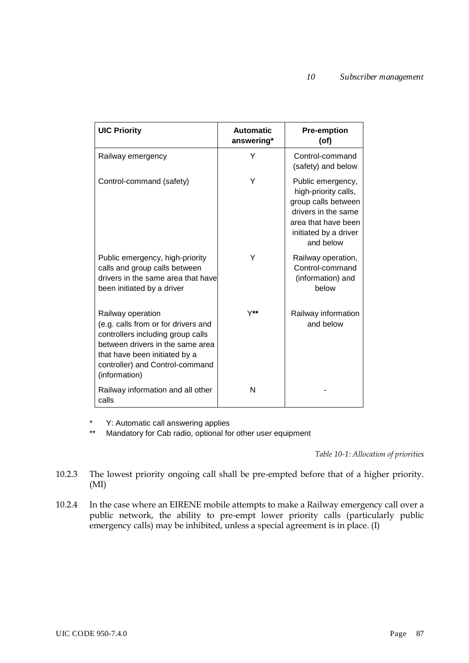| <b>UIC Priority</b>                                                                                                                                                                                                    | <b>Automatic</b><br>answering* | <b>Pre-emption</b><br>(of)                                                                                                                           |
|------------------------------------------------------------------------------------------------------------------------------------------------------------------------------------------------------------------------|--------------------------------|------------------------------------------------------------------------------------------------------------------------------------------------------|
| Railway emergency                                                                                                                                                                                                      | Y                              | Control-command<br>(safety) and below                                                                                                                |
| Control-command (safety)                                                                                                                                                                                               | Y                              | Public emergency,<br>high-priority calls,<br>group calls between<br>drivers in the same<br>area that have been<br>initiated by a driver<br>and below |
| Public emergency, high-priority<br>calls and group calls between<br>drivers in the same area that have<br>been initiated by a driver                                                                                   | Y                              | Railway operation,<br>Control-command<br>(information) and<br>below                                                                                  |
| Railway operation<br>(e.g. calls from or for drivers and<br>controllers including group calls<br>between drivers in the same area<br>that have been initiated by a<br>controller) and Control-command<br>(information) | Y**                            | Railway information<br>and below                                                                                                                     |
| Railway information and all other<br>calls                                                                                                                                                                             | N                              |                                                                                                                                                      |

\* Y: Automatic call answering applies

\*\* Mandatory for Cab radio, optional for other user equipment

*Table 10-1: Allocation of priorities*

- 10.2.3 The lowest priority ongoing call shall be pre-empted before that of a higher priority. (MI)
- 10.2.4 In the case where an EIRENE mobile attempts to make a Railway emergency call over a public network, the ability to pre-empt lower priority calls (particularly public emergency calls) may be inhibited, unless a special agreement is in place. (I)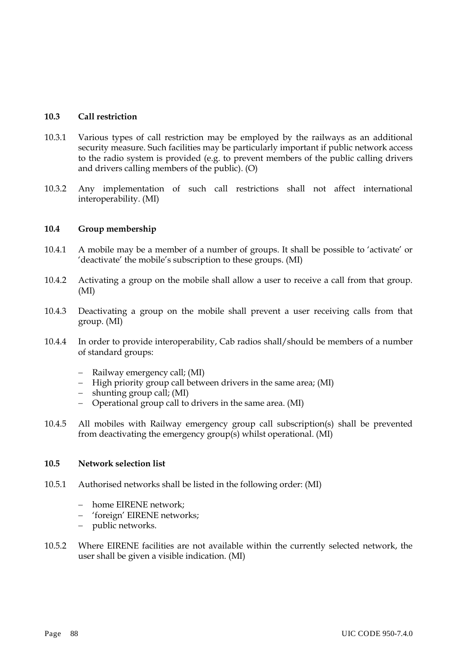## **10.3 Call restriction**

- 10.3.1 Various types of call restriction may be employed by the railways as an additional security measure. Such facilities may be particularly important if public network access to the radio system is provided (e.g. to prevent members of the public calling drivers and drivers calling members of the public). (O)
- 10.3.2 Any implementation of such call restrictions shall not affect international interoperability. (MI)

### **10.4 Group membership**

- 10.4.1 A mobile may be a member of a number of groups. It shall be possible to 'activate' or 'deactivate' the mobile's subscription to these groups. (MI)
- 10.4.2 Activating a group on the mobile shall allow a user to receive a call from that group. (MI)
- 10.4.3 Deactivating a group on the mobile shall prevent a user receiving calls from that group. (MI)
- 10.4.4 In order to provide interoperability, Cab radios shall/should be members of a number of standard groups:
	- Railway emergency call; (MI)
	- High priority group call between drivers in the same area; (MI)
	- shunting group call; (MI)
	- Operational group call to drivers in the same area. (MI)
- 10.4.5 All mobiles with Railway emergency group call subscription(s) shall be prevented from deactivating the emergency group(s) whilst operational. (MI)

## **10.5 Network selection list**

- 10.5.1 Authorised networks shall be listed in the following order: (MI)
	- home EIRENE network;
	- 'foreign' EIRENE networks;
	- public networks.
- 10.5.2 Where EIRENE facilities are not available within the currently selected network, the user shall be given a visible indication. (MI)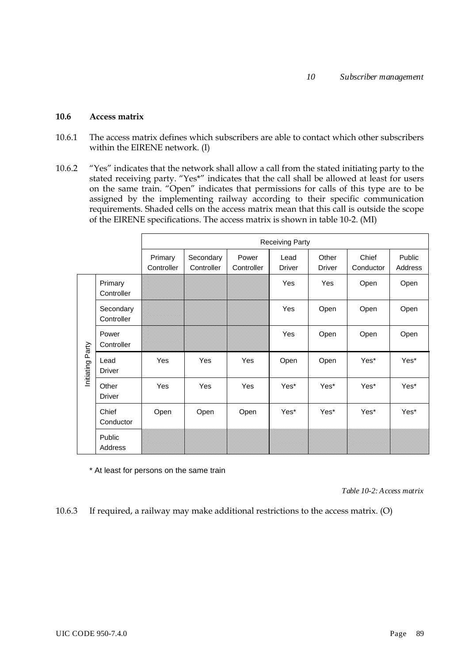#### **10.6 Access matrix**

- 10.6.1 The access matrix defines which subscribers are able to contact which other subscribers within the EIRENE network. (I)
- 10.6.2 "Yes" indicates that the network shall allow a call from the stated initiating party to the stated receiving party. "Yes\*" indicates that the call shall be allowed at least for users on the same train. "Open" indicates that permissions for calls of this type are to be assigned by the implementing railway according to their specific communication requirements. Shaded cells on the access matrix mean that this call is outside the scope of the EIRENE specifications. The access matrix is shown in table 10-2. (MI)

|                  |                         | <b>Receiving Party</b> |                         |                     |                       |                 |                    |                   |  |
|------------------|-------------------------|------------------------|-------------------------|---------------------|-----------------------|-----------------|--------------------|-------------------|--|
|                  |                         | Primary<br>Controller  | Secondary<br>Controller | Power<br>Controller | Lead<br><b>Driver</b> | Other<br>Driver | Chief<br>Conductor | Public<br>Address |  |
| Initiating Party | Primary<br>Controller   |                        |                         |                     | <b>Yes</b>            | Yes             | Open               | Open              |  |
|                  | Secondary<br>Controller |                        |                         |                     | <b>Yes</b>            | Open            | Open               | Open              |  |
|                  | Power<br>Controller     |                        |                         |                     | Yes                   | Open            | Open               | Open              |  |
|                  | Lead<br>Driver          | <b>Yes</b>             | <b>Yes</b>              | <b>Yes</b>          | Open                  | Open            | Yes*               | Yes*              |  |
|                  | Other<br><b>Driver</b>  | <b>Yes</b>             | <b>Yes</b>              | Yes                 | Yes*                  | Yes*            | Yes*               | Yes*              |  |
|                  | Chief<br>Conductor      | Open                   | Open                    | Open                | Yes*                  | Yes*            | Yes*               | Yes*              |  |
|                  | Public<br>Address       |                        |                         |                     |                       |                 |                    |                   |  |

\* At least for persons on the same train

*Table 10-2: Access matrix*

10.6.3 If required, a railway may make additional restrictions to the access matrix. (O)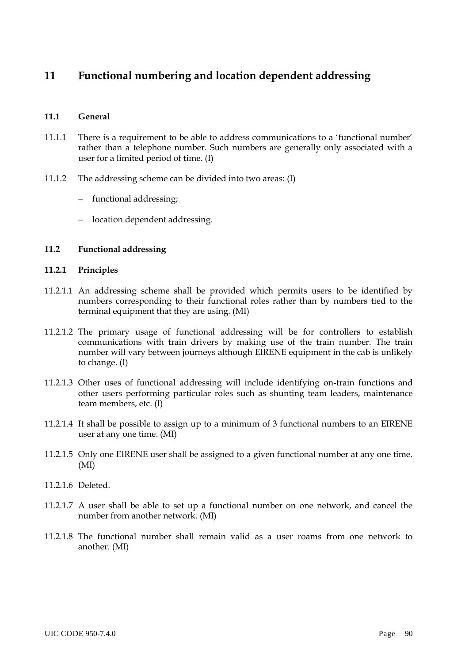# **11 Functional numbering and location dependent addressing**

## **11.1 General**

- 11.1.1 There is a requirement to be able to address communications to a 'functional number' rather than a telephone number. Such numbers are generally only associated with a user for a limited period of time. (I)
- 11.1.2 The addressing scheme can be divided into two areas: (I)
	- functional addressing;
	- location dependent addressing.

### **11.2 Functional addressing**

#### **11.2.1 Principles**

- 11.2.1.1 An addressing scheme shall be provided which permits users to be identified by numbers corresponding to their functional roles rather than by numbers tied to the terminal equipment that they are using. (MI)
- 11.2.1.2 The primary usage of functional addressing will be for controllers to establish communications with train drivers by making use of the train number. The train number will vary between journeys although EIRENE equipment in the cab is unlikely to change. (I)
- 11.2.1.3 Other uses of functional addressing will include identifying on-train functions and other users performing particular roles such as shunting team leaders, maintenance team members, etc. (I)
- 11.2.1.4 It shall be possible to assign up to a minimum of 3 functional numbers to an EIRENE user at any one time. (MI)
- 11.2.1.5 Only one EIRENE user shall be assigned to a given functional number at any one time. (MI)
- 11.2.1.6 Deleted.
- 11.2.1.7 A user shall be able to set up a functional number on one network, and cancel the number from another network. (MI)
- 11.2.1.8 The functional number shall remain valid as a user roams from one network to another. (MI)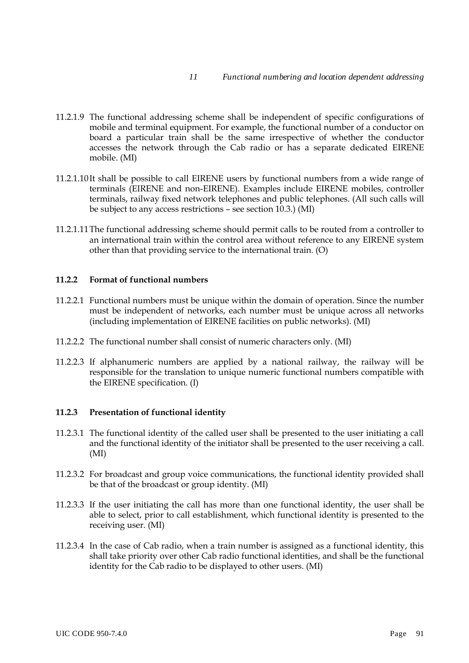#### *11 Functional numbering and location dependent addressing*

- 11.2.1.9 The functional addressing scheme shall be independent of specific configurations of mobile and terminal equipment. For example, the functional number of a conductor on board a particular train shall be the same irrespective of whether the conductor accesses the network through the Cab radio or has a separate dedicated EIRENE mobile. (MI)
- 11.2.1.10It shall be possible to call EIRENE users by functional numbers from a wide range of terminals (EIRENE and non-EIRENE). Examples include EIRENE mobiles, controller terminals, railway fixed network telephones and public telephones. (All such calls will be subject to any access restrictions – see section 10.3.) (MI)
- 11.2.1.11The functional addressing scheme should permit calls to be routed from a controller to an international train within the control area without reference to any EIRENE system other than that providing service to the international train. (O)

## **11.2.2 Format of functional numbers**

- 11.2.2.1 Functional numbers must be unique within the domain of operation. Since the number must be independent of networks, each number must be unique across all networks (including implementation of EIRENE facilities on public networks). (MI)
- 11.2.2.2 The functional number shall consist of numeric characters only. (MI)
- 11.2.2.3 If alphanumeric numbers are applied by a national railway, the railway will be responsible for the translation to unique numeric functional numbers compatible with the EIRENE specification. (I)

#### **11.2.3 Presentation of functional identity**

- 11.2.3.1 The functional identity of the called user shall be presented to the user initiating a call and the functional identity of the initiator shall be presented to the user receiving a call. (MI)
- 11.2.3.2 For broadcast and group voice communications, the functional identity provided shall be that of the broadcast or group identity. (MI)
- 11.2.3.3 If the user initiating the call has more than one functional identity, the user shall be able to select, prior to call establishment, which functional identity is presented to the receiving user. (MI)
- 11.2.3.4 In the case of Cab radio, when a train number is assigned as a functional identity, this shall take priority over other Cab radio functional identities, and shall be the functional identity for the Cab radio to be displayed to other users. (MI)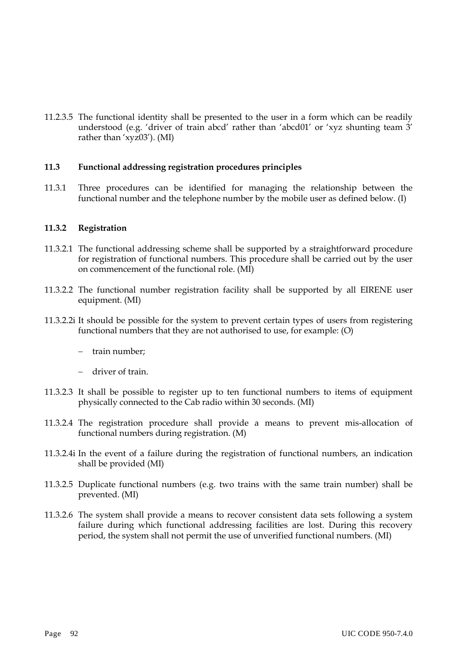11.2.3.5 The functional identity shall be presented to the user in a form which can be readily understood (e.g. 'driver of train abcd' rather than 'abcd01' or 'xyz shunting team 3' rather than 'xyz03'). (MI)

#### **11.3 Functional addressing registration procedures principles**

11.3.1 Three procedures can be identified for managing the relationship between the functional number and the telephone number by the mobile user as defined below. (I)

### **11.3.2 Registration**

- 11.3.2.1 The functional addressing scheme shall be supported by a straightforward procedure for registration of functional numbers. This procedure shall be carried out by the user on commencement of the functional role. (MI)
- 11.3.2.2 The functional number registration facility shall be supported by all EIRENE user equipment. (MI)
- 11.3.2.2i It should be possible for the system to prevent certain types of users from registering functional numbers that they are not authorised to use, for example: (O)
	- train number:
	- driver of train.
- 11.3.2.3 It shall be possible to register up to ten functional numbers to items of equipment physically connected to the Cab radio within 30 seconds. (MI)
- 11.3.2.4 The registration procedure shall provide a means to prevent mis-allocation of functional numbers during registration. (M)
- 11.3.2.4i In the event of a failure during the registration of functional numbers, an indication shall be provided (MI)
- 11.3.2.5 Duplicate functional numbers (e.g. two trains with the same train number) shall be prevented. (MI)
- 11.3.2.6 The system shall provide a means to recover consistent data sets following a system failure during which functional addressing facilities are lost. During this recovery period, the system shall not permit the use of unverified functional numbers. (MI)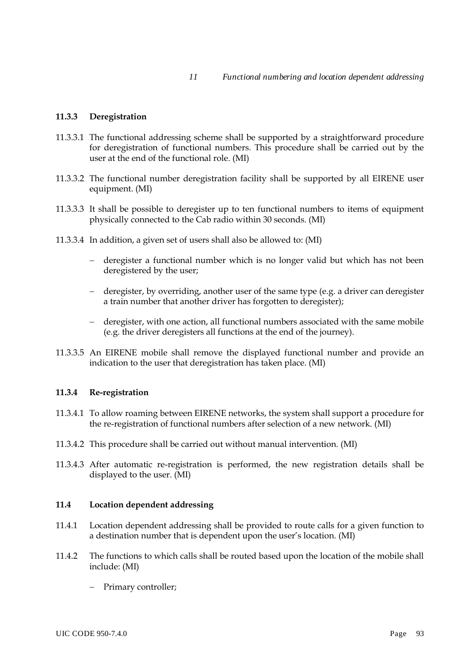*11 Functional numbering and location dependent addressing*

## **11.3.3 Deregistration**

- 11.3.3.1 The functional addressing scheme shall be supported by a straightforward procedure for deregistration of functional numbers. This procedure shall be carried out by the user at the end of the functional role. (MI)
- 11.3.3.2 The functional number deregistration facility shall be supported by all EIRENE user equipment. (MI)
- 11.3.3.3 It shall be possible to deregister up to ten functional numbers to items of equipment physically connected to the Cab radio within 30 seconds. (MI)
- 11.3.3.4 In addition, a given set of users shall also be allowed to: (MI)
	- deregister a functional number which is no longer valid but which has not been deregistered by the user;
	- deregister, by overriding, another user of the same type (e.g. a driver can deregister a train number that another driver has forgotten to deregister);
	- deregister, with one action, all functional numbers associated with the same mobile (e.g. the driver deregisters all functions at the end of the journey).
- 11.3.3.5 An EIRENE mobile shall remove the displayed functional number and provide an indication to the user that deregistration has taken place. (MI)

#### **11.3.4 Re-registration**

- 11.3.4.1 To allow roaming between EIRENE networks, the system shall support a procedure for the re-registration of functional numbers after selection of a new network. (MI)
- 11.3.4.2 This procedure shall be carried out without manual intervention. (MI)
- 11.3.4.3 After automatic re-registration is performed, the new registration details shall be displayed to the user. (MI)

#### **11.4 Location dependent addressing**

- 11.4.1 Location dependent addressing shall be provided to route calls for a given function to a destination number that is dependent upon the user's location. (MI)
- 11.4.2 The functions to which calls shall be routed based upon the location of the mobile shall include: (MI)
	- Primary controller;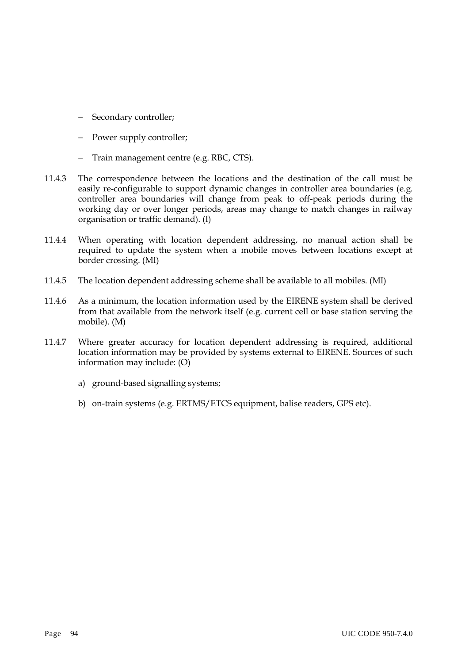- Secondary controller;
- Power supply controller;
- Train management centre (e.g. RBC, CTS).
- 11.4.3 The correspondence between the locations and the destination of the call must be easily re-configurable to support dynamic changes in controller area boundaries (e.g. controller area boundaries will change from peak to off-peak periods during the working day or over longer periods, areas may change to match changes in railway organisation or traffic demand). (I)
- 11.4.4 When operating with location dependent addressing, no manual action shall be required to update the system when a mobile moves between locations except at border crossing. (MI)
- 11.4.5 The location dependent addressing scheme shall be available to all mobiles. (MI)
- 11.4.6 As a minimum, the location information used by the EIRENE system shall be derived from that available from the network itself (e.g. current cell or base station serving the mobile). (M)
- 11.4.7 Where greater accuracy for location dependent addressing is required, additional location information may be provided by systems external to EIRENE. Sources of such information may include: (O)
	- a) ground-based signalling systems;
	- b) on-train systems (e.g. ERTMS/ETCS equipment, balise readers, GPS etc).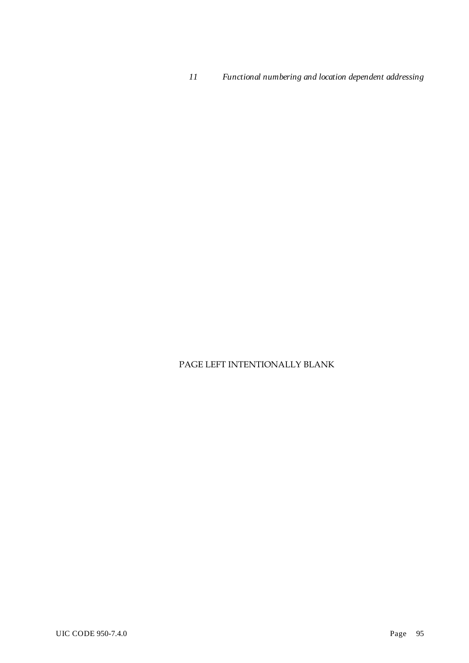# *11 Functional numbering and location dependent addressing*

## PAGE LEFT INTENTIONALLY BLANK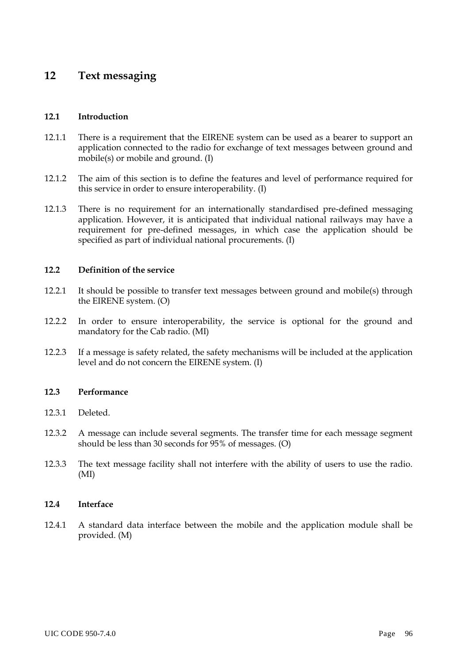## **12 Text messaging**

## **12.1 Introduction**

- 12.1.1 There is a requirement that the EIRENE system can be used as a bearer to support an application connected to the radio for exchange of text messages between ground and mobile(s) or mobile and ground. (I)
- 12.1.2 The aim of this section is to define the features and level of performance required for this service in order to ensure interoperability. (I)
- 12.1.3 There is no requirement for an internationally standardised pre-defined messaging application. However, it is anticipated that individual national railways may have a requirement for pre-defined messages, in which case the application should be specified as part of individual national procurements. (I)

### **12.2 Definition of the service**

- 12.2.1 It should be possible to transfer text messages between ground and mobile(s) through the EIRENE system. (O)
- 12.2.2 In order to ensure interoperability, the service is optional for the ground and mandatory for the Cab radio. (MI)
- 12.2.3 If a message is safety related, the safety mechanisms will be included at the application level and do not concern the EIRENE system. (I)

## **12.3 Performance**

- 12.3.1 Deleted.
- 12.3.2 A message can include several segments. The transfer time for each message segment should be less than 30 seconds for 95% of messages. (O)
- 12.3.3 The text message facility shall not interfere with the ability of users to use the radio. (MI)

#### **12.4 Interface**

12.4.1 A standard data interface between the mobile and the application module shall be provided. (M)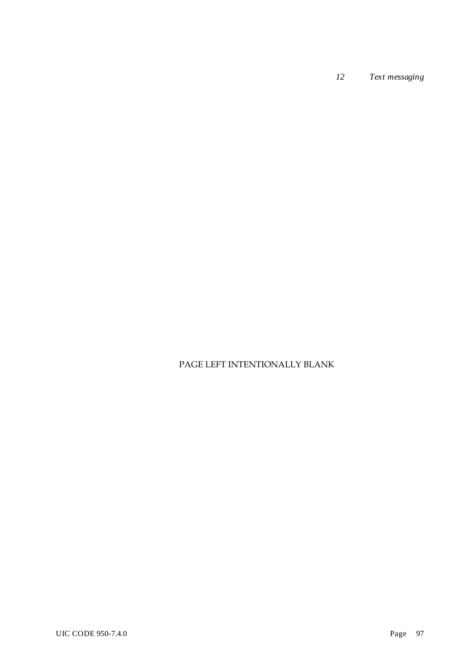*12 Text messaging*

## PAGE LEFT INTENTIONALLY BLANK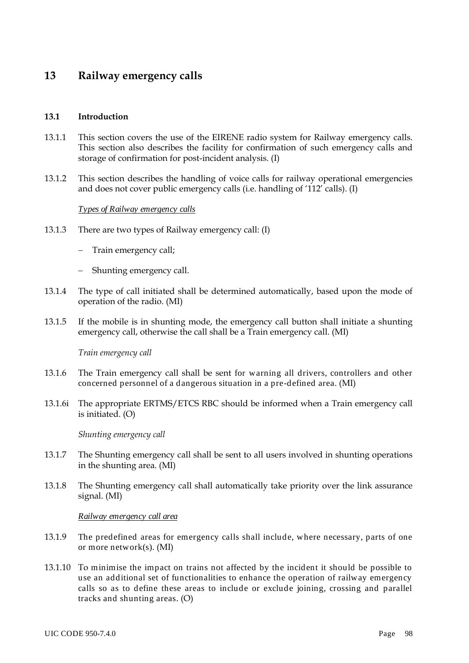# **13 Railway emergency calls**

#### **13.1 Introduction**

- 13.1.1 This section covers the use of the EIRENE radio system for Railway emergency calls. This section also describes the facility for confirmation of such emergency calls and storage of confirmation for post-incident analysis. (I)
- 13.1.2 This section describes the handling of voice calls for railway operational emergencies and does not cover public emergency calls (i.e. handling of '112' calls). (I)

*Types of Railway emergency calls*

- 13.1.3 There are two types of Railway emergency call: (I)
	- Train emergency call;
	- Shunting emergency call.
- 13.1.4 The type of call initiated shall be determined automatically, based upon the mode of operation of the radio. (MI)
- 13.1.5 If the mobile is in shunting mode, the emergency call button shall initiate a shunting emergency call, otherwise the call shall be a Train emergency call. (MI)

*Train emergency call*

- 13.1.6 The Train emergency call shall be sent for warning all drivers, controllers and other concerned personnel of a dangerous situation in a pre-defined area. (MI)
- 13.1.6i The appropriate ERTMS/ETCS RBC should be informed when a Train emergency call is initiated. (O)

*Shunting emergency call*

- 13.1.7 The Shunting emergency call shall be sent to all users involved in shunting operations in the shunting area. (MI)
- 13.1.8 The Shunting emergency call shall automatically take priority over the link assurance signal. (MI)

#### *Railway emergency call area*

- 13.1.9 The predefined areas for emergency calls shall include, where necessary, parts of one or more network(s). (MI)
- 13.1.10 To minimise the impact on trains not affected by the incident it should be possible to use an additional set of functionalities to enhance the operation of railway emergency calls so as to define these areas to include or exclude joining, crossing and parallel tracks and shunting areas. (O)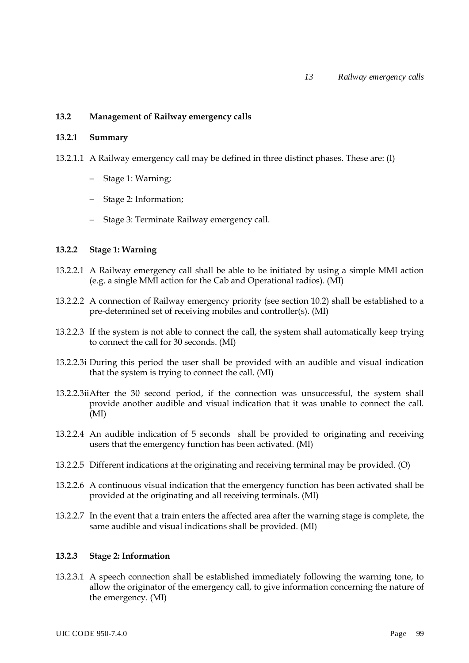#### **13.2 Management of Railway emergency calls**

#### **13.2.1 Summary**

- 13.2.1.1 A Railway emergency call may be defined in three distinct phases. These are: (I)
	- Stage 1: Warning;
	- Stage 2: Information;
	- Stage 3: Terminate Railway emergency call.

#### **13.2.2 Stage 1: Warning**

- 13.2.2.1 A Railway emergency call shall be able to be initiated by using a simple MMI action (e.g. a single MMI action for the Cab and Operational radios). (MI)
- 13.2.2.2 A connection of Railway emergency priority (see section 10.2) shall be established to a pre-determined set of receiving mobiles and controller(s). (MI)
- 13.2.2.3 If the system is not able to connect the call, the system shall automatically keep trying to connect the call for 30 seconds. (MI)
- 13.2.2.3i During this period the user shall be provided with an audible and visual indication that the system is trying to connect the call. (MI)
- 13.2.2.3iiAfter the 30 second period, if the connection was unsuccessful, the system shall provide another audible and visual indication that it was unable to connect the call. (MI)
- 13.2.2.4 An audible indication of 5 seconds shall be provided to originating and receiving users that the emergency function has been activated. (MI)
- 13.2.2.5 Different indications at the originating and receiving terminal may be provided. (O)
- 13.2.2.6 A continuous visual indication that the emergency function has been activated shall be provided at the originating and all receiving terminals. (MI)
- 13.2.2.7 In the event that a train enters the affected area after the warning stage is complete, the same audible and visual indications shall be provided. (MI)

#### **13.2.3 Stage 2: Information**

13.2.3.1 A speech connection shall be established immediately following the warning tone, to allow the originator of the emergency call, to give information concerning the nature of the emergency. (MI)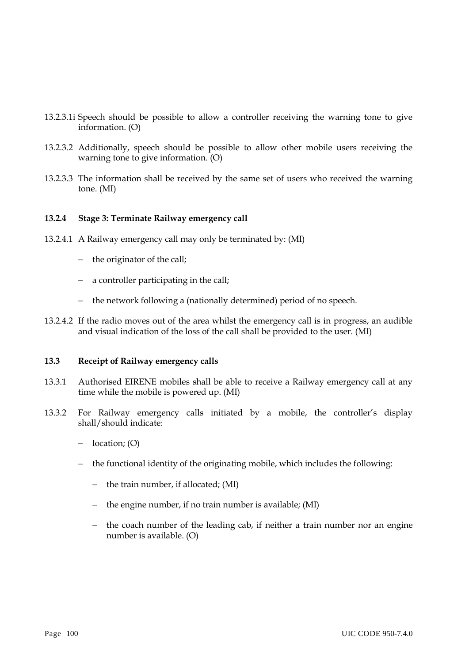- 13.2.3.1i Speech should be possible to allow a controller receiving the warning tone to give information. (O)
- 13.2.3.2 Additionally, speech should be possible to allow other mobile users receiving the warning tone to give information. (O)
- 13.2.3.3 The information shall be received by the same set of users who received the warning tone. (MI)

#### **13.2.4 Stage 3: Terminate Railway emergency call**

- 13.2.4.1 A Railway emergency call may only be terminated by: (MI)
	- the originator of the call;
	- a controller participating in the call;
	- the network following a (nationally determined) period of no speech.
- 13.2.4.2 If the radio moves out of the area whilst the emergency call is in progress, an audible and visual indication of the loss of the call shall be provided to the user. (MI)

#### **13.3 Receipt of Railway emergency calls**

- 13.3.1 Authorised EIRENE mobiles shall be able to receive a Railway emergency call at any time while the mobile is powered up. (MI)
- 13.3.2 For Railway emergency calls initiated by a mobile, the controller's display shall/should indicate:
	- location; (O)
	- the functional identity of the originating mobile, which includes the following:
		- the train number, if allocated;  $(MI)$
		- the engine number, if no train number is available; (MI)
		- the coach number of the leading cab, if neither a train number nor an engine number is available. (O)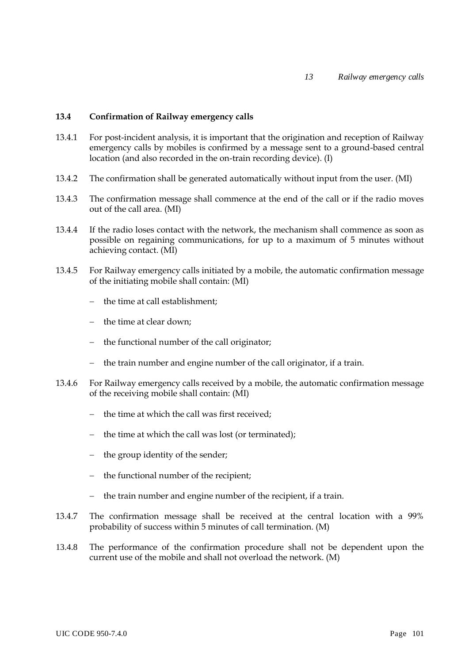#### **13.4 Confirmation of Railway emergency calls**

- 13.4.1 For post-incident analysis, it is important that the origination and reception of Railway emergency calls by mobiles is confirmed by a message sent to a ground-based central location (and also recorded in the on-train recording device). (I)
- 13.4.2 The confirmation shall be generated automatically without input from the user. (MI)
- 13.4.3 The confirmation message shall commence at the end of the call or if the radio moves out of the call area. (MI)
- 13.4.4 If the radio loses contact with the network, the mechanism shall commence as soon as possible on regaining communications, for up to a maximum of 5 minutes without achieving contact. (MI)
- 13.4.5 For Railway emergency calls initiated by a mobile, the automatic confirmation message of the initiating mobile shall contain: (MI)
	- the time at call establishment;
	- the time at clear down;
	- the functional number of the call originator;
	- the train number and engine number of the call originator, if a train.
- 13.4.6 For Railway emergency calls received by a mobile, the automatic confirmation message of the receiving mobile shall contain: (MI)
	- the time at which the call was first received;
	- the time at which the call was lost (or terminated);
	- the group identity of the sender;
	- the functional number of the recipient;
	- the train number and engine number of the recipient, if a train.
- 13.4.7 The confirmation message shall be received at the central location with a 99% probability of success within 5 minutes of call termination. (M)
- 13.4.8 The performance of the confirmation procedure shall not be dependent upon the current use of the mobile and shall not overload the network. (M)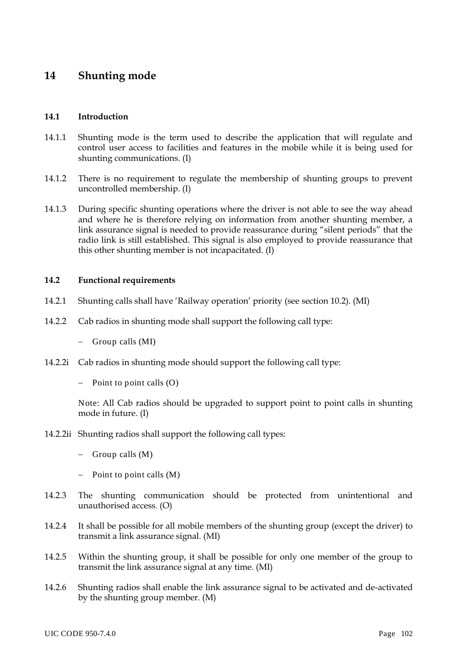# **14 Shunting mode**

## **14.1 Introduction**

- 14.1.1 Shunting mode is the term used to describe the application that will regulate and control user access to facilities and features in the mobile while it is being used for shunting communications. (I)
- 14.1.2 There is no requirement to regulate the membership of shunting groups to prevent uncontrolled membership. (I)
- 14.1.3 During specific shunting operations where the driver is not able to see the way ahead and where he is therefore relying on information from another shunting member, a link assurance signal is needed to provide reassurance during "silent periods" that the radio link is still established. This signal is also employed to provide reassurance that this other shunting member is not incapacitated. (I)

## **14.2 Functional requirements**

- 14.2.1 Shunting calls shall have 'Railway operation' priority (see section 10.2). (MI)
- 14.2.2 Cab radios in shunting mode shall support the following call type:
	- Group calls (MI)
- 14.2.2i Cab radios in shunting mode should support the following call type:
	- $-$  Point to point calls (O)

Note: All Cab radios should be upgraded to support point to point calls in shunting mode in future. (I)

- 14.2.2ii Shunting radios shall support the following call types:
	- $-$  Group calls (M)
	- Point to point calls (M)
- 14.2.3 The shunting communication should be protected from unintentional and unauthorised access. (O)
- 14.2.4 It shall be possible for all mobile members of the shunting group (except the driver) to transmit a link assurance signal. (MI)
- 14.2.5 Within the shunting group, it shall be possible for only one member of the group to transmit the link assurance signal at any time. (MI)
- 14.2.6 Shunting radios shall enable the link assurance signal to be activated and de-activated by the shunting group member. (M)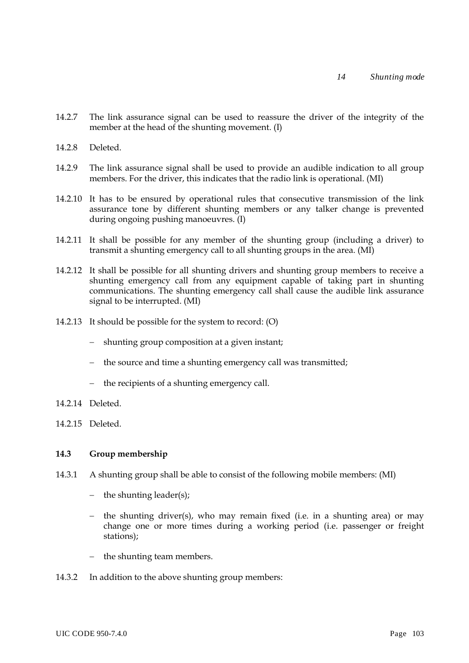- 14.2.7 The link assurance signal can be used to reassure the driver of the integrity of the member at the head of the shunting movement. (I)
- 14.2.8 Deleted.
- 14.2.9 The link assurance signal shall be used to provide an audible indication to all group members. For the driver, this indicates that the radio link is operational. (MI)
- 14.2.10 It has to be ensured by operational rules that consecutive transmission of the link assurance tone by different shunting members or any talker change is prevented during ongoing pushing manoeuvres. (I)
- 14.2.11 It shall be possible for any member of the shunting group (including a driver) to transmit a shunting emergency call to all shunting groups in the area. (MI)
- 14.2.12 It shall be possible for all shunting drivers and shunting group members to receive a shunting emergency call from any equipment capable of taking part in shunting communications. The shunting emergency call shall cause the audible link assurance signal to be interrupted. (MI)
- 14.2.13 It should be possible for the system to record: (O)
	- shunting group composition at a given instant;
	- the source and time a shunting emergency call was transmitted;
	- the recipients of a shunting emergency call.
- 14.2.14 Deleted.
- 14.2.15 Deleted.

#### **14.3 Group membership**

- 14.3.1 A shunting group shall be able to consist of the following mobile members: (MI)
	- the shunting leader(s);
	- $-$  the shunting driver(s), who may remain fixed (i.e. in a shunting area) or may change one or more times during a working period (i.e. passenger or freight stations);
	- the shunting team members.
- 14.3.2 In addition to the above shunting group members: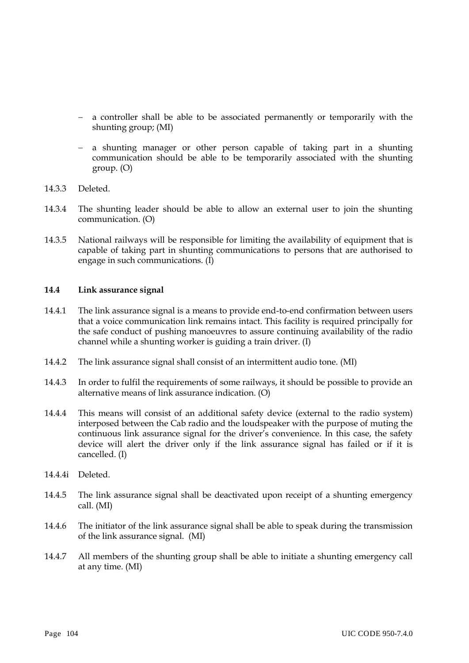- a controller shall be able to be associated permanently or temporarily with the shunting group; (MI)
- a shunting manager or other person capable of taking part in a shunting communication should be able to be temporarily associated with the shunting group. (O)
- 14.3.3 Deleted.
- 14.3.4 The shunting leader should be able to allow an external user to join the shunting communication. (O)
- 14.3.5 National railways will be responsible for limiting the availability of equipment that is capable of taking part in shunting communications to persons that are authorised to engage in such communications. (I)

#### **14.4 Link assurance signal**

- 14.4.1 The link assurance signal is a means to provide end-to-end confirmation between users that a voice communication link remains intact. This facility is required principally for the safe conduct of pushing manoeuvres to assure continuing availability of the radio channel while a shunting worker is guiding a train driver. (I)
- 14.4.2 The link assurance signal shall consist of an intermittent audio tone. (MI)
- 14.4.3 In order to fulfil the requirements of some railways, it should be possible to provide an alternative means of link assurance indication. (O)
- 14.4.4 This means will consist of an additional safety device (external to the radio system) interposed between the Cab radio and the loudspeaker with the purpose of muting the continuous link assurance signal for the driver's convenience. In this case, the safety device will alert the driver only if the link assurance signal has failed or if it is cancelled. (I)
- 14.4.4i Deleted.
- 14.4.5 The link assurance signal shall be deactivated upon receipt of a shunting emergency call. (MI)
- 14.4.6 The initiator of the link assurance signal shall be able to speak during the transmission of the link assurance signal. (MI)
- 14.4.7 All members of the shunting group shall be able to initiate a shunting emergency call at any time. (MI)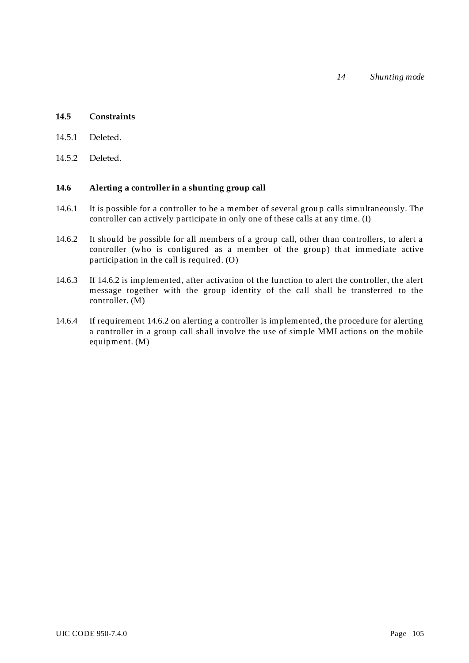*14 Shunting mode*

### **14.5 Constraints**

- 14.5.1 Deleted.
- 14.5.2 Deleted.

#### **14.6 Alerting a controller in a shunting group call**

- 14.6.1 It is possible for a controller to be a member of several grou p calls simultaneously. The controller can actively participate in only one of these calls at any time. (I)
- 14.6.2 It should be possible for all members of a group call, other than controllers, to alert a controller (who is configured as a member of the group) that immediate active participation in the call is required. (O)
- 14.6.3 If 14.6.2 is implemented, after activation of the function to alert the controller, the alert message together with the group identity of the call shall be transferred to the controller. (M)
- 14.6.4 If requirement 14.6.2 on alerting a controller is implemented, the procedure for alerting a controller in a group call shall involve the use of simple MMI actions on the mobile equipment. (M)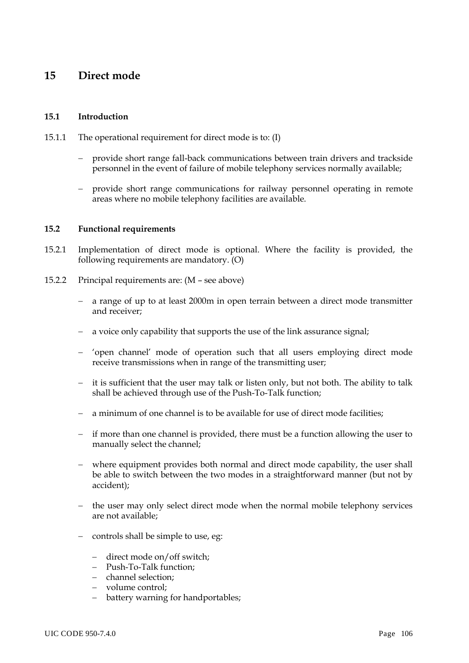## **15 Direct mode**

## **15.1 Introduction**

- 15.1.1 The operational requirement for direct mode is to: (I)
	- provide short range fall-back communications between train drivers and trackside personnel in the event of failure of mobile telephony services normally available;
	- provide short range communications for railway personnel operating in remote areas where no mobile telephony facilities are available.

### **15.2 Functional requirements**

- 15.2.1 Implementation of direct mode is optional. Where the facility is provided, the following requirements are mandatory. (O)
- 15.2.2 Principal requirements are: (M see above)
	- a range of up to at least 2000m in open terrain between a direct mode transmitter and receiver;
	- a voice only capability that supports the use of the link assurance signal;
	- 'open channel' mode of operation such that all users employing direct mode receive transmissions when in range of the transmitting user;
	- it is sufficient that the user may talk or listen only, but not both. The ability to talk shall be achieved through use of the Push-To-Talk function;
	- a minimum of one channel is to be available for use of direct mode facilities;
	- if more than one channel is provided, there must be a function allowing the user to manually select the channel;
	- where equipment provides both normal and direct mode capability, the user shall be able to switch between the two modes in a straightforward manner (but not by accident);
	- the user may only select direct mode when the normal mobile telephony services are not available;
	- controls shall be simple to use, eg:
		- direct mode on/off switch;
		- Push-To-Talk function;
		- channel selection;
		- volume control;
		- battery warning for handportables;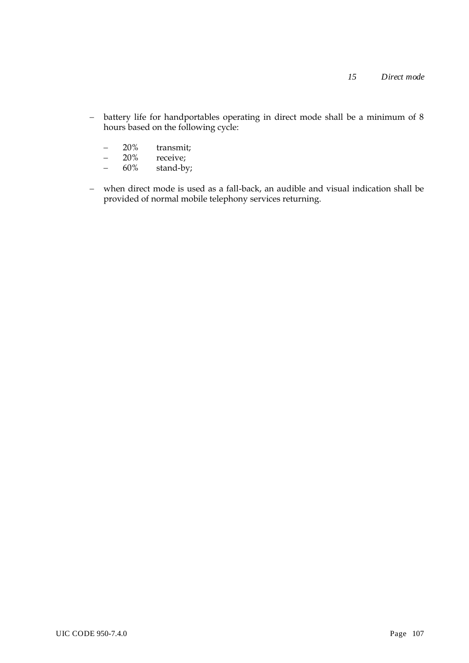- battery life for handportables operating in direct mode shall be a minimum of 8 hours based on the following cycle:
	- 20% transmit;<br>20% receive;
	- receive;
	- 60% stand-by;
- when direct mode is used as a fall-back, an audible and visual indication shall be provided of normal mobile telephony services returning.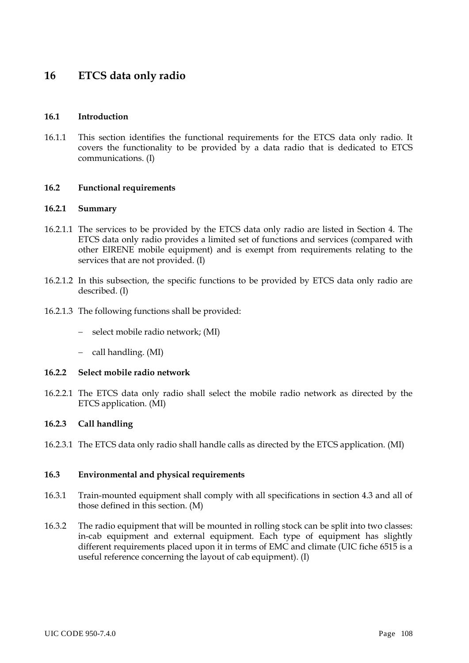# **16 ETCS data only radio**

## **16.1 Introduction**

16.1.1 This section identifies the functional requirements for the ETCS data only radio. It covers the functionality to be provided by a data radio that is dedicated to ETCS communications. (I)

## **16.2 Functional requirements**

#### **16.2.1 Summary**

- 16.2.1.1 The services to be provided by the ETCS data only radio are listed in Section 4. The ETCS data only radio provides a limited set of functions and services (compared with other EIRENE mobile equipment) and is exempt from requirements relating to the services that are not provided. (I)
- 16.2.1.2 In this subsection, the specific functions to be provided by ETCS data only radio are described. (I)
- 16.2.1.3 The following functions shall be provided:
	- select mobile radio network; (MI)
	- call handling. (MI)

#### **16.2.2 Select mobile radio network**

16.2.2.1 The ETCS data only radio shall select the mobile radio network as directed by the ETCS application. (MI)

#### **16.2.3 Call handling**

16.2.3.1 The ETCS data only radio shall handle calls as directed by the ETCS application. (MI)

#### **16.3 Environmental and physical requirements**

- 16.3.1 Train-mounted equipment shall comply with all specifications in section 4.3 and all of those defined in this section. (M)
- 16.3.2 The radio equipment that will be mounted in rolling stock can be split into two classes: in-cab equipment and external equipment. Each type of equipment has slightly different requirements placed upon it in terms of EMC and climate (UIC fiche 6515 is a useful reference concerning the layout of cab equipment). (I)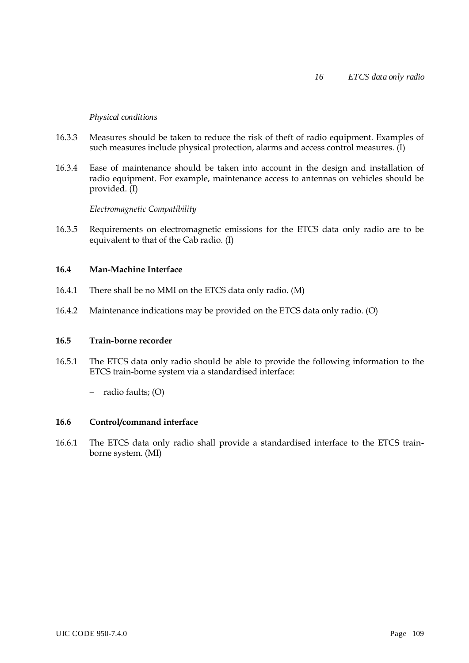## *Physical conditions*

- 16.3.3 Measures should be taken to reduce the risk of theft of radio equipment. Examples of such measures include physical protection, alarms and access control measures. (I)
- 16.3.4 Ease of maintenance should be taken into account in the design and installation of radio equipment. For example, maintenance access to antennas on vehicles should be provided. (I)

*Electromagnetic Compatibility*

16.3.5 Requirements on electromagnetic emissions for the ETCS data only radio are to be equivalent to that of the Cab radio. (I)

## **16.4 Man-Machine Interface**

- 16.4.1 There shall be no MMI on the ETCS data only radio. (M)
- 16.4.2 Maintenance indications may be provided on the ETCS data only radio. (O)

#### **16.5 Train-borne recorder**

- 16.5.1 The ETCS data only radio should be able to provide the following information to the ETCS train-borne system via a standardised interface:
	- $-$  radio faults; (O)

#### **16.6 Control/command interface**

16.6.1 The ETCS data only radio shall provide a standardised interface to the ETCS trainborne system. (MI)